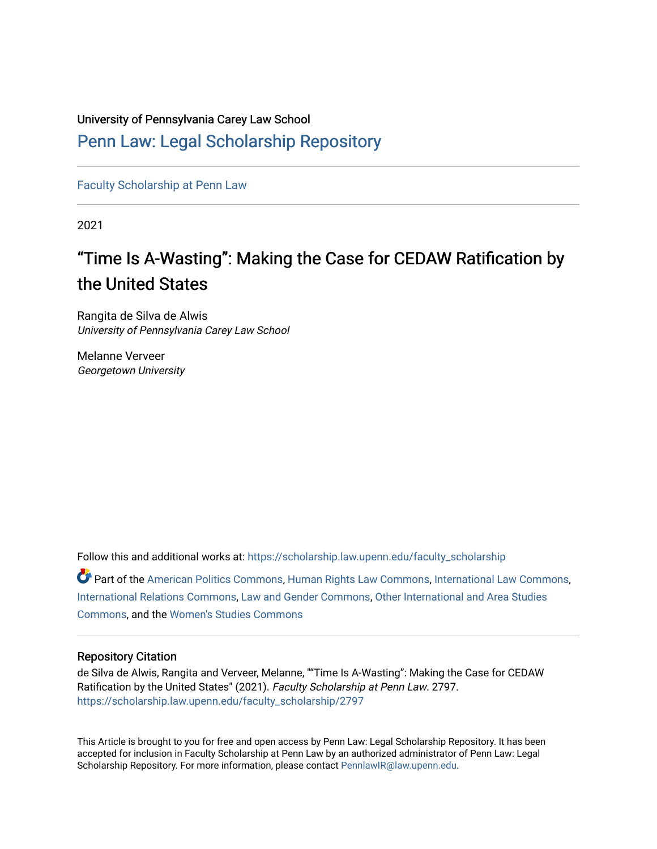## University of Pennsylvania Carey Law School

# [Penn Law: Legal Scholarship Repository](https://scholarship.law.upenn.edu/)

[Faculty Scholarship at Penn Law](https://scholarship.law.upenn.edu/faculty_scholarship)

2021

# "Time Is A-Wasting": Making the Case for CEDAW Ratification by the United States

Rangita de Silva de Alwis University of Pennsylvania Carey Law School

Melanne Verveer Georgetown University

Follow this and additional works at: [https://scholarship.law.upenn.edu/faculty\\_scholarship](https://scholarship.law.upenn.edu/faculty_scholarship?utm_source=scholarship.law.upenn.edu%2Ffaculty_scholarship%2F2797&utm_medium=PDF&utm_campaign=PDFCoverPages)  Part of the [American Politics Commons,](http://network.bepress.com/hgg/discipline/387?utm_source=scholarship.law.upenn.edu%2Ffaculty_scholarship%2F2797&utm_medium=PDF&utm_campaign=PDFCoverPages) [Human Rights Law Commons,](http://network.bepress.com/hgg/discipline/847?utm_source=scholarship.law.upenn.edu%2Ffaculty_scholarship%2F2797&utm_medium=PDF&utm_campaign=PDFCoverPages) [International Law Commons](http://network.bepress.com/hgg/discipline/609?utm_source=scholarship.law.upenn.edu%2Ffaculty_scholarship%2F2797&utm_medium=PDF&utm_campaign=PDFCoverPages), [International Relations Commons](http://network.bepress.com/hgg/discipline/389?utm_source=scholarship.law.upenn.edu%2Ffaculty_scholarship%2F2797&utm_medium=PDF&utm_campaign=PDFCoverPages), [Law and Gender Commons](http://network.bepress.com/hgg/discipline/1298?utm_source=scholarship.law.upenn.edu%2Ffaculty_scholarship%2F2797&utm_medium=PDF&utm_campaign=PDFCoverPages), [Other International and Area Studies](http://network.bepress.com/hgg/discipline/365?utm_source=scholarship.law.upenn.edu%2Ffaculty_scholarship%2F2797&utm_medium=PDF&utm_campaign=PDFCoverPages) [Commons](http://network.bepress.com/hgg/discipline/365?utm_source=scholarship.law.upenn.edu%2Ffaculty_scholarship%2F2797&utm_medium=PDF&utm_campaign=PDFCoverPages), and the [Women's Studies Commons](http://network.bepress.com/hgg/discipline/561?utm_source=scholarship.law.upenn.edu%2Ffaculty_scholarship%2F2797&utm_medium=PDF&utm_campaign=PDFCoverPages)

#### Repository Citation

de Silva de Alwis, Rangita and Verveer, Melanne, ""Time Is A-Wasting": Making the Case for CEDAW Ratification by the United States" (2021). Faculty Scholarship at Penn Law. 2797. [https://scholarship.law.upenn.edu/faculty\\_scholarship/2797](https://scholarship.law.upenn.edu/faculty_scholarship/2797?utm_source=scholarship.law.upenn.edu%2Ffaculty_scholarship%2F2797&utm_medium=PDF&utm_campaign=PDFCoverPages)

This Article is brought to you for free and open access by Penn Law: Legal Scholarship Repository. It has been accepted for inclusion in Faculty Scholarship at Penn Law by an authorized administrator of Penn Law: Legal Scholarship Repository. For more information, please contact [PennlawIR@law.upenn.edu.](mailto:PennlawIR@law.upenn.edu)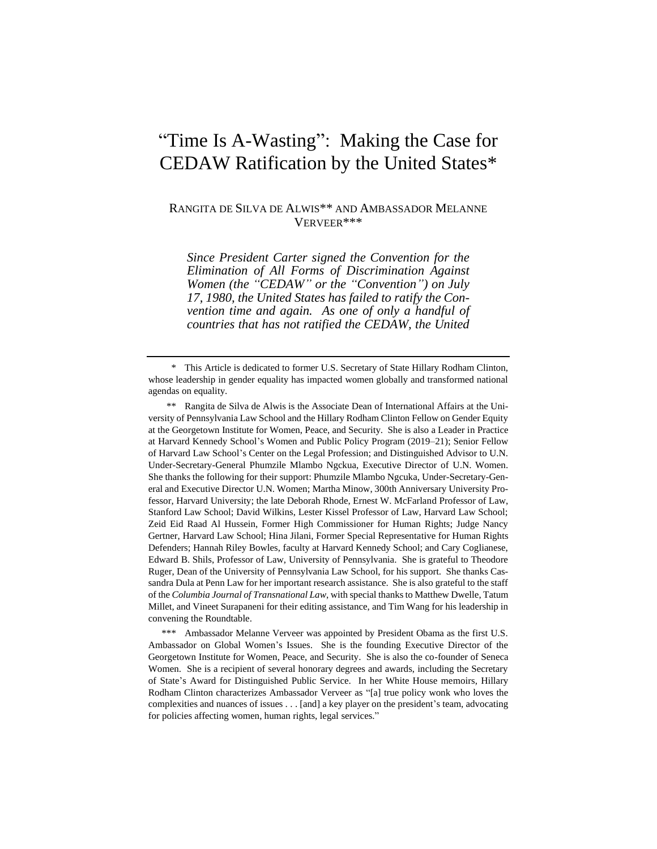# "Time Is A-Wasting": Making the Case for CEDAW Ratification by the United States\*

## RANGITA DE SILVA DE ALWIS\*\* AND AMBASSADOR MELANNE VERVEER\*\*\*

*Since President Carter signed the Convention for the Elimination of All Forms of Discrimination Against Women (the "CEDAW" or the "Convention") on July 17, 1980, the United States has failed to ratify the Convention time and again. As one of only a handful of countries that has not ratified the CEDAW, the United* 

\*\* Rangita de Silva de Alwis is the Associate Dean of International Affairs at the University of Pennsylvania Law School and the Hillary Rodham Clinton Fellow on Gender Equity at the Georgetown Institute for Women, Peace, and Security. She is also a Leader in Practice at Harvard Kennedy School's Women and Public Policy Program (2019–21); Senior Fellow of Harvard Law School's Center on the Legal Profession; and Distinguished Advisor to U.N. Under-Secretary-General Phumzile Mlambo Ngckua, Executive Director of U.N. Women. She thanks the following for their support: Phumzile Mlambo Ngcuka, Under-Secretary-General and Executive Director U.N. Women; Martha Minow, 300th Anniversary University Professor, Harvard University; the late Deborah Rhode, Ernest W. McFarland Professor of Law, Stanford Law School; David Wilkins, Lester Kissel Professor of Law, Harvard Law School; Zeid Eid Raad Al Hussein, Former High Commissioner for Human Rights; Judge Nancy Gertner, Harvard Law School; Hina Jilani, Former Special Representative for Human Rights Defenders; Hannah Riley Bowles, faculty at Harvard Kennedy School; and Cary Coglianese, Edward B. Shils, Professor of Law, University of Pennsylvania. She is grateful to Theodore Ruger, Dean of the University of Pennsylvania Law School, for his support. She thanks Cassandra Dula at Penn Law for her important research assistance. She is also grateful to the staff of the *Columbia Journal of Transnational Law*, with special thanks to Matthew Dwelle, Tatum Millet, and Vineet Surapaneni for their editing assistance, and Tim Wang for his leadership in convening the Roundtable.

\*\*\* Ambassador Melanne Verveer was appointed by President Obama as the first U.S. Ambassador on Global Women's Issues. She is the founding Executive Director of the Georgetown Institute for Women, Peace, and Security. She is also the co-founder of Seneca Women. She is a recipient of several honorary degrees and awards, including the Secretary of State's Award for Distinguished Public Service. In her White House memoirs, Hillary Rodham Clinton characterizes Ambassador Verveer as "[a] true policy wonk who loves the complexities and nuances of issues . . . [and] a key player on the president's team, advocating for policies affecting women, human rights, legal services."

<sup>\*</sup> This Article is dedicated to former U.S. Secretary of State Hillary Rodham Clinton, whose leadership in gender equality has impacted women globally and transformed national agendas on equality.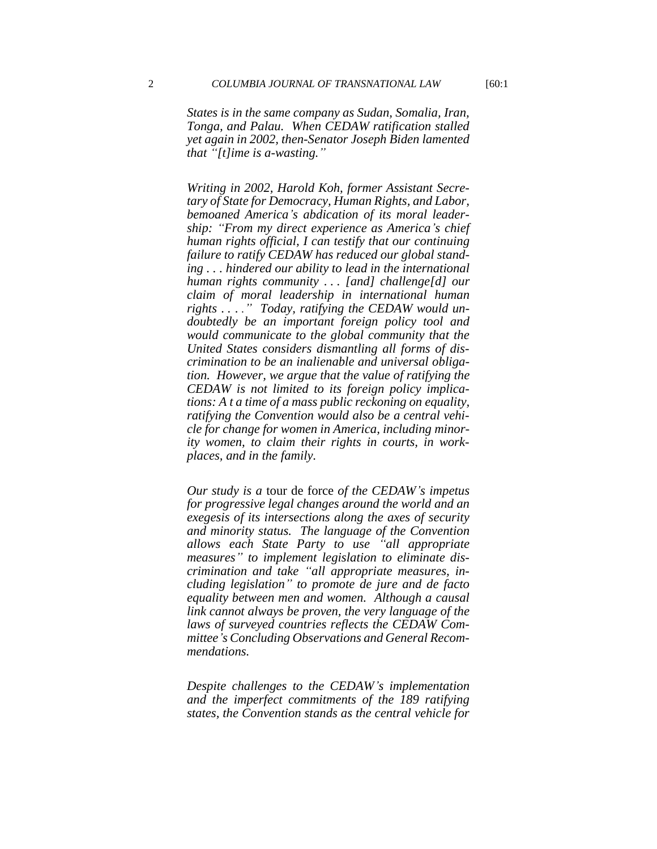*States is in the same company as Sudan, Somalia, Iran, Tonga, and Palau. When CEDAW ratification stalled yet again in 2002, then-Senator Joseph Biden lamented that "[t]ime is a-wasting."*

*Writing in 2002, Harold Koh, former Assistant Secretary of State for Democracy, Human Rights, and Labor, bemoaned America's abdication of its moral leadership: "From my direct experience as America's chief human rights official, I can testify that our continuing failure to ratify CEDAW has reduced our global standing . . . hindered our ability to lead in the international human rights community . . . [and] challenge[d] our claim of moral leadership in international human rights . . . ." Today, ratifying the CEDAW would undoubtedly be an important foreign policy tool and would communicate to the global community that the United States considers dismantling all forms of discrimination to be an inalienable and universal obligation. However, we argue that the value of ratifying the CEDAW is not limited to its foreign policy implications: A t a time of a mass public reckoning on equality, ratifying the Convention would also be a central vehicle for change for women in America, including minority women, to claim their rights in courts, in workplaces, and in the family.*

*Our study is a* tour de force *of the CEDAW's impetus for progressive legal changes around the world and an exegesis of its intersections along the axes of security and minority status. The language of the Convention allows each State Party to use "all appropriate measures" to implement legislation to eliminate discrimination and take "all appropriate measures, including legislation" to promote de jure and de facto equality between men and women. Although a causal link cannot always be proven, the very language of the laws of surveyed countries reflects the CEDAW Committee's Concluding Observations and General Recommendations.*

*Despite challenges to the CEDAW's implementation and the imperfect commitments of the 189 ratifying states, the Convention stands as the central vehicle for*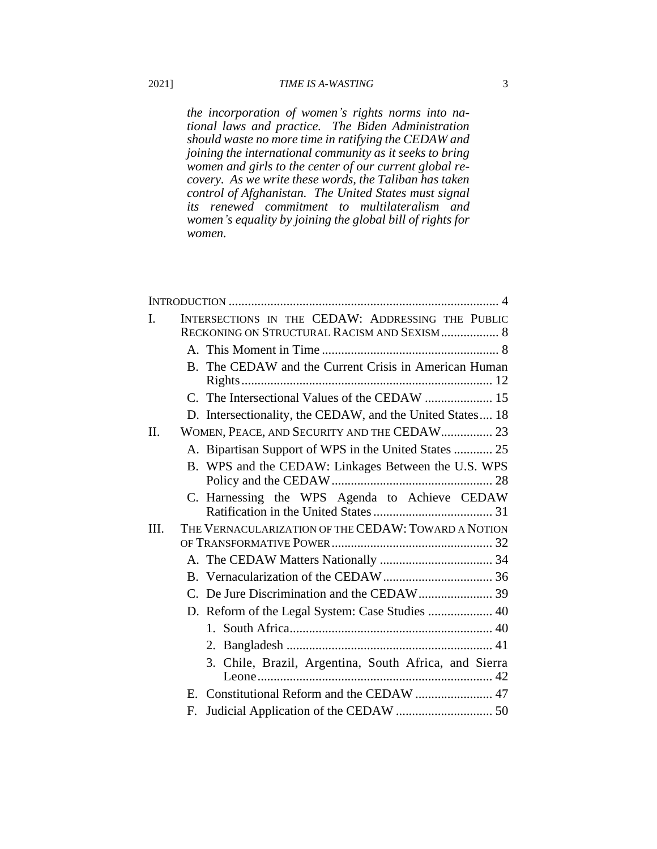*the incorporation of women's rights norms into national laws and practice. The Biden Administration should waste no more time in ratifying the CEDAW and joining the international community as it seeks to bring women and girls to the center of our current global recovery. As we write these words, the Taliban has taken control of Afghanistan. The United States must signal its renewed commitment to multilateralism and women's equality by joining the global bill of rights for women.*

| I.                                                     |                                             | INTERSECTIONS IN THE CEDAW: ADDRESSING THE PUBLIC         |  |  |  |  |
|--------------------------------------------------------|---------------------------------------------|-----------------------------------------------------------|--|--|--|--|
|                                                        | RECKONING ON STRUCTURAL RACISM AND SEXISM 8 |                                                           |  |  |  |  |
|                                                        |                                             |                                                           |  |  |  |  |
|                                                        |                                             | B. The CEDAW and the Current Crisis in American Human     |  |  |  |  |
|                                                        |                                             | C. The Intersectional Values of the CEDAW  15             |  |  |  |  |
|                                                        |                                             | D. Intersectionality, the CEDAW, and the United States 18 |  |  |  |  |
| WOMEN, PEACE, AND SECURITY AND THE CEDAW 23<br>$\Pi$ . |                                             |                                                           |  |  |  |  |
|                                                        |                                             | A. Bipartisan Support of WPS in the United States  25     |  |  |  |  |
|                                                        |                                             | B. WPS and the CEDAW: Linkages Between the U.S. WPS       |  |  |  |  |
|                                                        |                                             | C. Harnessing the WPS Agenda to Achieve CEDAW             |  |  |  |  |
| III.                                                   |                                             | THE VERNACULARIZATION OF THE CEDAW: TOWARD A NOTION       |  |  |  |  |
|                                                        |                                             |                                                           |  |  |  |  |
|                                                        |                                             |                                                           |  |  |  |  |
|                                                        |                                             |                                                           |  |  |  |  |
|                                                        |                                             |                                                           |  |  |  |  |
|                                                        |                                             | D. Reform of the Legal System: Case Studies  40           |  |  |  |  |
|                                                        |                                             |                                                           |  |  |  |  |
|                                                        |                                             |                                                           |  |  |  |  |
|                                                        |                                             | 3. Chile, Brazil, Argentina, South Africa, and Sierra     |  |  |  |  |
|                                                        |                                             | E. Constitutional Reform and the CEDAW  47                |  |  |  |  |
|                                                        | F.                                          |                                                           |  |  |  |  |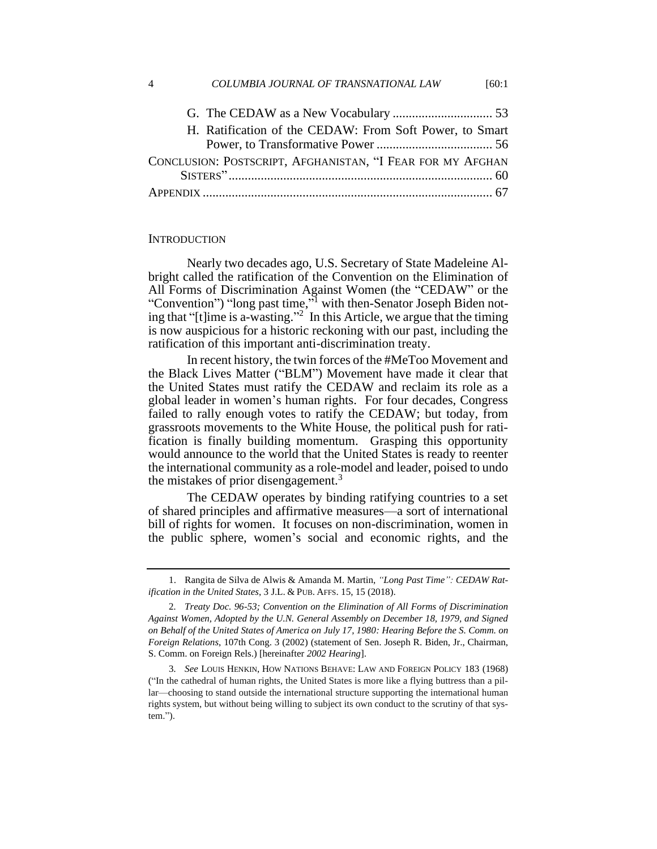| H. Ratification of the CEDAW: From Soft Power, to Smart    |  |
|------------------------------------------------------------|--|
|                                                            |  |
| CONCLUSION: POSTSCRIPT, AFGHANISTAN, "I FEAR FOR MY AFGHAN |  |
|                                                            |  |
|                                                            |  |

4 *COLUMBIA JOURNAL OF TRANSNATIONAL LAW* [60:1

#### **INTRODUCTION**

<span id="page-4-1"></span>Nearly two decades ago, U.S. Secretary of State Madeleine Albright called the ratification of the Convention on the Elimination of All Forms of Discrimination Against Women (the "CEDAW" or the "Convention") "long past time,"<sup>1</sup> with then-Senator Joseph Biden noting that "[t]ime is a-wasting." 2 In this Article, we argue that the timing is now auspicious for a historic reckoning with our past, including the ratification of this important anti-discrimination treaty.

<span id="page-4-0"></span>In recent history, the twin forces of the #MeToo Movement and the Black Lives Matter ("BLM") Movement have made it clear that the United States must ratify the CEDAW and reclaim its role as a global leader in women's human rights. For four decades, Congress failed to rally enough votes to ratify the CEDAW; but today, from grassroots movements to the White House, the political push for ratification is finally building momentum. Grasping this opportunity would announce to the world that the United States is ready to reenter the international community as a role-model and leader, poised to undo the mistakes of prior disengagement.<sup>3</sup>

The CEDAW operates by binding ratifying countries to a set of shared principles and affirmative measures—a sort of international bill of rights for women. It focuses on non-discrimination, women in the public sphere, women's social and economic rights, and the

<sup>1.</sup> Rangita de Silva de Alwis & Amanda M. Martin, *"Long Past Time": CEDAW Ratification in the United States*, 3 J.L. & PUB. AFFS. 15, 15 (2018).

<sup>2</sup>*. Treaty Doc. 96-53; Convention on the Elimination of All Forms of Discrimination Against Women, Adopted by the U.N. General Assembly on December 18, 1979, and Signed on Behalf of the United States of America on July 17, 1980: Hearing Before the S. Comm. on Foreign Relations*, 107th Cong. 3 (2002) (statement of Sen. Joseph R. Biden, Jr., Chairman, S. Comm. on Foreign Rels.) [hereinafter *2002 Hearing*].

<sup>3</sup>*. See* LOUIS HENKIN, HOW NATIONS BEHAVE: LAW AND FOREIGN POLICY 183 (1968) ("In the cathedral of human rights, the United States is more like a flying buttress than a pillar—choosing to stand outside the international structure supporting the international human rights system, but without being willing to subject its own conduct to the scrutiny of that system.").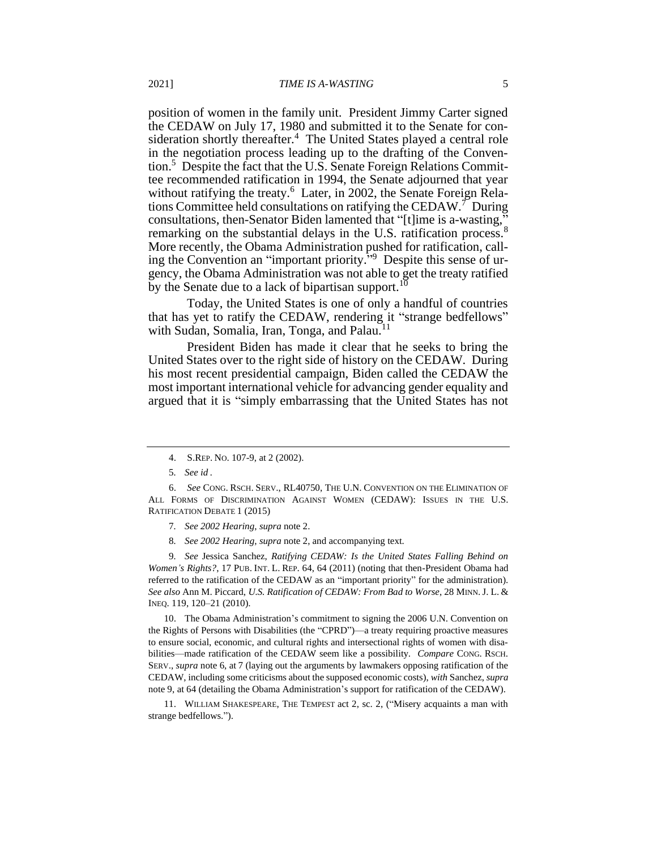<span id="page-5-0"></span>position of women in the family unit. President Jimmy Carter signed the CEDAW on July 17, 1980 and submitted it to the Senate for consideration shortly thereafter.<sup>4</sup> The United States played a central role in the negotiation process leading up to the drafting of the Convention.<sup>5</sup> Despite the fact that the U.S. Senate Foreign Relations Committee recommended ratification in 1994, the Senate adjourned that year without ratifying the treaty.<sup>6</sup> Later, in 2002, the Senate Foreign Relations Committee held consultations on ratifying the CEDAW.<sup> $\bar{\tau}$ </sup> During consultations, then-Senator Biden lamented that "[t]ime is a-wasting," remarking on the substantial delays in the U.S. ratification process.<sup>8</sup> More recently, the Obama Administration pushed for ratification, calling the Convention an "important priority."<sup>9</sup> Despite this sense of urgency, the Obama Administration was not able to get the treaty ratified by the Senate due to a lack of bipartisan support.<sup>10</sup>

<span id="page-5-1"></span>Today, the United States is one of only a handful of countries that has yet to ratify the CEDAW, rendering it "strange bedfellows" with Sudan, Somalia, Iran, Tonga, and Palau.<sup>11</sup>

President Biden has made it clear that he seeks to bring the United States over to the right side of history on the CEDAW. During his most recent presidential campaign, Biden called the CEDAW the most important international vehicle for advancing gender equality and argued that it is "simply embarrassing that the United States has not

9*. See* Jessica Sanchez, *Ratifying CEDAW: Is the United States Falling Behind on Women's Rights?,* 17 PUB. INT. L. REP. 64, 64 (2011) (noting that then-President Obama had referred to the ratification of the CEDAW as an "important priority" for the administration). *See also* Ann M. Piccard, *U.S. Ratification of CEDAW: From Bad to Worse*, 28 MINN.J. L. & INEQ. 119, 120–21 (2010).

10. The Obama Administration's commitment to signing the 2006 U.N. Convention on the Rights of Persons with Disabilities (the "CPRD")—a treaty requiring proactive measures to ensure social, economic, and cultural rights and intersectional rights of women with disabilities—made ratification of the CEDAW seem like a possibility. *Compare* CONG. RSCH. SERV., *supra* not[e 6,](#page-5-0) at 7 (laying out the arguments by lawmakers opposing ratification of the CEDAW, including some criticisms about the supposed economic costs), *with* Sanchez, *supra*  note [9,](#page-5-1) at 64 (detailing the Obama Administration's support for ratification of the CEDAW).

11. WILLIAM SHAKESPEARE, THE TEMPEST act 2, sc. 2, ("Misery acquaints a man with strange bedfellows.").

<sup>4.</sup> S.REP. NO. 107-9, at 2 (2002).

<sup>5</sup>*. See id .*

<sup>6.</sup> *See* CONG. RSCH. SERV., RL40750, THE U.N. CONVENTION ON THE ELIMINATION OF ALL FORMS OF DISCRIMINATION AGAINST WOMEN (CEDAW): ISSUES IN THE U.S. RATIFICATION DEBATE 1 (2015)

<sup>7</sup>*. See 2002 Hearing*, *supra* note [2.](#page-4-0)

<sup>8</sup>*. See 2002 Hearing*, *supra* not[e 2,](#page-4-0) and accompanying text.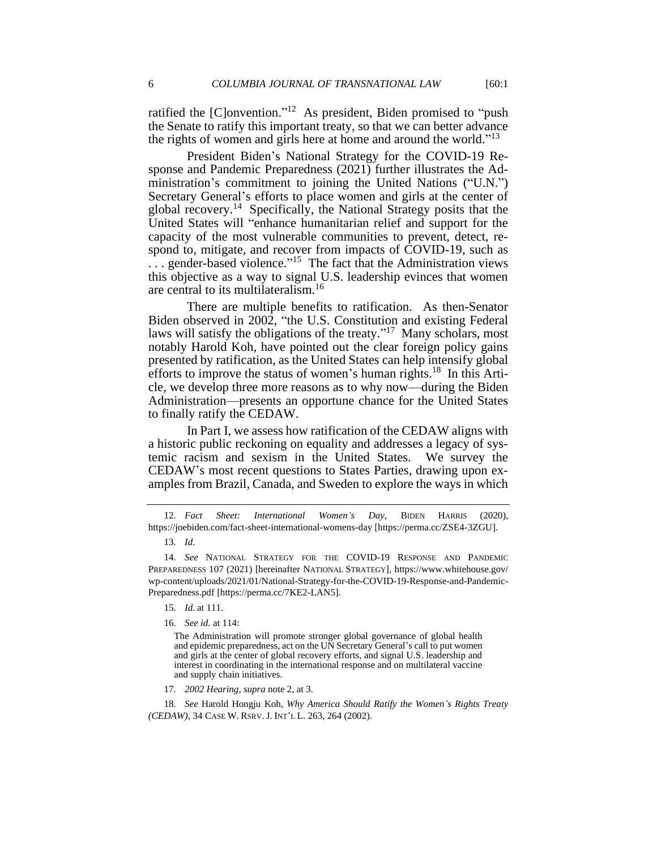ratified the [C]onvention."<sup>12</sup> As president, Biden promised to "push" the Senate to ratify this important treaty, so that we can better advance the rights of women and girls here at home and around the world."<sup>13</sup>

<span id="page-6-0"></span>President Biden's National Strategy for the COVID-19 Response and Pandemic Preparedness (2021) further illustrates the Administration's commitment to joining the United Nations ("U.N.") Secretary General's efforts to place women and girls at the center of global recovery.<sup>14</sup> Specifically, the National Strategy posits that the United States will "enhance humanitarian relief and support for the capacity of the most vulnerable communities to prevent, detect, respond to, mitigate, and recover from impacts of COVID-19, such as ... gender-based violence."<sup>15</sup> The fact that the Administration views this objective as a way to signal U.S. leadership evinces that women are central to its multilateralism.<sup>16</sup>

There are multiple benefits to ratification. As then-Senator Biden observed in 2002, "the U.S. Constitution and existing Federal laws will satisfy the obligations of the treaty."<sup>17</sup> Many scholars, most notably Harold Koh, have pointed out the clear foreign policy gains presented by ratification, as the United States can help intensify global efforts to improve the status of women's human rights.<sup>18</sup> In this Article, we develop three more reasons as to why now—during the Biden Administration—presents an opportune chance for the United States to finally ratify the CEDAW.

<span id="page-6-1"></span>In Part I, we assess how ratification of the CEDAW aligns with a historic public reckoning on equality and addresses a legacy of systemic racism and sexism in the United States. We survey the CEDAW's most recent questions to States Parties, drawing upon examples from Brazil, Canada, and Sweden to explore the ways in which

17*. 2002 Hearing*, *supra* note [2,](#page-4-0) at 3.

<sup>12</sup>*. Fact Sheet: International Women's Day*, BIDEN HARRIS (2020), https://joebiden.com/fact-sheet-international-womens-day [https://perma.cc/ZSE4-3ZGU].

<sup>13</sup>*. Id.*

<sup>14</sup>*. See* NATIONAL STRATEGY FOR THE COVID-19 RESPONSE AND PANDEMIC PREPAREDNESS 107 (2021) [hereinafter NATIONAL STRATEGY], https://www.whitehouse.gov/ wp-content/uploads/2021/01/National-Strategy-for-the-COVID-19-Response-and-Pandemic-Preparedness.pdf [https://perma.cc/7KE2-LAN5].

<sup>15</sup>*. Id.* at 111.

<sup>16</sup>*. See id.* at 114:

The Administration will promote stronger global governance of global health and epidemic preparedness, act on the UN Secretary General's call to put women and girls at the center of global recovery efforts, and signal U.S. leadership and interest in coordinating in the international response and on multilateral vaccine and supply chain initiatives.

<sup>18</sup>*. See* Harold Hongju Koh, *Why America Should Ratify the Women's Rights Treaty (CEDAW)*, 34 CASE W. RSRV. J. INT'L L. 263, 264 (2002).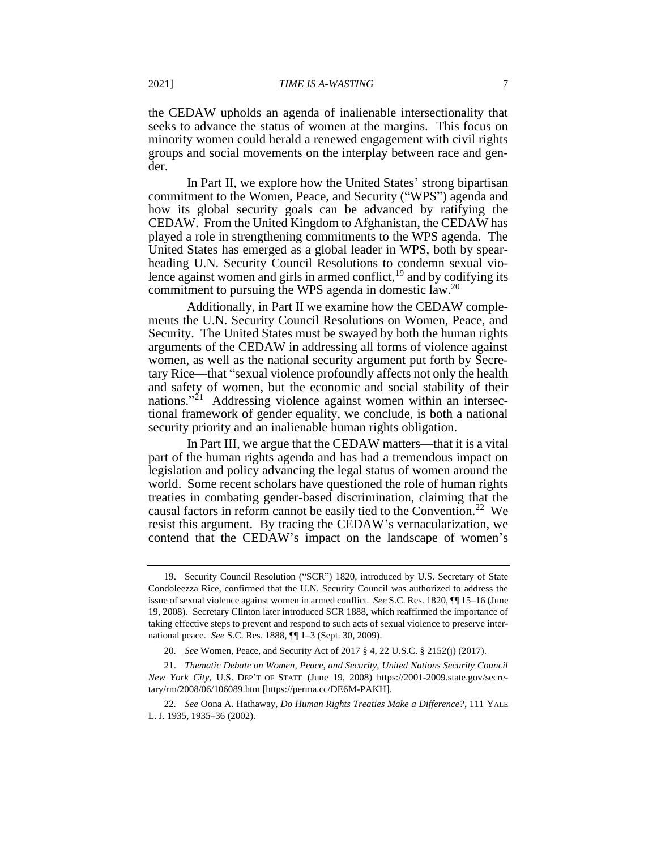the CEDAW upholds an agenda of inalienable intersectionality that seeks to advance the status of women at the margins. This focus on minority women could herald a renewed engagement with civil rights groups and social movements on the interplay between race and gender.

In Part II, we explore how the United States' strong bipartisan commitment to the Women, Peace, and Security ("WPS") agenda and how its global security goals can be advanced by ratifying the CEDAW. From the United Kingdom to Afghanistan, the CEDAW has played a role in strengthening commitments to the WPS agenda. The United States has emerged as a global leader in WPS, both by spearheading U.N. Security Council Resolutions to condemn sexual violence against women and girls in armed conflict, $19$  and by codifying its commitment to pursuing the WPS agenda in domestic law.<sup>20</sup>

<span id="page-7-1"></span>Additionally, in Part II we examine how the CEDAW complements the U.N. Security Council Resolutions on Women, Peace, and Security. The United States must be swayed by both the human rights arguments of the CEDAW in addressing all forms of violence against women, as well as the national security argument put forth by Secretary Rice—that "sexual violence profoundly affects not only the health and safety of women, but the economic and social stability of their nations."<sup>21</sup> Addressing violence against women within an intersectional framework of gender equality, we conclude, is both a national security priority and an inalienable human rights obligation.

In Part III, we argue that the CEDAW matters—that it is a vital part of the human rights agenda and has had a tremendous impact on legislation and policy advancing the legal status of women around the world. Some recent scholars have questioned the role of human rights treaties in combating gender-based discrimination, claiming that the causal factors in reform cannot be easily tied to the Convention.<sup>22</sup> We resist this argument. By tracing the CEDAW's vernacularization, we contend that the CEDAW's impact on the landscape of women's

<span id="page-7-0"></span><sup>19.</sup> Security Council Resolution ("SCR") 1820, introduced by U.S. Secretary of State Condoleezza Rice, confirmed that the U.N. Security Council was authorized to address the issue of sexual violence against women in armed conflict. *See* S.C. Res. 1820, ¶¶ 15–16 (June 19, 2008). Secretary Clinton later introduced SCR 1888, which reaffirmed the importance of taking effective steps to prevent and respond to such acts of sexual violence to preserve international peace. *See* S.C. Res. 1888, ¶¶ 1–3 (Sept. 30, 2009).

<sup>20</sup>*. See* Women, Peace, and Security Act of 2017 § 4, 22 U.S.C. § 2152(j) (2017).

<sup>21.</sup> *Thematic Debate on Women, Peace, and Security, United Nations Security Council New York City*, U.S. DEP'T OF STATE (June 19, 2008) https://2001-2009.state.gov/secretary/rm/2008/06/106089.htm [https://perma.cc/DE6M-PAKH].

<sup>22</sup>*. See* Oona A. Hathaway, *Do Human Rights Treaties Make a Difference?*, 111 YALE L. J. 1935, 1935–36 (2002).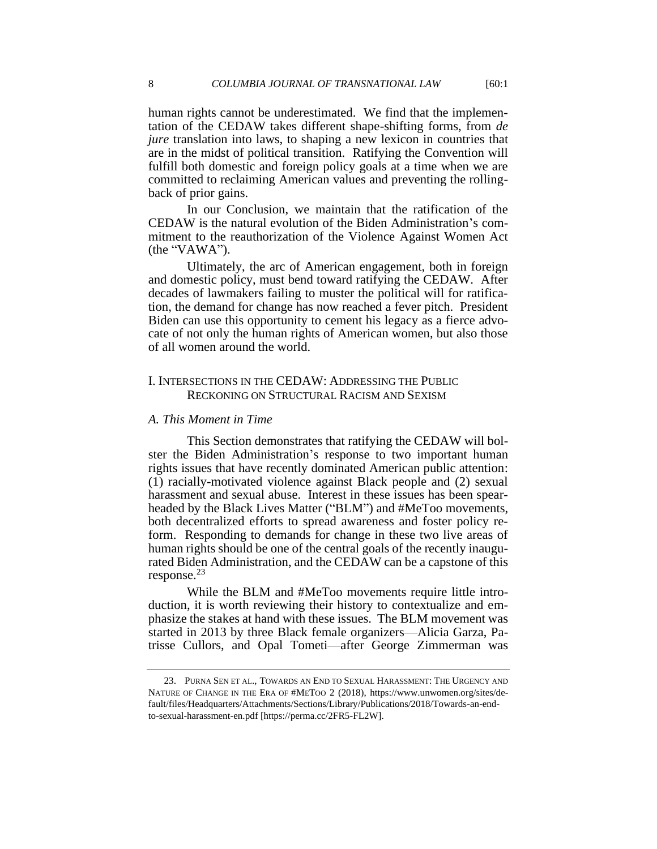human rights cannot be underestimated. We find that the implementation of the CEDAW takes different shape-shifting forms, from *de jure* translation into laws, to shaping a new lexicon in countries that are in the midst of political transition. Ratifying the Convention will fulfill both domestic and foreign policy goals at a time when we are committed to reclaiming American values and preventing the rollingback of prior gains.

In our Conclusion, we maintain that the ratification of the CEDAW is the natural evolution of the Biden Administration's commitment to the reauthorization of the Violence Against Women Act (the "VAWA").

Ultimately, the arc of American engagement, both in foreign and domestic policy, must bend toward ratifying the CEDAW. After decades of lawmakers failing to muster the political will for ratification, the demand for change has now reached a fever pitch. President Biden can use this opportunity to cement his legacy as a fierce advocate of not only the human rights of American women, but also those of all women around the world.

## I. INTERSECTIONS IN THE CEDAW: ADDRESSING THE PUBLIC RECKONING ON STRUCTURAL RACISM AND SEXISM

#### *A. This Moment in Time*

This Section demonstrates that ratifying the CEDAW will bolster the Biden Administration's response to two important human rights issues that have recently dominated American public attention: (1) racially-motivated violence against Black people and (2) sexual harassment and sexual abuse. Interest in these issues has been spearheaded by the Black Lives Matter ("BLM") and #MeToo movements, both decentralized efforts to spread awareness and foster policy reform. Responding to demands for change in these two live areas of human rights should be one of the central goals of the recently inaugurated Biden Administration, and the CEDAW can be a capstone of this response.<sup>23</sup>

While the BLM and #MeToo movements require little introduction, it is worth reviewing their history to contextualize and emphasize the stakes at hand with these issues. The BLM movement was started in 2013 by three Black female organizers—Alicia Garza, Patrisse Cullors, and Opal Tometi—after George Zimmerman was

<sup>23.</sup> PURNA SEN ET AL., TOWARDS AN END TO SEXUAL HARASSMENT: THE URGENCY AND NATURE OF CHANGE IN THE ERA OF #METOO 2 (2018), https://www.unwomen.org/sites/default/files/Headquarters/Attachments/Sections/Library/Publications/2018/Towards-an-endto-sexual-harassment-en.pdf [https://perma.cc/2FR5-FL2W].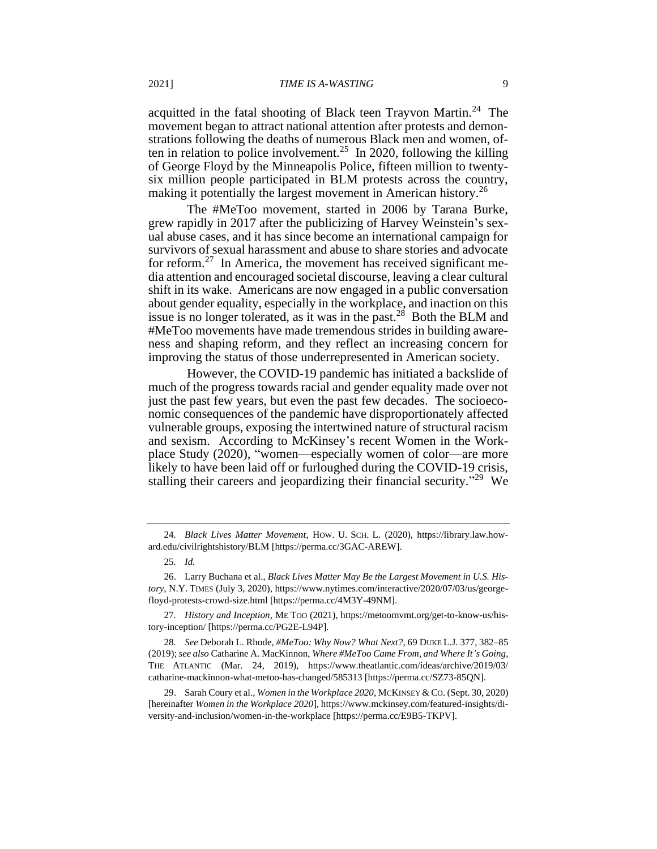acquitted in the fatal shooting of Black teen Trayvon Martin.<sup>24</sup> The movement began to attract national attention after protests and demonstrations following the deaths of numerous Black men and women, often in relation to police involvement.<sup>25</sup> In 2020, following the killing of George Floyd by the Minneapolis Police, fifteen million to twentysix million people participated in BLM protests across the country, making it potentially the largest movement in American history.<sup>26</sup>

The #MeToo movement, started in 2006 by Tarana Burke, grew rapidly in 2017 after the publicizing of Harvey Weinstein's sexual abuse cases, and it has since become an international campaign for survivors of sexual harassment and abuse to share stories and advocate for reform.<sup>27</sup> In America, the movement has received significant media attention and encouraged societal discourse, leaving a clear cultural shift in its wake. Americans are now engaged in a public conversation about gender equality, especially in the workplace, and inaction on this issue is no longer tolerated, as it was in the past.<sup>28</sup> Both the BLM and #MeToo movements have made tremendous strides in building awareness and shaping reform, and they reflect an increasing concern for improving the status of those underrepresented in American society.

However, the COVID-19 pandemic has initiated a backslide of much of the progress towards racial and gender equality made over not just the past few years, but even the past few decades. The socioeconomic consequences of the pandemic have disproportionately affected vulnerable groups, exposing the intertwined nature of structural racism and sexism. According to McKinsey's recent Women in the Workplace Study (2020), "women—especially women of color—are more likely to have been laid off or furloughed during the COVID-19 crisis, stalling their careers and jeopardizing their financial security."<sup>29</sup> We

<sup>24</sup>*. Black Lives Matter Movement*, HOW. U. SCH. L. (2020), https://library.law.howard.edu/civilrightshistory/BLM [https://perma.cc/3GAC-AREW].

<span id="page-9-0"></span><sup>25</sup>*. Id.*

<sup>26.</sup> Larry Buchana et al., *Black Lives Matter May Be the Largest Movement in U.S. History*, N.Y. TIMES (July 3, 2020), https://www.nytimes.com/interactive/2020/07/03/us/georgefloyd-protests-crowd-size.html [https://perma.cc/4M3Y-49NM].

<sup>27</sup>*. History and Inception*, ME TOO (2021), https://metoomvmt.org/get-to-know-us/history-inception/ [https://perma.cc/PG2E-L94P].

<sup>28</sup>*. See* Deborah L. Rhode, *#MeToo: Why Now? What Next?*, 69 DUKE L.J. 377, 382–85 (2019); *see also* Catharine A. MacKinnon, *Where #MeToo Came From, and Where It's Going*, THE ATLANTIC (Mar. 24, 2019), https://www.theatlantic.com/ideas/archive/2019/03/ catharine-mackinnon-what-metoo-has-changed/585313 [https://perma.cc/SZ73-85QN].

<sup>29.</sup> Sarah Coury et al., *Women in the Workplace 2020*, MCKINSEY &CO. (Sept. 30, 2020) [hereinafter *Women in the Workplace 2020*], https://www.mckinsey.com/featured-insights/diversity-and-inclusion/women-in-the-workplace [https://perma.cc/E9B5-TKPV].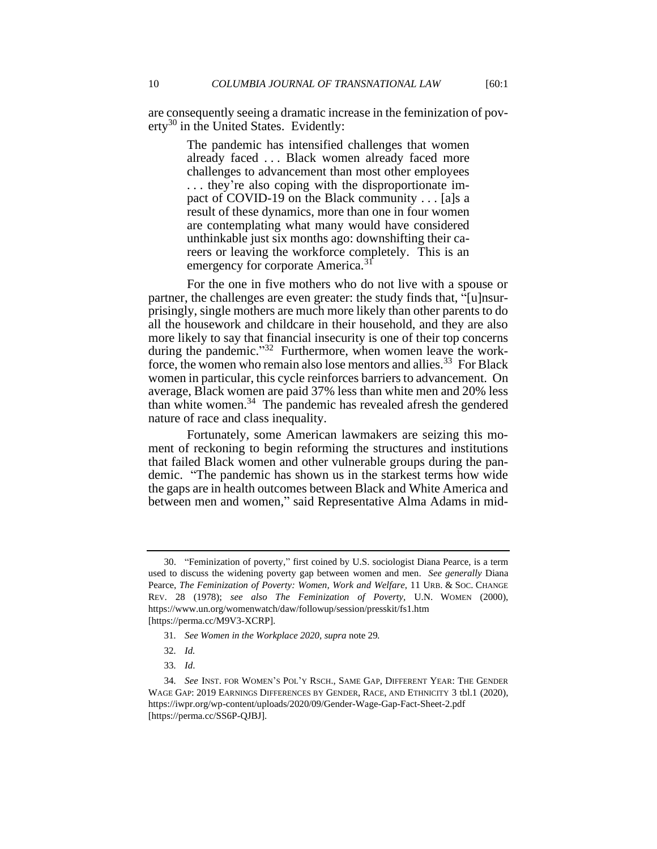are consequently seeing a dramatic increase in the feminization of poverty<sup>30</sup> in the United States. Evidently:

> The pandemic has intensified challenges that women already faced . . . Black women already faced more challenges to advancement than most other employees . . . they're also coping with the disproportionate impact of COVID-19 on the Black community . . . [a]s a result of these dynamics, more than one in four women are contemplating what many would have considered unthinkable just six months ago: downshifting their careers or leaving the workforce completely. This is an emergency for corporate America.<sup>31</sup>

For the one in five mothers who do not live with a spouse or partner, the challenges are even greater: the study finds that, "[u]nsurprisingly, single mothers are much more likely than other parents to do all the housework and childcare in their household, and they are also more likely to say that financial insecurity is one of their top concerns during the pandemic."<sup>32</sup> Furthermore, when women leave the workforce, the women who remain also lose mentors and allies.<sup>33</sup> For Black women in particular, this cycle reinforces barriers to advancement. On average, Black women are paid 37% less than white men and 20% less than white women.<sup>34</sup> The pandemic has revealed afresh the gendered nature of race and class inequality.

Fortunately, some American lawmakers are seizing this moment of reckoning to begin reforming the structures and institutions that failed Black women and other vulnerable groups during the pandemic. "The pandemic has shown us in the starkest terms how wide the gaps are in health outcomes between Black and White America and between men and women," said Representative Alma Adams in mid-

<sup>30.</sup> "Feminization of poverty," first coined by U.S. sociologist Diana Pearce, is a term used to discuss the widening poverty gap between women and men. *See generally* Diana Pearce, *The Feminization of Poverty: Women, Work and Welfare*, 11 URB. & SOC. CHANGE REV. 28 (1978); *see also The Feminization of Poverty,* U.N. WOMEN (2000), https://www.un.org/womenwatch/daw/followup/session/presskit/fs1.htm [https://perma.cc/M9V3-XCRP].

<sup>31</sup>*. See Women in the Workplace 2020, supra* note [29](#page-9-0)*.*

<sup>32</sup>*. Id.*

<sup>33</sup>*. Id*.

<sup>34</sup>*. See* INST. FOR WOMEN'S POL'Y RSCH., SAME GAP, DIFFERENT YEAR: THE GENDER WAGE GAP: 2019 EARNINGS DIFFERENCES BY GENDER, RACE, AND ETHNICITY 3 tbl.1 (2020), https://iwpr.org/wp-content/uploads/2020/09/Gender-Wage-Gap-Fact-Sheet-2.pdf [https://perma.cc/SS6P-QJBJ].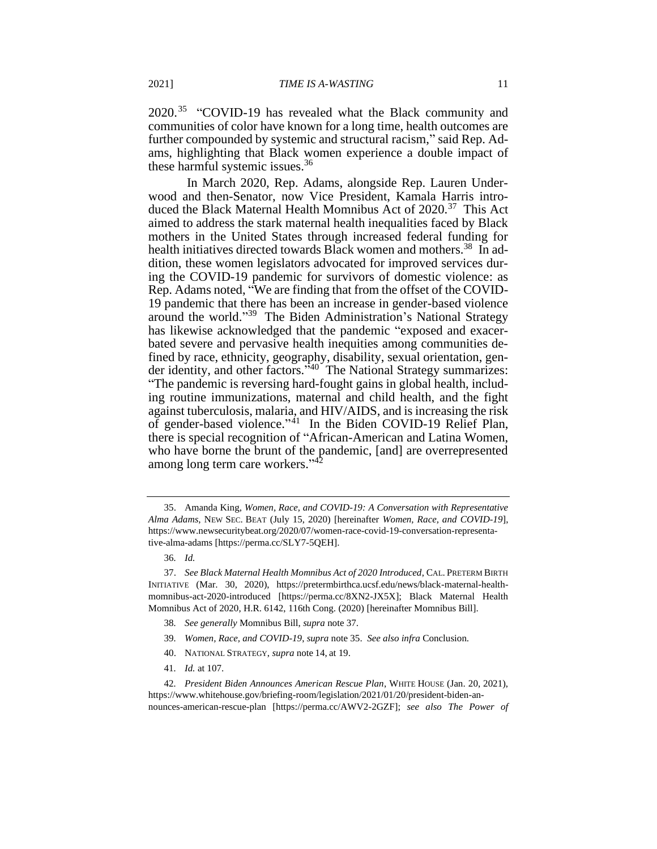<span id="page-11-1"></span>2020.<sup>35</sup> "COVID-19 has revealed what the Black community and communities of color have known for a long time, health outcomes are further compounded by systemic and structural racism," said Rep. Adams, highlighting that Black women experience a double impact of these harmful systemic issues.<sup>36</sup>

<span id="page-11-0"></span>In March 2020, Rep. Adams, alongside Rep. Lauren Underwood and then-Senator, now Vice President, Kamala Harris introduced the Black Maternal Health Momnibus Act of 2020.<sup>37</sup> This Act aimed to address the stark maternal health inequalities faced by Black mothers in the United States through increased federal funding for health initiatives directed towards Black women and mothers.<sup>38</sup> In addition, these women legislators advocated for improved services during the COVID-19 pandemic for survivors of domestic violence: as Rep. Adams noted, "We are finding that from the offset of the COVID-19 pandemic that there has been an increase in gender-based violence around the world." 39 The Biden Administration's National Strategy has likewise acknowledged that the pandemic "exposed and exacerbated severe and pervasive health inequities among communities defined by race, ethnicity, geography, disability, sexual orientation, gender identity, and other factors."<sup>40</sup> The National Strategy summarizes: "The pandemic is reversing hard-fought gains in global health, including routine immunizations, maternal and child health, and the fight against tuberculosis, malaria, and HIV/AIDS, and is increasing the risk of gender-based violence."<sup>41</sup> In the Biden COVID-19 Relief Plan, there is special recognition of "African-American and Latina Women, who have borne the brunt of the pandemic, [and] are overrepresented among long term care workers."<sup>42</sup>

- 38*. See generally* Momnibus Bill, *supra* note [37.](#page-11-0)
- 39*. Women, Race, and COVID-19*, *supra* note [35.](#page-11-1) *See also infra* Conclusion.
- 40. NATIONAL STRATEGY, *supra* note [14,](#page-6-0) at 19.
- 41*. Id.* at 107.

42*. President Biden Announces American Rescue Plan*, WHITE HOUSE (Jan. 20, 2021), https://www.whitehouse.gov/briefing-room/legislation/2021/01/20/president-biden-announces-american-rescue-plan [https://perma.cc/AWV2-2GZF]; *see also The Power of* 

<sup>35.</sup> Amanda King, *Women, Race, and COVID-19: A Conversation with Representative Alma Adams*, NEW SEC. BEAT (July 15, 2020) [hereinafter *Women, Race, and COVID-19*], https://www.newsecuritybeat.org/2020/07/women-race-covid-19-conversation-representative-alma-adams [https://perma.cc/SLY7-5QEH].

<sup>36</sup>*. Id.*

<sup>37.</sup> *See Black Maternal Health Momnibus Act of 2020 Introduced*, CAL. PRETERM BIRTH INITIATIVE (Mar. 30, 2020), https://pretermbirthca.ucsf.edu/news/black-maternal-healthmomnibus-act-2020-introduced [https://perma.cc/8XN2-JX5X]; Black Maternal Health Momnibus Act of 2020, H.R. 6142, 116th Cong. (2020) [hereinafter Momnibus Bill].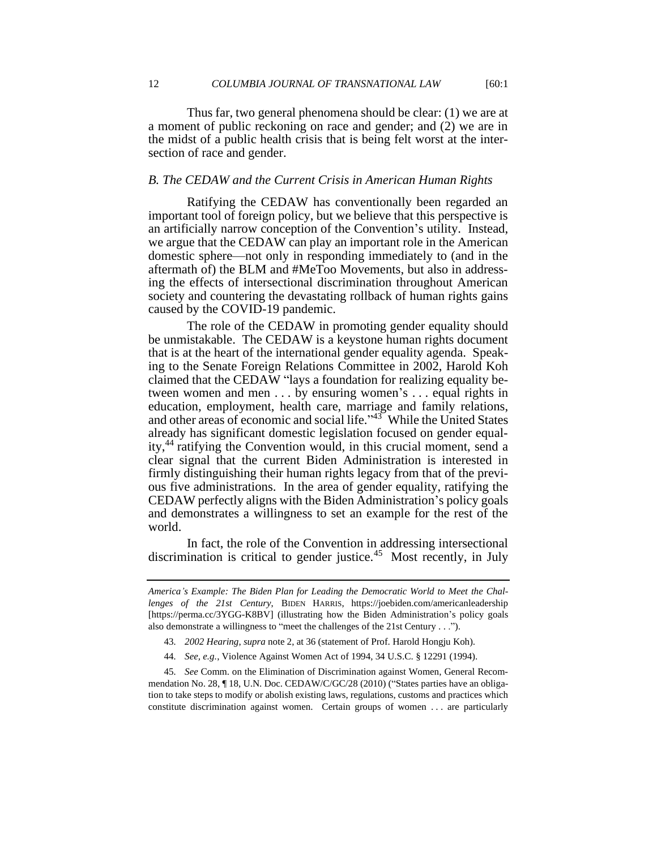Thus far, two general phenomena should be clear: (1) we are at a moment of public reckoning on race and gender; and (2) we are in the midst of a public health crisis that is being felt worst at the intersection of race and gender.

#### *B. The CEDAW and the Current Crisis in American Human Rights*

Ratifying the CEDAW has conventionally been regarded an important tool of foreign policy, but we believe that this perspective is an artificially narrow conception of the Convention's utility. Instead, we argue that the CEDAW can play an important role in the American domestic sphere—not only in responding immediately to (and in the aftermath of) the BLM and #MeToo Movements, but also in addressing the effects of intersectional discrimination throughout American society and countering the devastating rollback of human rights gains caused by the COVID-19 pandemic.

The role of the CEDAW in promoting gender equality should be unmistakable. The CEDAW is a keystone human rights document that is at the heart of the international gender equality agenda. Speaking to the Senate Foreign Relations Committee in 2002, Harold Koh claimed that the CEDAW "lays a foundation for realizing equality between women and men . . . by ensuring women's . . . equal rights in education, employment, health care, marriage and family relations, and other areas of economic and social life."<sup>43</sup> While the United States already has significant domestic legislation focused on gender equality,<sup>44</sup> ratifying the Convention would, in this crucial moment, send a clear signal that the current Biden Administration is interested in firmly distinguishing their human rights legacy from that of the previous five administrations. In the area of gender equality, ratifying the CEDAW perfectly aligns with the Biden Administration's policy goals and demonstrates a willingness to set an example for the rest of the world.

<span id="page-12-0"></span>In fact, the role of the Convention in addressing intersectional discrimination is critical to gender justice.<sup>45</sup> Most recently, in July

*America's Example: The Biden Plan for Leading the Democratic World to Meet the Challenges of the 21st Century*, BIDEN HARRIS, https://joebiden.com/americanleadership [https://perma.cc/3YGG-K8BV] (illustrating how the Biden Administration's policy goals also demonstrate a willingness to "meet the challenges of the 21st Century . . .").

<sup>43</sup>*. 2002 Hearing*, *supra* not[e 2,](#page-4-0) at 36 (statement of Prof. Harold Hongju Koh).

<sup>44</sup>*. See, e.g.*, Violence Against Women Act of 1994, 34 U.S.C. § 12291 (1994).

<sup>45</sup>*. See* Comm. on the Elimination of Discrimination against Women, General Recommendation No. 28, ¶ 18, U.N. Doc. CEDAW/C/GC/28 (2010) ("States parties have an obligation to take steps to modify or abolish existing laws, regulations, customs and practices which constitute discrimination against women. Certain groups of women . . . are particularly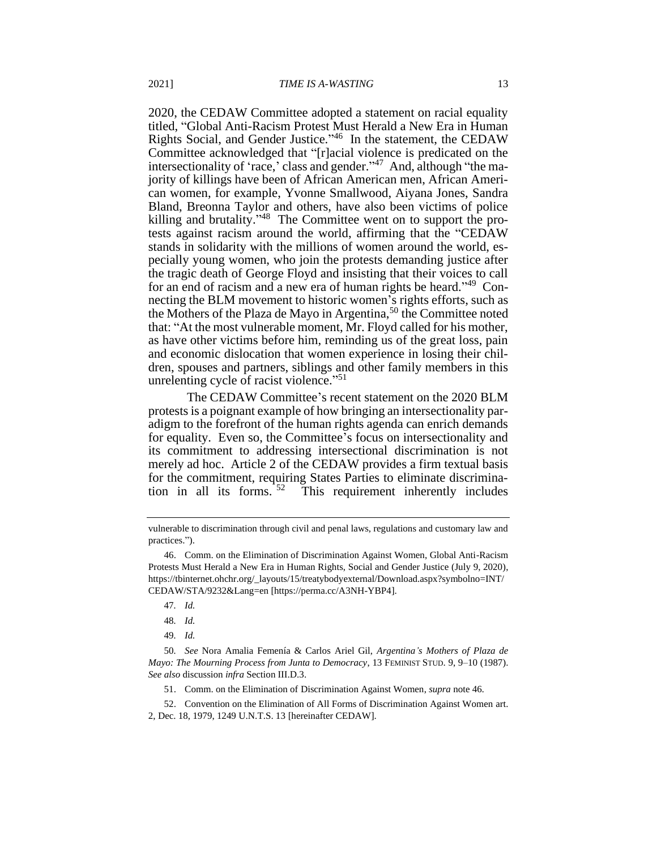<span id="page-13-0"></span>2020, the CEDAW Committee adopted a statement on racial equality titled, "Global Anti-Racism Protest Must Herald a New Era in Human Rights Social, and Gender Justice." 46 In the statement, the CEDAW Committee acknowledged that "[r]acial violence is predicated on the intersectionality of 'race,' class and gender."<sup>47</sup> And, although "the majority of killings have been of African American men, African American women, for example, Yvonne Smallwood, Aiyana Jones, Sandra Bland, Breonna Taylor and others, have also been victims of police killing and brutality."<sup>48</sup> The Committee went on to support the protests against racism around the world, affirming that the "CEDAW stands in solidarity with the millions of women around the world, especially young women, who join the protests demanding justice after the tragic death of George Floyd and insisting that their voices to call for an end of racism and a new era of human rights be heard."<sup>49</sup> Connecting the BLM movement to historic women's rights efforts, such as the Mothers of the Plaza de Mayo in Argentina,<sup>50</sup> the Committee noted that: "At the most vulnerable moment, Mr. Floyd called for his mother, as have other victims before him, reminding us of the great loss, pain and economic dislocation that women experience in losing their children, spouses and partners, siblings and other family members in this unrelenting cycle of racist violence."<sup>51</sup>

The CEDAW Committee's recent statement on the 2020 BLM protests is a poignant example of how bringing an intersectionality paradigm to the forefront of the human rights agenda can enrich demands for equality. Even so, the Committee's focus on intersectionality and its commitment to addressing intersectional discrimination is not merely ad hoc. Article 2 of the CEDAW provides a firm textual basis for the commitment, requiring States Parties to eliminate discrimination in all its forms.  $52$ This requirement inherently includes

49*. Id.*

50*. See* Nora Amalia Femenía & Carlos Ariel Gil, *Argentina's Mothers of Plaza de Mayo: The Mourning Process from Junta to Democracy*, 13 FEMINIST STUD. 9, 9–10 (1987). *See also* discussion *infra* Section III.D.3.

51. Comm. on the Elimination of Discrimination Against Women, *supra* note [46](#page-13-0)*.*

52. Convention on the Elimination of All Forms of Discrimination Against Women art. 2, Dec. 18, 1979, 1249 U.N.T.S. 13 [hereinafter CEDAW].

<span id="page-13-1"></span>vulnerable to discrimination through civil and penal laws, regulations and customary law and practices.").

<sup>46.</sup> Comm. on the Elimination of Discrimination Against Women, Global Anti-Racism Protests Must Herald a New Era in Human Rights, Social and Gender Justice (July 9, 2020), https://tbinternet.ohchr.org/\_layouts/15/treatybodyexternal/Download.aspx?symbolno=INT/ CEDAW/STA/9232&Lang=en [https://perma.cc/A3NH-YBP4].

<sup>47</sup>*. Id.*

<sup>48</sup>*. Id.*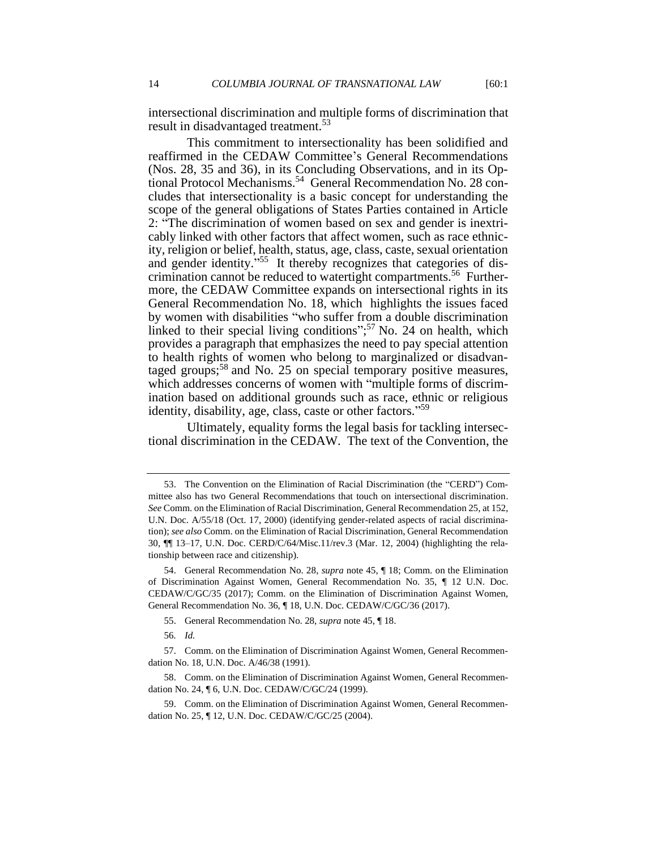intersectional discrimination and multiple forms of discrimination that result in disadvantaged treatment.<sup>53</sup>

<span id="page-14-0"></span>This commitment to intersectionality has been solidified and reaffirmed in the CEDAW Committee's General Recommendations (Nos. 28, 35 and 36), in its Concluding Observations, and in its Optional Protocol Mechanisms.<sup>54</sup> General Recommendation No. 28 concludes that intersectionality is a basic concept for understanding the scope of the general obligations of States Parties contained in Article 2: "The discrimination of women based on sex and gender is inextricably linked with other factors that affect women, such as race ethnicity, religion or belief, health, status, age, class, caste, sexual orientation and gender identity."<sup>55</sup> It thereby recognizes that categories of discrimination cannot be reduced to watertight compartments.<sup>56</sup> Furthermore, the CEDAW Committee expands on intersectional rights in its General Recommendation No. 18, which highlights the issues faced by women with disabilities "who suffer from a double discrimination linked to their special living conditions";<sup>57</sup> No. 24 on health, which provides a paragraph that emphasizes the need to pay special attention to health rights of women who belong to marginalized or disadvantaged groups;<sup>58</sup> and No. 25 on special temporary positive measures, which addresses concerns of women with "multiple forms of discrimination based on additional grounds such as race, ethnic or religious identity, disability, age, class, caste or other factors."<sup>59</sup>

Ultimately, equality forms the legal basis for tackling intersectional discrimination in the CEDAW. The text of the Convention, the

<sup>53.</sup> The Convention on the Elimination of Racial Discrimination (the "CERD") Committee also has two General Recommendations that touch on intersectional discrimination. *See* Comm. on the Elimination of Racial Discrimination, General Recommendation 25, at 152, U.N. Doc. A/55/18 (Oct. 17, 2000) (identifying gender-related aspects of racial discrimination); *see also* Comm. on the Elimination of Racial Discrimination, General Recommendation 30, ¶¶ 13–17, U.N. Doc. CERD/C/64/Misc.11/rev.3 (Mar. 12, 2004) (highlighting the relationship between race and citizenship).

<sup>54.</sup> General Recommendation No. 28, *supra* note [45,](#page-12-0) ¶ 18; Comm. on the Elimination of Discrimination Against Women, General Recommendation No. 35, ¶ 12 U.N. Doc. CEDAW/C/GC/35 (2017); Comm. on the Elimination of Discrimination Against Women, General Recommendation No. 36, ¶ 18, U.N. Doc. CEDAW/C/GC/36 (2017).

<sup>55.</sup> General Recommendation No. 28, *supra* note [45,](#page-12-0) ¶ 18.

<sup>56</sup>*. Id.*

<sup>57.</sup> Comm. on the Elimination of Discrimination Against Women, General Recommendation No. 18, U.N. Doc. A/46/38 (1991).

<sup>58.</sup> Comm. on the Elimination of Discrimination Against Women, General Recommendation No. 24, ¶ 6, U.N. Doc. CEDAW/C/GC/24 (1999).

<sup>59.</sup> Comm. on the Elimination of Discrimination Against Women, General Recommendation No. 25, ¶ 12, U.N. Doc. CEDAW/C/GC/25 (2004).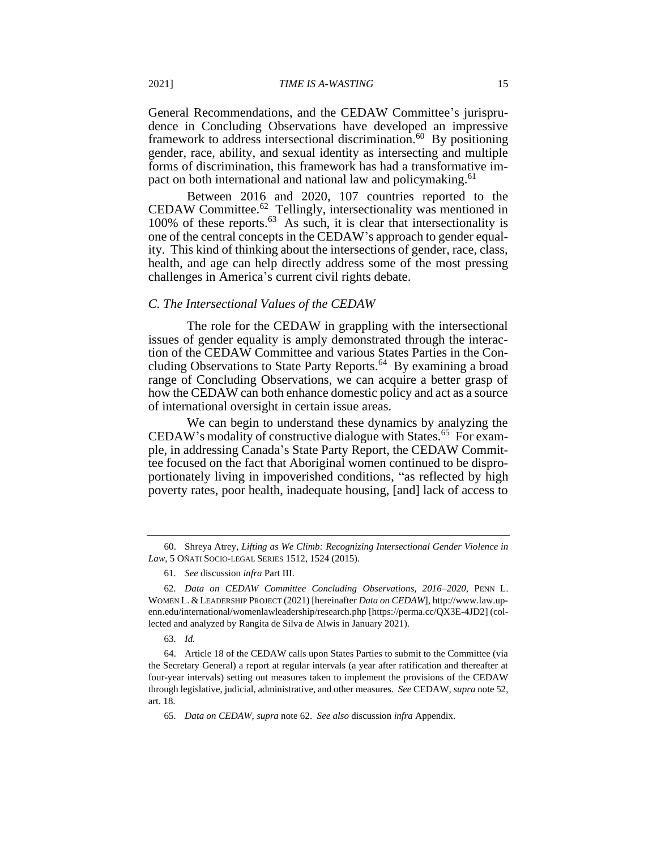General Recommendations, and the CEDAW Committee's jurisprudence in Concluding Observations have developed an impressive framework to address intersectional discrimination.<sup>60</sup> By positioning gender, race, ability, and sexual identity as intersecting and multiple forms of discrimination, this framework has had a transformative impact on both international and national law and policymaking.<sup>61</sup>

<span id="page-15-0"></span>Between 2016 and 2020, 107 countries reported to the CEDAW Committee.<sup>62</sup> Tellingly, intersectionality was mentioned in 100% of these reports.<sup>63</sup> As such, it is clear that intersectionality is one of the central concepts in the CEDAW's approach to gender equality. This kind of thinking about the intersections of gender, race, class, health, and age can help directly address some of the most pressing challenges in America's current civil rights debate.

#### *C. The Intersectional Values of the CEDAW*

The role for the CEDAW in grappling with the intersectional issues of gender equality is amply demonstrated through the interaction of the CEDAW Committee and various States Parties in the Concluding Observations to State Party Reports.<sup>64</sup> By examining a broad range of Concluding Observations, we can acquire a better grasp of how the CEDAW can both enhance domestic policy and act as a source of international oversight in certain issue areas.

We can begin to understand these dynamics by analyzing the CEDAW's modality of constructive dialogue with States.<sup>65</sup> For example, in addressing Canada's State Party Report, the CEDAW Committee focused on the fact that Aboriginal women continued to be disproportionately living in impoverished conditions, "as reflected by high poverty rates, poor health, inadequate housing, [and] lack of access to

65*. Data on CEDAW*, *supra* note [62.](#page-15-0) *See also* discussion *infra* Appendix.

<sup>60.</sup> Shreya Atrey, *Lifting as We Climb: Recognizing Intersectional Gender Violence in Law*, 5 OÑATI SOCIO-LEGAL SERIES 1512, 1524 (2015).

<sup>61</sup>*. See* discussion *infra* Part III.

<sup>62</sup>*. Data on CEDAW Committee Concluding Observations, 2016–2020*, PENN L. WOMEN L. &LEADERSHIP PROJECT (2021) [hereinafter *Data on CEDAW*], http://www.law.upenn.edu/international/womenlawleadership/research.php [https://perma.cc/QX3E-4JD2] (collected and analyzed by Rangita de Silva de Alwis in January 2021).

<sup>63</sup>*. Id.*

<sup>64.</sup> Article 18 of the CEDAW calls upon States Parties to submit to the Committee (via the Secretary General) a report at regular intervals (a year after ratification and thereafter at four-year intervals) setting out measures taken to implement the provisions of the CEDAW through legislative, judicial, administrative, and other measures. *See* CEDAW, *supra* note [52,](#page-13-1)  art. 18.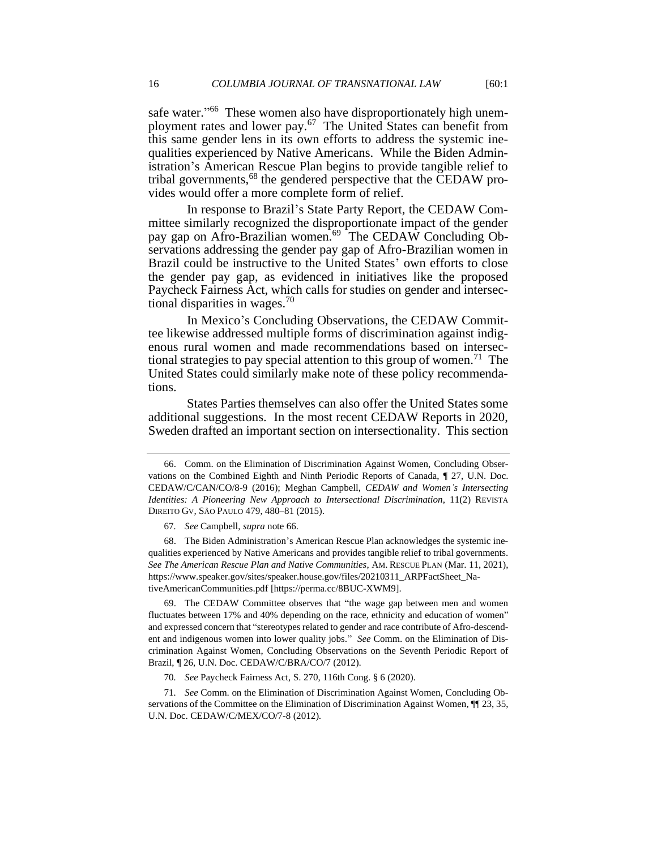<span id="page-16-0"></span>safe water."<sup>66</sup> These women also have disproportionately high unemployment rates and lower pay.<sup>67</sup> The United States can benefit from this same gender lens in its own efforts to address the systemic inequalities experienced by Native Americans. While the Biden Administration's American Rescue Plan begins to provide tangible relief to tribal governments,<sup>68</sup> the gendered perspective that the CEDAW provides would offer a more complete form of relief.

In response to Brazil's State Party Report, the CEDAW Committee similarly recognized the disproportionate impact of the gender pay gap on Afro-Brazilian women.<sup>69</sup> The CEDAW Concluding Observations addressing the gender pay gap of Afro-Brazilian women in Brazil could be instructive to the United States' own efforts to close the gender pay gap, as evidenced in initiatives like the proposed Paycheck Fairness Act, which calls for studies on gender and intersectional disparities in wages. $70$ 

In Mexico's Concluding Observations, the CEDAW Committee likewise addressed multiple forms of discrimination against indigenous rural women and made recommendations based on intersectional strategies to pay special attention to this group of women.<sup>71</sup> The United States could similarly make note of these policy recommendations.

States Parties themselves can also offer the United States some additional suggestions. In the most recent CEDAW Reports in 2020, Sweden drafted an important section on intersectionality. This section

68. The Biden Administration's American Rescue Plan acknowledges the systemic inequalities experienced by Native Americans and provides tangible relief to tribal governments. *See The American Rescue Plan and Native Communities*, AM. RESCUE PLAN (Mar. 11, 2021), https://www.speaker.gov/sites/speaker.house.gov/files/20210311\_ARPFactSheet\_NativeAmericanCommunities.pdf [https://perma.cc/8BUC-XWM9].

69. The CEDAW Committee observes that "the wage gap between men and women fluctuates between 17% and 40% depending on the race, ethnicity and education of women" and expressed concern that "stereotypes related to gender and race contribute of Afro-descendent and indigenous women into lower quality jobs." *See* Comm. on the Elimination of Discrimination Against Women, Concluding Observations on the Seventh Periodic Report of Brazil, ¶ 26, U.N. Doc. CEDAW/C/BRA/CO/7 (2012).

70*. See* Paycheck Fairness Act, S. 270, 116th Cong. § 6 (2020).

71*. See* Comm. on the Elimination of Discrimination Against Women, Concluding Observations of the Committee on the Elimination of Discrimination Against Women*,* ¶¶ 23, 35, U.N. Doc. CEDAW/C/MEX/CO/7-8 (2012).

<sup>66.</sup> Comm. on the Elimination of Discrimination Against Women, Concluding Observations on the Combined Eighth and Ninth Periodic Reports of Canada, ¶ 27, U.N. Doc. CEDAW/C/CAN/CO/8-9 (2016); Meghan Campbell, *CEDAW and Women's Intersecting Identities: A Pioneering New Approach to Intersectional Discrimination*, 11(2) REVISTA DIREITO GV*,* SÃO PAULO 479, 480–81 (2015).

<sup>67</sup>*. See* Campbell, *supra* note [66.](#page-16-0)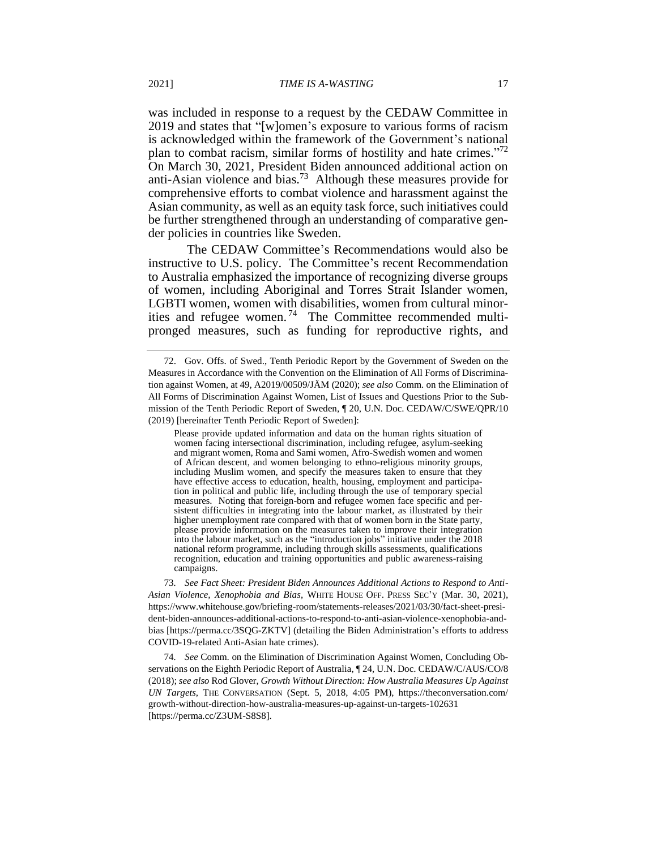<span id="page-17-1"></span>was included in response to a request by the CEDAW Committee in 2019 and states that "[w]omen's exposure to various forms of racism is acknowledged within the framework of the Government's national plan to combat racism, similar forms of hostility and hate crimes."<sup>72</sup> On March 30, 2021, President Biden announced additional action on anti-Asian violence and bias.<sup>73</sup> Although these measures provide for comprehensive efforts to combat violence and harassment against the Asian community, as well as an equity task force, such initiatives could be further strengthened through an understanding of comparative gender policies in countries like Sweden.

The CEDAW Committee's Recommendations would also be instructive to U.S. policy. The Committee's recent Recommendation to Australia emphasized the importance of recognizing diverse groups of women, including Aboriginal and Torres Strait Islander women, LGBTI women, women with disabilities, women from cultural minorities and refugee women.<sup>74</sup> The Committee recommended multipronged measures, such as funding for reproductive rights, and

<span id="page-17-0"></span><sup>72.</sup> Gov. Offs. of Swed., Tenth Periodic Report by the Government of Sweden on the Measures in Accordance with the Convention on the Elimination of All Forms of Discrimination against Women, at 49, A2019/00509/JÄM (2020); *see also* Comm. on the Elimination of All Forms of Discrimination Against Women, List of Issues and Questions Prior to the Submission of the Tenth Periodic Report of Sweden, ¶ 20, U.N. Doc. CEDAW/C/SWE/QPR/10 (2019) [hereinafter Tenth Periodic Report of Sweden]:

Please provide updated information and data on the human rights situation of women facing intersectional discrimination, including refugee, asylum-seeking and migrant women, Roma and Sami women, Afro-Swedish women and women of African descent, and women belonging to ethno-religious minority groups, including Muslim women, and specify the measures taken to ensure that they have effective access to education, health, housing, employment and participation in political and public life, including through the use of temporary special measures. Noting that foreign-born and refugee women face specific and persistent difficulties in integrating into the labour market, as illustrated by their higher unemployment rate compared with that of women born in the State party, please provide information on the measures taken to improve their integration into the labour market, such as the "introduction jobs" initiative under the 2018 national reform programme, including through skills assessments, qualifications recognition, education and training opportunities and public awareness-raising campaigns.

<sup>73</sup>*. See Fact Sheet: President Biden Announces Additional Actions to Respond to Anti-Asian Violence, Xenophobia and Bias*, WHITE HOUSE OFF. PRESS SEC'Y (Mar. 30, 2021), https://www.whitehouse.gov/briefing-room/statements-releases/2021/03/30/fact-sheet-president-biden-announces-additional-actions-to-respond-to-anti-asian-violence-xenophobia-andbias [https://perma.cc/3SQG-ZKTV] (detailing the Biden Administration's efforts to address COVID-19-related Anti-Asian hate crimes).

<sup>74</sup>*. See* Comm. on the Elimination of Discrimination Against Women, Concluding Observations on the Eighth Periodic Report of Australia, ¶ 24, U.N. Doc. CEDAW/C/AUS/CO/8 (2018); *see also* Rod Glover, *Growth Without Direction: How Australia Measures Up Against UN Targets*, THE CONVERSATION (Sept. 5, 2018, 4:05 PM), https://theconversation.com/ growth-without-direction-how-australia-measures-up-against-un-targets-102631 [https://perma.cc/Z3UM-S8S8].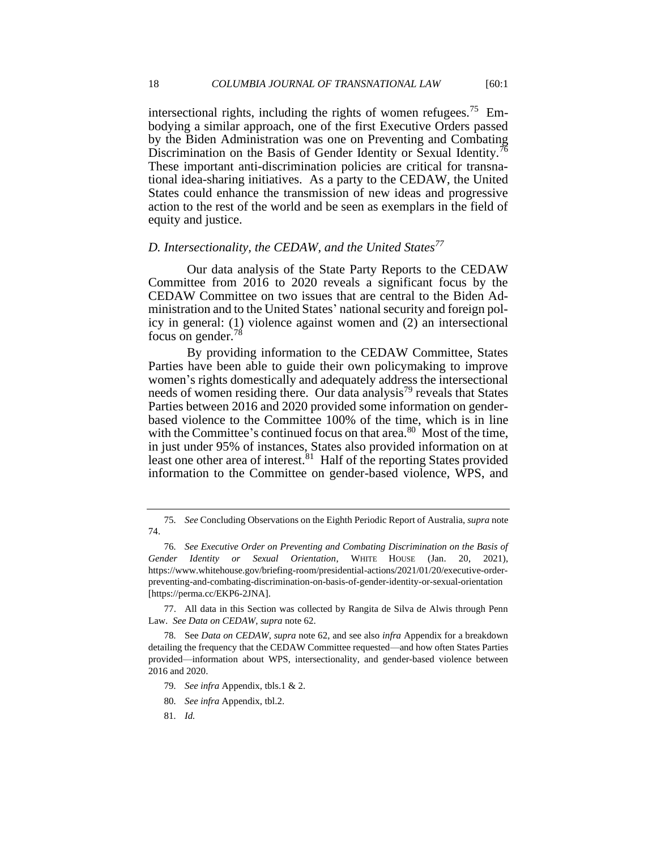intersectional rights, including the rights of women refugees.<sup>75</sup> Embodying a similar approach, one of the first Executive Orders passed by the Biden Administration was one on Preventing and Combating Discrimination on the Basis of Gender Identity or Sexual Identity.<sup>76</sup> These important anti-discrimination policies are critical for transnational idea-sharing initiatives. As a party to the CEDAW, the United States could enhance the transmission of new ideas and progressive action to the rest of the world and be seen as exemplars in the field of equity and justice.

## *D. Intersectionality, the CEDAW, and the United States<sup>77</sup>*

Our data analysis of the State Party Reports to the CEDAW Committee from 2016 to 2020 reveals a significant focus by the CEDAW Committee on two issues that are central to the Biden Administration and to the United States' national security and foreign policy in general: (1) violence against women and (2) an intersectional focus on gender.<sup>78</sup>

By providing information to the CEDAW Committee, States Parties have been able to guide their own policymaking to improve women's rights domestically and adequately address the intersectional needs of women residing there. Our data analysis<sup>79</sup> reveals that States Parties between 2016 and 2020 provided some information on genderbased violence to the Committee 100% of the time, which is in line with the Committee's continued focus on that area. $80\degree$  Most of the time, in just under 95% of instances, States also provided information on at least one other area of interest.<sup>81</sup> Half of the reporting States provided information to the Committee on gender-based violence, WPS, and

- 79*. See infra* Appendix, tbls.1 & 2.
- 80*. See infra* Appendix, tbl.2.
- 81*. Id.*

<sup>75</sup>*. See* Concluding Observations on the Eighth Periodic Report of Australia, *supra* note [74.](#page-17-0)

<sup>76</sup>*. See Executive Order on Preventing and Combating Discrimination on the Basis of Gender Identity or Sexual Orientation*, WHITE HOUSE (Jan. 20, 2021), https://www.whitehouse.gov/briefing-room/presidential-actions/2021/01/20/executive-orderpreventing-and-combating-discrimination-on-basis-of-gender-identity-or-sexual-orientation [https://perma.cc/EKP6-2JNA].

<sup>77.</sup> All data in this Section was collected by Rangita de Silva de Alwis through Penn Law. *See Data on CEDAW*, *supra* not[e 62.](#page-15-0)

<sup>78</sup>*.* See *Data on CEDAW*, *supra* note [62,](#page-15-0) and see also *infra* Appendix for a breakdown detailing the frequency that the CEDAW Committee requested—and how often States Parties provided—information about WPS, intersectionality, and gender-based violence between 2016 and 2020.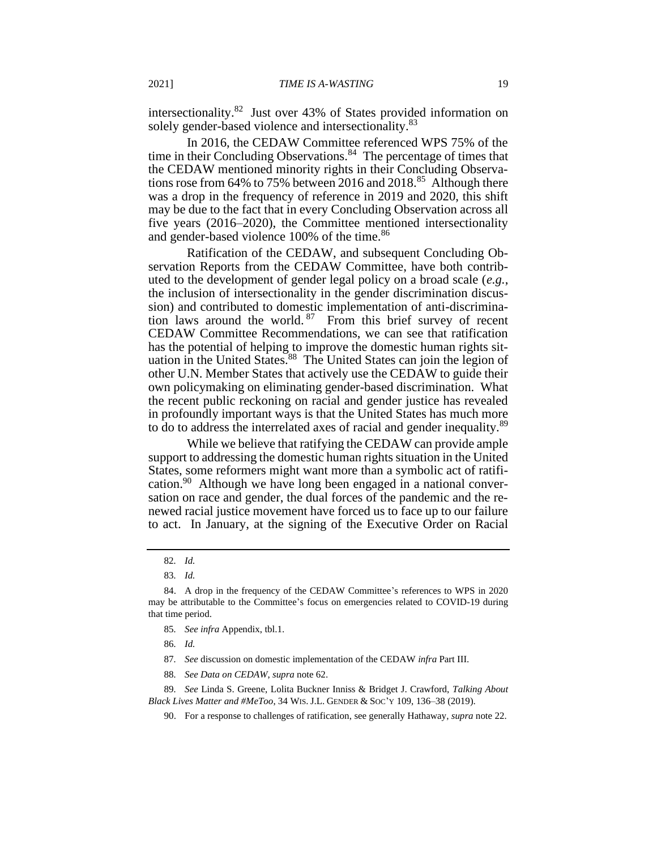intersectionality.<sup>82</sup> Just over 43% of States provided information on solely gender-based violence and intersectionality.<sup>83</sup>

In 2016, the CEDAW Committee referenced WPS 75% of the time in their Concluding Observations.<sup>84</sup> The percentage of times that the CEDAW mentioned minority rights in their Concluding Observations rose from 64% to 75% between 2016 and 2018.<sup>85</sup> Although there was a drop in the frequency of reference in 2019 and 2020, this shift may be due to the fact that in every Concluding Observation across all five years (2016–2020), the Committee mentioned intersectionality and gender-based violence 100% of the time.<sup>86</sup>

Ratification of the CEDAW, and subsequent Concluding Observation Reports from the CEDAW Committee, have both contributed to the development of gender legal policy on a broad scale (*e.g.*, the inclusion of intersectionality in the gender discrimination discussion) and contributed to domestic implementation of anti-discrimination laws around the world. <sup>87</sup> From this brief survey of recent CEDAW Committee Recommendations, we can see that ratification has the potential of helping to improve the domestic human rights situation in the United States.<sup>88</sup> The United States can join the legion of other U.N. Member States that actively use the CEDAW to guide their own policymaking on eliminating gender-based discrimination. What the recent public reckoning on racial and gender justice has revealed in profoundly important ways is that the United States has much more to do to address the interrelated axes of racial and gender inequality.<sup>89</sup>

While we believe that ratifying the CEDAW can provide ample support to addressing the domestic human rights situation in the United States, some reformers might want more than a symbolic act of ratification.<sup>90</sup> Although we have long been engaged in a national conversation on race and gender, the dual forces of the pandemic and the renewed racial justice movement have forced us to face up to our failure to act. In January, at the signing of the Executive Order on Racial

85*. See infra* Appendix, tbl.1.

86*. Id.*

87*. See* discussion on domestic implementation of the CEDAW *infra* Part III.

88*. See Data on CEDAW*, *supra* note [62.](#page-15-0)

89*. See* Linda S. Greene, Lolita Buckner Inniss & Bridget J. Crawford, *Talking About Black Lives Matter and #MeToo*, 34 WIS. J.L. GENDER & SOC'Y 109, 136–38 (2019).

90. For a response to challenges of ratification, see generally Hathaway, *supra* note [22.](#page-7-0)

<sup>82</sup>*. Id.*

<sup>83</sup>*. Id.*

<sup>84.</sup> A drop in the frequency of the CEDAW Committee's references to WPS in 2020 may be attributable to the Committee's focus on emergencies related to COVID-19 during that time period.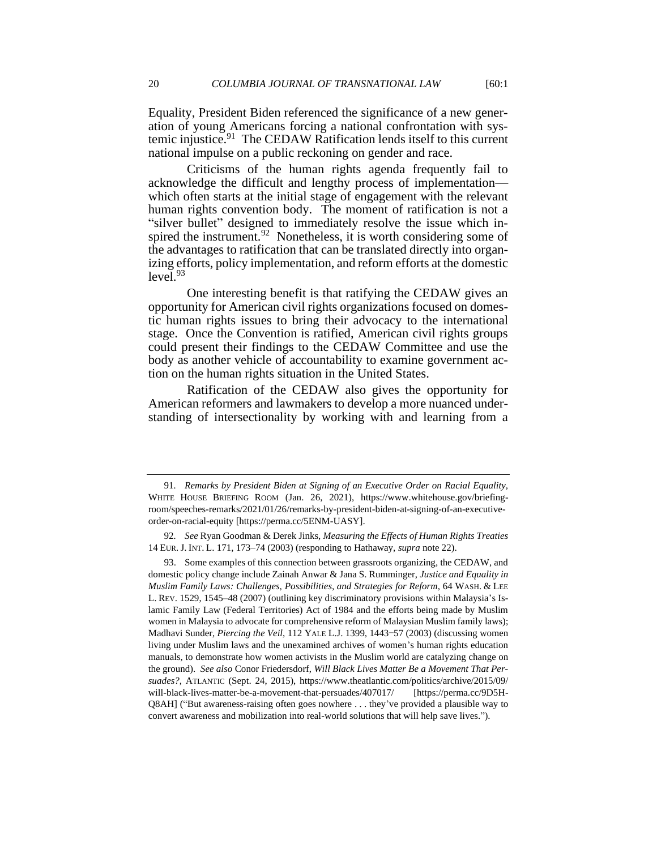Equality, President Biden referenced the significance of a new generation of young Americans forcing a national confrontation with systemic injustice.<sup>91</sup> The CEDAW Ratification lends itself to this current national impulse on a public reckoning on gender and race.

Criticisms of the human rights agenda frequently fail to acknowledge the difficult and lengthy process of implementation which often starts at the initial stage of engagement with the relevant human rights convention body. The moment of ratification is not a "silver bullet" designed to immediately resolve the issue which inspired the instrument.<sup>92</sup> Nonetheless, it is worth considering some of the advantages to ratification that can be translated directly into organizing efforts, policy implementation, and reform efforts at the domestic  $level.<sup>93</sup>$ 

<span id="page-20-0"></span>One interesting benefit is that ratifying the CEDAW gives an opportunity for American civil rights organizations focused on domestic human rights issues to bring their advocacy to the international stage. Once the Convention is ratified, American civil rights groups could present their findings to the CEDAW Committee and use the body as another vehicle of accountability to examine government action on the human rights situation in the United States.

Ratification of the CEDAW also gives the opportunity for American reformers and lawmakers to develop a more nuanced understanding of intersectionality by working with and learning from a

<sup>91</sup>*. Remarks by President Biden at Signing of an Executive Order on Racial Equality,*  WHITE HOUSE BRIEFING ROOM (Jan. 26, 2021), https://www.whitehouse.gov/briefingroom/speeches-remarks/2021/01/26/remarks-by-president-biden-at-signing-of-an-executiveorder-on-racial-equity [https://perma.cc/5ENM-UASY].

<sup>92</sup>*. See* Ryan Goodman & Derek Jinks, *Measuring the Effects of Human Rights Treaties* 14 EUR. J. INT. L. 171, 173–74 (2003) (responding to Hathaway, *supra* note [22\)](#page-7-0).

<sup>93.</sup> Some examples of this connection between grassroots organizing, the CEDAW, and domestic policy change include Zainah Anwar & Jana S. Rumminger, *Justice and Equality in Muslim Family Laws: Challenges, Possibilities, and Strategies for Reform*, 64 WASH. & LEE L. REV. 1529, 1545–48 (2007) (outlining key discriminatory provisions within Malaysia's Islamic Family Law (Federal Territories) Act of 1984 and the efforts being made by Muslim women in Malaysia to advocate for comprehensive reform of Malaysian Muslim family laws); Madhavi Sunder, *Piercing the Veil*, 112 YALE L.J. 1399, 1443–57 (2003) (discussing women living under Muslim laws and the unexamined archives of women's human rights education manuals, to demonstrate how women activists in the Muslim world are catalyzing change on the ground). *See also* Conor Friedersdorf, *Will Black Lives Matter Be a Movement That Persuades?*, ATLANTIC (Sept. 24, 2015), https://www.theatlantic.com/politics/archive/2015/09/ will-black-lives-matter-be-a-movement-that-persuades/407017/ [https://perma.cc/9D5H-Q8AH] ("But awareness-raising often goes nowhere . . . they've provided a plausible way to convert awareness and mobilization into real-world solutions that will help save lives.").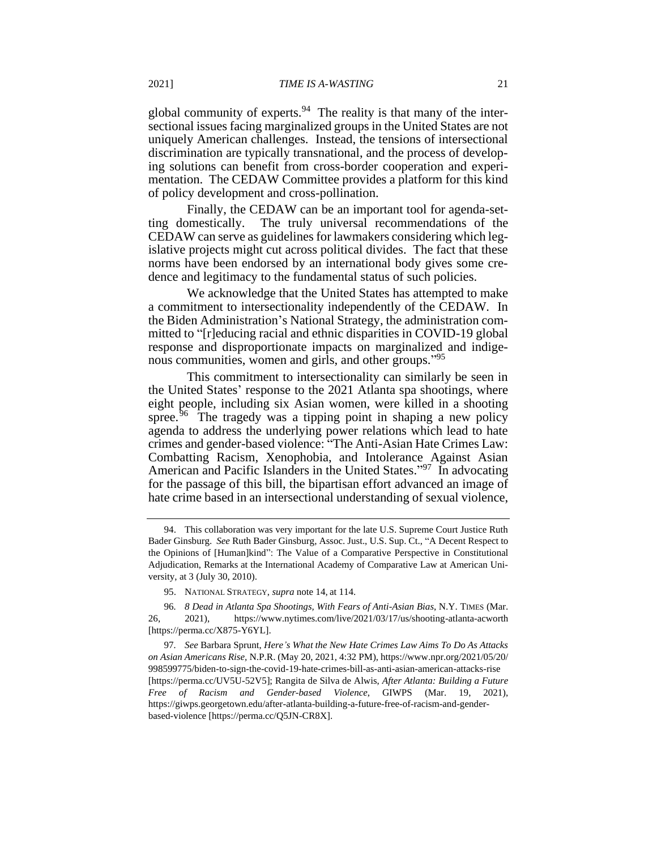global community of experts. <sup>94</sup> The reality is that many of the intersectional issues facing marginalized groups in the United States are not uniquely American challenges. Instead, the tensions of intersectional discrimination are typically transnational, and the process of developing solutions can benefit from cross-border cooperation and experimentation. The CEDAW Committee provides a platform for this kind of policy development and cross-pollination.

Finally, the CEDAW can be an important tool for agenda-setting domestically. The truly universal recommendations of the CEDAW can serve as guidelines for lawmakers considering which legislative projects might cut across political divides. The fact that these norms have been endorsed by an international body gives some credence and legitimacy to the fundamental status of such policies.

We acknowledge that the United States has attempted to make a commitment to intersectionality independently of the CEDAW. In the Biden Administration's National Strategy, the administration committed to "[r]educing racial and ethnic disparities in COVID-19 global response and disproportionate impacts on marginalized and indigenous communities, women and girls, and other groups."<sup>95</sup>

<span id="page-21-1"></span>This commitment to intersectionality can similarly be seen in the United States' response to the 2021 Atlanta spa shootings, where eight people, including six Asian women, were killed in a shooting spree.<sup>36</sup> The tragedy was a tipping point in shaping a new policy agenda to address the underlying power relations which lead to hate crimes and gender-based violence: "The Anti-Asian Hate Crimes Law: Combatting Racism, Xenophobia, and Intolerance Against Asian American and Pacific Islanders in the United States."<sup>97</sup> In advocating for the passage of this bill, the bipartisan effort advanced an image of hate crime based in an intersectional understanding of sexual violence,

<span id="page-21-0"></span><sup>94.</sup> This collaboration was very important for the late U.S. Supreme Court Justice Ruth Bader Ginsburg. *See* Ruth Bader Ginsburg, Assoc. Just., U.S. Sup. Ct., "A Decent Respect to the Opinions of [Human]kind": The Value of a Comparative Perspective in Constitutional Adjudication, Remarks at the International Academy of Comparative Law at American University, at 3 (July 30, 2010).

<sup>95.</sup> NATIONAL STRATEGY, *supra* note [14,](#page-6-0) at 114.

<sup>96</sup>*. 8 Dead in Atlanta Spa Shootings, With Fears of Anti-Asian Bias*, N.Y. TIMES (Mar. 26, 2021), https://www.nytimes.com/live/2021/03/17/us/shooting-atlanta-acworth [https://perma.cc/X875-Y6YL].

<sup>97</sup>*. See* Barbara Sprunt, *Here's What the New Hate Crimes Law Aims To Do As Attacks on Asian Americans Rise,* N.P.R. (May 20, 2021, 4:32 PM), https://www.npr.org/2021/05/20/ 998599775/biden-to-sign-the-covid-19-hate-crimes-bill-as-anti-asian-american-attacks-rise [https://perma.cc/UV5U-52V5]; Rangita de Silva de Alwis, *After Atlanta: Building a Future Free of Racism and Gender-based Violence*, GIWPS (Mar. 19, 2021), https://giwps.georgetown.edu/after-atlanta-building-a-future-free-of-racism-and-genderbased-violence [https://perma.cc/Q5JN-CR8X].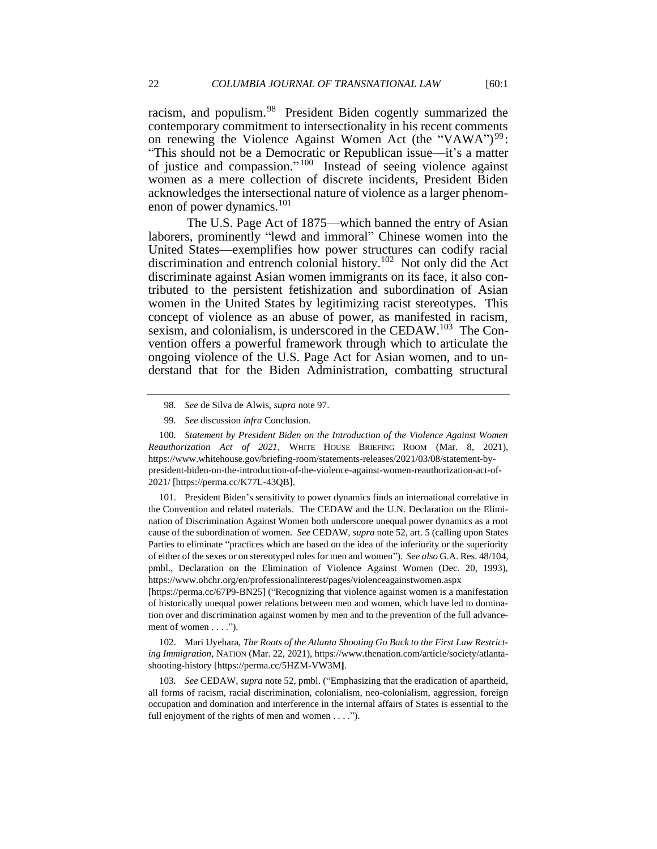racism, and populism.<sup>98</sup> President Biden cogently summarized the contemporary commitment to intersectionality in his recent comments on renewing the Violence Against Women Act (the "VAWA")<sup>99</sup>: "This should not be a Democratic or Republican issue—it's a matter of justice and compassion." 100 Instead of seeing violence against women as a mere collection of discrete incidents, President Biden acknowledges the intersectional nature of violence as a larger phenomenon of power dynamics.<sup>101</sup>

The U.S. Page Act of 1875—which banned the entry of Asian laborers, prominently "lewd and immoral" Chinese women into the United States—exemplifies how power structures can codify racial discrimination and entrench colonial history.<sup>102</sup> Not only did the Act discriminate against Asian women immigrants on its face, it also contributed to the persistent fetishization and subordination of Asian women in the United States by legitimizing racist stereotypes. This concept of violence as an abuse of power, as manifested in racism, sexism, and colonialism, is underscored in the CEDAW.<sup>103</sup> The Convention offers a powerful framework through which to articulate the ongoing violence of the U.S. Page Act for Asian women, and to understand that for the Biden Administration, combatting structural

101. President Biden's sensitivity to power dynamics finds an international correlative in the Convention and related materials. The CEDAW and the U.N. Declaration on the Elimination of Discrimination Against Women both underscore unequal power dynamics as a root cause of the subordination of women. *See* CEDAW, *supra* note [52,](#page-13-1) art. 5 (calling upon States Parties to eliminate "practices which are based on the idea of the inferiority or the superiority of either of the sexes or on stereotyped roles for men and women"). *See also* G.A. Res. 48/104, pmbl., Declaration on the Elimination of Violence Against Women (Dec. 20, 1993), https://www.ohchr.org/en/professionalinterest/pages/violenceagainstwomen.aspx

[https://perma.cc/67P9-BN25] ("Recognizing that violence against women is a manifestation of historically unequal power relations between men and women, which have led to domination over and discrimination against women by men and to the prevention of the full advancement of women . . . .").

102. Mari Uyehara, *The Roots of the Atlanta Shooting Go Back to the First Law Restricting Immigration*, NATION (Mar. 22, 2021), https://www.thenation.com/article/society/atlantashooting-history [https://perma.cc/5HZM-VW3M**]**.

103*. See* CEDAW, *supra* not[e 52,](#page-13-1) pmbl. ("Emphasizing that the eradication of apartheid, all forms of racism, racial discrimination, colonialism, neo-colonialism, aggression, foreign occupation and domination and interference in the internal affairs of States is essential to the full enjoyment of the rights of men and women . . . .").

<sup>98</sup>*. See* de Silva de Alwis, *supra* note [97.](#page-21-0)

<sup>99</sup>*. See* discussion *infra* Conclusion.

<sup>100</sup>*. Statement by President Biden on the Introduction of the Violence Against Women Reauthorization Act of 2021,* WHITE HOUSE BRIEFING ROOM (Mar. 8, 2021), https://www.whitehouse.gov/briefing-room/statements-releases/2021/03/08/statement-bypresident-biden-on-the-introduction-of-the-violence-against-women-reauthorization-act-of-2021/ [https://perma.cc/K77L-43QB].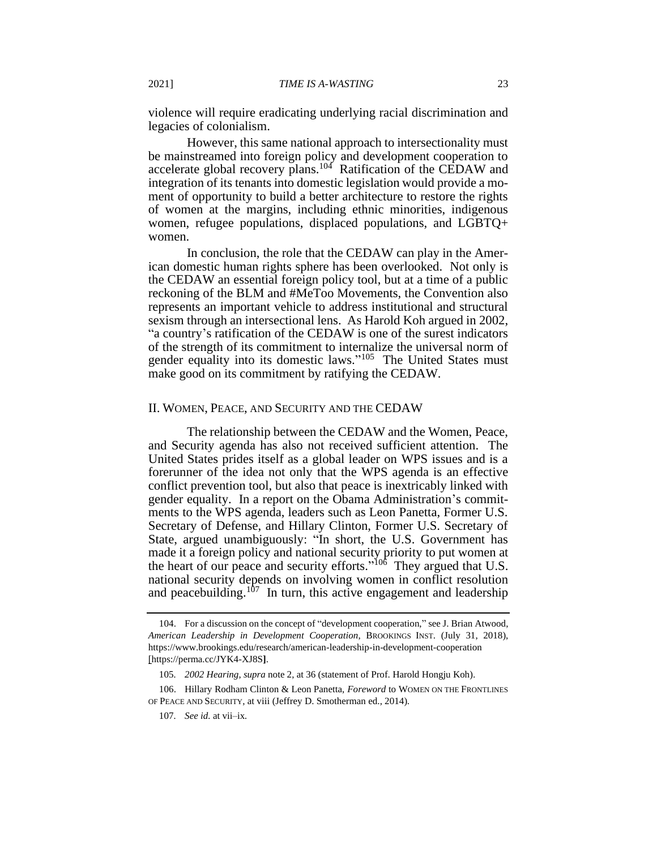violence will require eradicating underlying racial discrimination and legacies of colonialism.

However, this same national approach to intersectionality must be mainstreamed into foreign policy and development cooperation to accelerate global recovery plans.<sup>104</sup> Ratification of the CEDAW and integration of its tenants into domestic legislation would provide a moment of opportunity to build a better architecture to restore the rights of women at the margins, including ethnic minorities, indigenous women, refugee populations, displaced populations, and LGBTQ+ women.

In conclusion, the role that the CEDAW can play in the American domestic human rights sphere has been overlooked. Not only is the CEDAW an essential foreign policy tool, but at a time of a public reckoning of the BLM and #MeToo Movements, the Convention also represents an important vehicle to address institutional and structural sexism through an intersectional lens. As Harold Koh argued in 2002, "a country's ratification of the CEDAW is one of the surest indicators of the strength of its commitment to internalize the universal norm of gender equality into its domestic laws."<sup>105</sup> The United States must make good on its commitment by ratifying the CEDAW.

#### II. WOMEN, PEACE, AND SECURITY AND THE CEDAW

The relationship between the CEDAW and the Women, Peace, and Security agenda has also not received sufficient attention. The United States prides itself as a global leader on WPS issues and is a forerunner of the idea not only that the WPS agenda is an effective conflict prevention tool, but also that peace is inextricably linked with gender equality. In a report on the Obama Administration's commitments to the WPS agenda, leaders such as Leon Panetta, Former U.S. Secretary of Defense, and Hillary Clinton, Former U.S. Secretary of State, argued unambiguously: "In short, the U.S. Government has made it a foreign policy and national security priority to put women at the heart of our peace and security efforts."<sup>106</sup> They argued that U.S. national security depends on involving women in conflict resolution and peacebuilding.<sup>107</sup> In turn, this active engagement and leadership

<span id="page-23-0"></span><sup>104.</sup> For a discussion on the concept of "development cooperation," see J. Brian Atwood, *American Leadership in Development Cooperation*, BROOKINGS INST. (July 31, 2018), https://www.brookings.edu/research/american-leadership-in-development-cooperation [https://perma.cc/JYK4-XJ8S**]**.

<sup>105</sup>*. 2002 Hearing*, *supra* note [2,](#page-4-0) at 36 (statement of Prof. Harold Hongju Koh).

<sup>106.</sup> Hillary Rodham Clinton & Leon Panetta, *Foreword* to WOMEN ON THE FRONTLINES OF PEACE AND SECURITY, at viii (Jeffrey D. Smotherman ed., 2014).

<sup>107</sup>*. See id.* at vii–ix*.*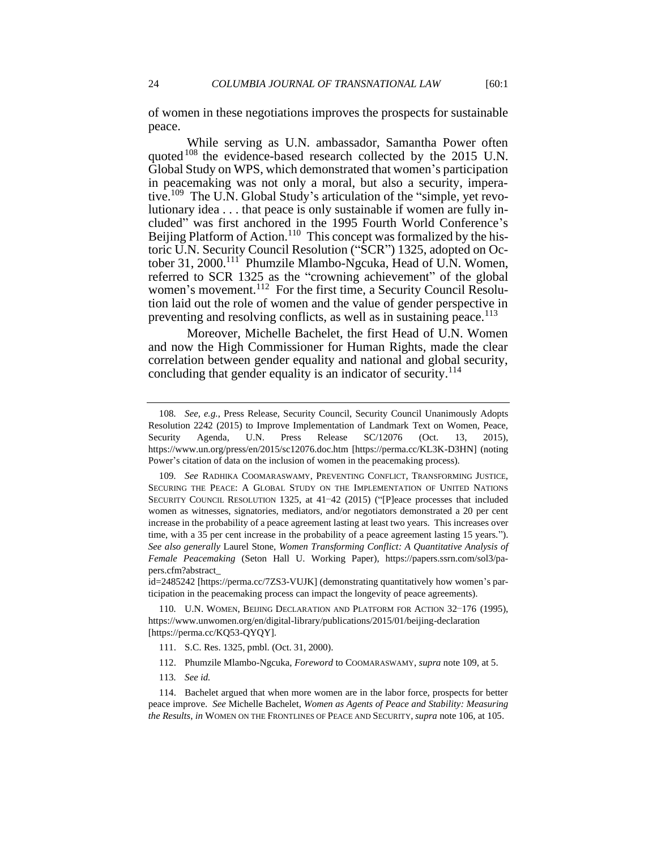of women in these negotiations improves the prospects for sustainable peace.

<span id="page-24-2"></span><span id="page-24-0"></span>While serving as U.N. ambassador, Samantha Power often quoted<sup>108</sup> the evidence-based research collected by the  $2015$  U.N. Global Study on WPS, which demonstrated that women's participation in peacemaking was not only a moral, but also a security, imperative.<sup>109</sup> The U.N. Global Study's articulation of the "simple, yet revolutionary idea . . . that peace is only sustainable if women are fully included" was first anchored in the 1995 Fourth World Conference's Beijing Platform of Action.<sup>110</sup> This concept was formalized by the historic U.N. Security Council Resolution ("SCR") 1325, adopted on October 31, 2000.<sup>111</sup> Phumzile Mlambo-Ngcuka, Head of U.N. Women, referred to SCR 1325 as the "crowning achievement" of the global women's movement.<sup>112</sup> For the first time, a Security Council Resolution laid out the role of women and the value of gender perspective in preventing and resolving conflicts, as well as in sustaining peace.<sup>113</sup>

<span id="page-24-1"></span>Moreover, Michelle Bachelet, the first Head of U.N. Women and now the High Commissioner for Human Rights, made the clear correlation between gender equality and national and global security, concluding that gender equality is an indicator of security.<sup>114</sup>

- 111. S.C. Res. 1325, pmbl. (Oct. 31, 2000).
- 112. Phumzile Mlambo-Ngcuka, *Foreword* to COOMARASWAMY, *supra* note [109,](#page-24-0) at 5.
- 113*. See id.*

<sup>108</sup>*. See, e.g.*, Press Release, Security Council, Security Council Unanimously Adopts Resolution 2242 (2015) to Improve Implementation of Landmark Text on Women, Peace, Security Agenda, U.N. Press Release SC/12076 (Oct. 13, 2015), https://www.un.org/press/en/2015/sc12076.doc.htm [https://perma.cc/KL3K-D3HN] (noting Power's citation of data on the inclusion of women in the peacemaking process).

<sup>109</sup>*. See* RADHIKA COOMARASWAMY, PREVENTING CONFLICT, TRANSFORMING JUSTICE, SECURING THE PEACE: A GLOBAL STUDY ON THE IMPLEMENTATION OF UNITED NATIONS SECURITY COUNCIL RESOLUTION 1325, at 41–42 (2015) ("[P]eace processes that included women as witnesses, signatories, mediators, and/or negotiators demonstrated a 20 per cent increase in the probability of a peace agreement lasting at least two years. This increases over time, with a 35 per cent increase in the probability of a peace agreement lasting 15 years."). *See also generally* Laurel Stone, *Women Transforming Conflict: A Quantitative Analysis of Female Peacemaking* (Seton Hall U. Working Paper), https://papers.ssrn.com/sol3/papers.cfm?abstract\_

id=2485242 [https://perma.cc/7ZS3-VUJK] (demonstrating quantitatively how women's participation in the peacemaking process can impact the longevity of peace agreements).

<sup>110</sup>*.* U.N. WOMEN, BEIJING DECLARATION AND PLATFORM FOR ACTION 32–176 (1995), https://www.unwomen.org/en/digital-library/publications/2015/01/beijing-declaration [https://perma.cc/KQ53-QYQY].

<sup>114.</sup> Bachelet argued that when more women are in the labor force, prospects for better peace improve. *See* Michelle Bachelet, *Women as Agents of Peace and Stability: Measuring the Results*, *in* WOMEN ON THE FRONTLINES OF PEACE AND SECURITY, *supra* not[e 106,](#page-23-0) at 105.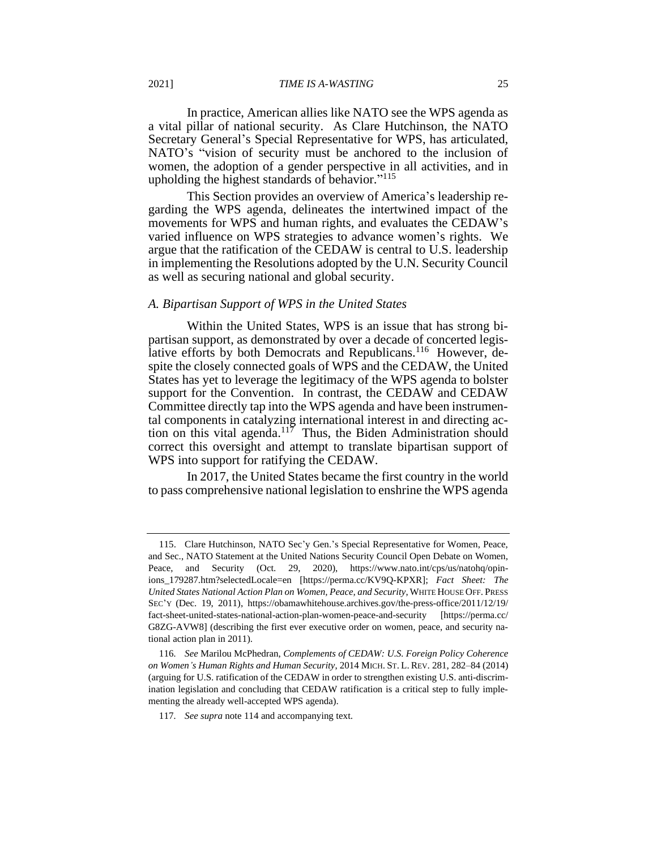In practice, American allies like NATO see the WPS agenda as a vital pillar of national security. As Clare Hutchinson, the NATO Secretary General's Special Representative for WPS, has articulated, NATO's "vision of security must be anchored to the inclusion of women, the adoption of a gender perspective in all activities, and in upholding the highest standards of behavior."<sup>115</sup>

This Section provides an overview of America's leadership regarding the WPS agenda, delineates the intertwined impact of the movements for WPS and human rights, and evaluates the CEDAW's varied influence on WPS strategies to advance women's rights. We argue that the ratification of the CEDAW is central to U.S. leadership in implementing the Resolutions adopted by the U.N. Security Council as well as securing national and global security.

#### *A. Bipartisan Support of WPS in the United States*

<span id="page-25-0"></span>Within the United States, WPS is an issue that has strong bipartisan support, as demonstrated by over a decade of concerted legislative efforts by both Democrats and Republicans.<sup>116</sup> However, despite the closely connected goals of WPS and the CEDAW, the United States has yet to leverage the legitimacy of the WPS agenda to bolster support for the Convention. In contrast, the CEDAW and CEDAW Committee directly tap into the WPS agenda and have been instrumental components in catalyzing international interest in and directing action on this vital agenda.<sup>117</sup> Thus, the Biden Administration should correct this oversight and attempt to translate bipartisan support of WPS into support for ratifying the CEDAW.

In 2017, the United States became the first country in the world to pass comprehensive national legislation to enshrine the WPS agenda

<sup>115.</sup> Clare Hutchinson, NATO Sec'y Gen.'s Special Representative for Women, Peace, and Sec., NATO Statement at the United Nations Security Council Open Debate on Women, Peace, and Security (Oct. 29, 2020), https://www.nato.int/cps/us/natohq/opinions\_179287.htm?selectedLocale=en [https://perma.cc/KV9Q-KPXR]; *Fact Sheet: The United States National Action Plan on Women, Peace, and Security*,WHITE HOUSE OFF. PRESS SEC'Y (Dec. 19, 2011), https://obamawhitehouse.archives.gov/the-press-office/2011/12/19/ fact-sheet-united-states-national-action-plan-women-peace-and-security [https://perma.cc/ G8ZG-AVW8] (describing the first ever executive order on women, peace, and security national action plan in 2011).

<sup>116</sup>*. See* Marilou McPhedran, *Complements of CEDAW: U.S. Foreign Policy Coherence on Women's Human Rights and Human Security*, 2014 MICH. ST. L. REV. 281, 282–84 (2014) (arguing for U.S. ratification of the CEDAW in order to strengthen existing U.S. anti-discrimination legislation and concluding that CEDAW ratification is a critical step to fully implementing the already well-accepted WPS agenda).

<sup>117</sup>*. See supra* not[e 114](#page-24-1) and accompanying text.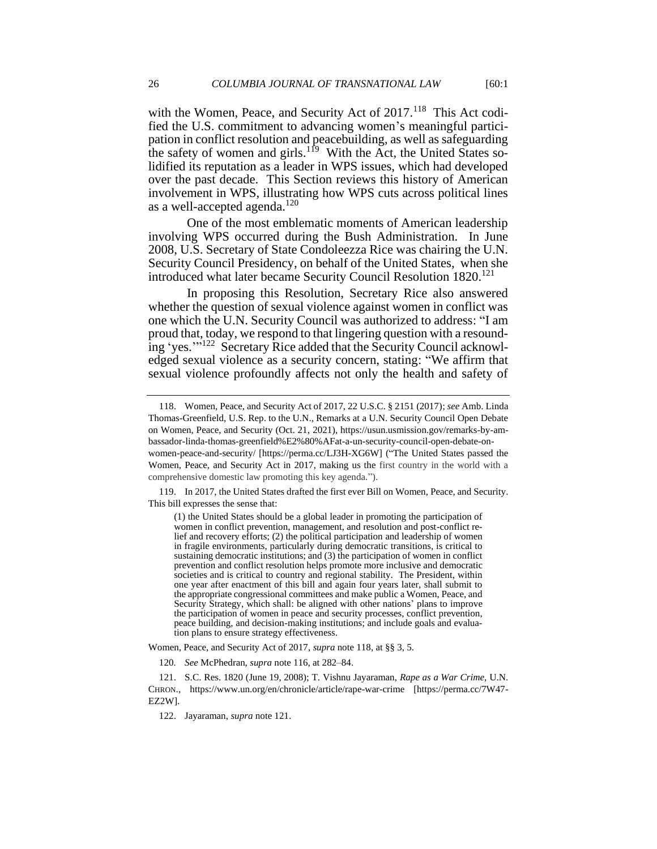<span id="page-26-0"></span>with the Women, Peace, and Security Act of 2017.<sup>118</sup> This Act codified the U.S. commitment to advancing women's meaningful participation in conflict resolution and peacebuilding, as well as safeguarding the safety of women and girls.<sup>119</sup> With the Act, the United States solidified its reputation as a leader in WPS issues, which had developed over the past decade. This Section reviews this history of American involvement in WPS, illustrating how WPS cuts across political lines as a well-accepted agenda.<sup>120</sup>

One of the most emblematic moments of American leadership involving WPS occurred during the Bush Administration. In June 2008, U.S. Secretary of State Condoleezza Rice was chairing the U.N. Security Council Presidency, on behalf of the United States, when she introduced what later became Security Council Resolution 1820.<sup>121</sup>

<span id="page-26-1"></span>In proposing this Resolution, Secretary Rice also answered whether the question of sexual violence against women in conflict was one which the U.N. Security Council was authorized to address: "I am proud that, today, we respond to that lingering question with a resounding 'yes.'" 122 Secretary Rice added that the Security Council acknowledged sexual violence as a security concern, stating: "We affirm that sexual violence profoundly affects not only the health and safety of

119. In 2017, the United States drafted the first ever Bill on Women, Peace, and Security. This bill expresses the sense that:

Women, Peace, and Security Act of 2017, *supra* not[e 118,](#page-26-0) at §§ 3, 5.

<sup>118.</sup> Women, Peace, and Security Act of 2017, 22 U.S.C. § 2151 (2017); *see* Amb. Linda Thomas-Greenfield, U.S. Rep. to the U.N., Remarks at a U.N. Security Council Open Debate on Women, Peace, and Security (Oct. 21, 2021), https://usun.usmission.gov/remarks-by-ambassador-linda-thomas-greenfield%E2%80%AFat-a-un-security-council-open-debate-onwomen-peace-and-security/ [https://perma.cc/LJ3H-XG6W] ("The United States passed the Women, Peace, and Security Act in 2017, making us the first country in the world with a comprehensive domestic law promoting this key agenda.").

<sup>(1)</sup> the United States should be a global leader in promoting the participation of women in conflict prevention, management, and resolution and post-conflict relief and recovery efforts; (2) the political participation and leadership of women in fragile environments, particularly during democratic transitions, is critical to sustaining democratic institutions; and (3) the participation of women in conflict prevention and conflict resolution helps promote more inclusive and democratic societies and is critical to country and regional stability. The President, within one year after enactment of this bill and again four years later, shall submit to the appropriate congressional committees and make public a Women, Peace, and Security Strategy, which shall: be aligned with other nations' plans to improve the participation of women in peace and security processes, conflict prevention, peace building, and decision-making institutions; and include goals and evaluation plans to ensure strategy effectiveness.

<sup>120</sup>*. See* McPhedran, *supra* note [116,](#page-25-0) at 282–84.

<sup>121.</sup> S.C. Res. 1820 (June 19, 2008); T. Vishnu Jayaraman, *Rape as a War Crime*, U.N. CHRON., https://www.un.org/en/chronicle/article/rape-war-crime [https://perma.cc/7W47- EZ2W].

<sup>122.</sup> Jayaraman, *supra* note [121.](#page-26-1)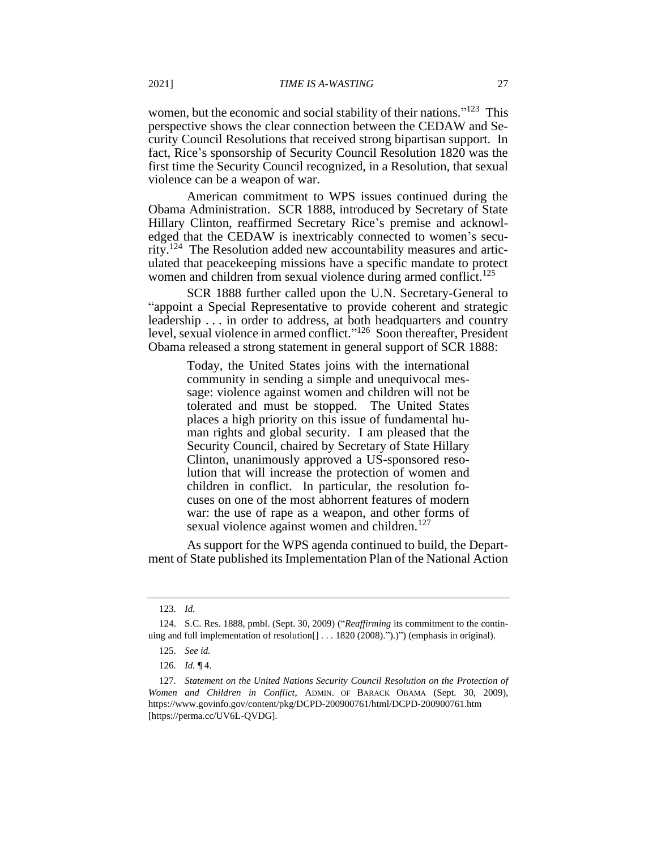women, but the economic and social stability of their nations."<sup>123</sup> This perspective shows the clear connection between the CEDAW and Security Council Resolutions that received strong bipartisan support. In fact, Rice's sponsorship of Security Council Resolution 1820 was the first time the Security Council recognized, in a Resolution, that sexual violence can be a weapon of war.

American commitment to WPS issues continued during the Obama Administration. SCR 1888, introduced by Secretary of State Hillary Clinton, reaffirmed Secretary Rice's premise and acknowledged that the CEDAW is inextricably connected to women's security.<sup>124</sup> The Resolution added new accountability measures and articulated that peacekeeping missions have a specific mandate to protect women and children from sexual violence during armed conflict.<sup>125</sup>

SCR 1888 further called upon the U.N. Secretary-General to "appoint a Special Representative to provide coherent and strategic leadership . . . in order to address, at both headquarters and country level, sexual violence in armed conflict."<sup>126</sup> Soon thereafter, President Obama released a strong statement in general support of SCR 1888:

> Today, the United States joins with the international community in sending a simple and unequivocal message: violence against women and children will not be tolerated and must be stopped. The United States places a high priority on this issue of fundamental human rights and global security. I am pleased that the Security Council, chaired by Secretary of State Hillary Clinton, unanimously approved a US-sponsored resolution that will increase the protection of women and children in conflict. In particular, the resolution focuses on one of the most abhorrent features of modern war: the use of rape as a weapon, and other forms of sexual violence against women and children.<sup>127</sup>

As support for the WPS agenda continued to build, the Department of State published its Implementation Plan of the National Action

<sup>123</sup>*. Id.*

<sup>124.</sup> S.C. Res. 1888, pmbl. (Sept. 30, 2009) ("*Reaffirming* its commitment to the continuing and full implementation of resolution[] . . . 1820 (2008).").)") (emphasis in original).

<sup>125</sup>*. See id.*

<sup>126</sup>*. Id.* ¶ 4.

<sup>127</sup>*. Statement on the United Nations Security Council Resolution on the Protection of Women and Children in Conflict*, ADMIN. OF BARACK OBAMA (Sept. 30, 2009), https://www.govinfo.gov/content/pkg/DCPD-200900761/html/DCPD-200900761.htm [https://perma.cc/UV6L-QVDG].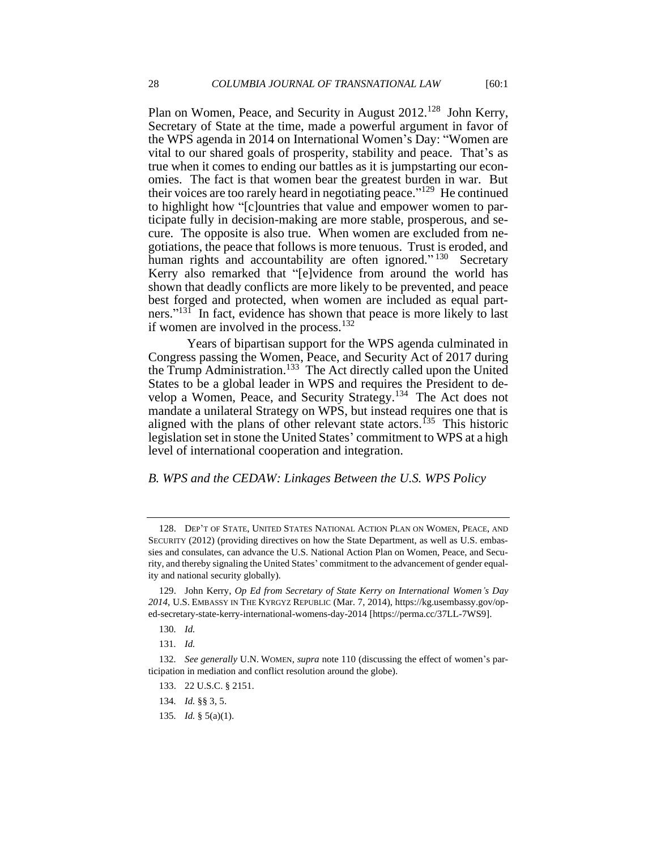Plan on Women, Peace, and Security in August  $2012<sup>128</sup>$  John Kerry, Secretary of State at the time, made a powerful argument in favor of the WPS agenda in 2014 on International Women's Day: "Women are vital to our shared goals of prosperity, stability and peace. That's as true when it comes to ending our battles as it is jumpstarting our economies. The fact is that women bear the greatest burden in war. But their voices are too rarely heard in negotiating peace."<sup>129</sup> He continued to highlight how "[c]ountries that value and empower women to participate fully in decision-making are more stable, prosperous, and secure. The opposite is also true. When women are excluded from negotiations, the peace that follows is more tenuous. Trust is eroded, and human rights and accountability are often ignored."<sup>130</sup> Secretary Kerry also remarked that "[e]vidence from around the world has shown that deadly conflicts are more likely to be prevented, and peace best forged and protected, when women are included as equal partners."<sup>131</sup> In fact, evidence has shown that peace is more likely to last if women are involved in the process. $132$ 

Years of bipartisan support for the WPS agenda culminated in Congress passing the Women, Peace, and Security Act of 2017 during the Trump Administration.<sup>133</sup> The Act directly called upon the United States to be a global leader in WPS and requires the President to develop a Women, Peace, and Security Strategy.<sup>134</sup> The Act does not mandate a unilateral Strategy on WPS, but instead requires one that is aligned with the plans of other relevant state actors.<sup>135</sup> This historic legislation set in stone the United States' commitment to WPS at a high level of international cooperation and integration.

#### *B. WPS and the CEDAW: Linkages Between the U.S. WPS Policy*

<sup>128.</sup> DEP'T OF STATE, UNITED STATES NATIONAL ACTION PLAN ON WOMEN, PEACE, AND SECURITY (2012) (providing directives on how the State Department, as well as U.S. embassies and consulates, can advance the U.S. National Action Plan on Women, Peace, and Security, and thereby signaling the United States' commitment to the advancement of gender equality and national security globally).

<sup>129.</sup> John Kerry, *Op Ed from Secretary of State Kerry on International Women's Day 2014*, U.S. EMBASSY IN THE KYRGYZ REPUBLIC (Mar. 7, 2014), https://kg.usembassy.gov/oped-secretary-state-kerry-international-womens-day-2014 [https://perma.cc/37LL-7WS9].

<sup>130</sup>*. Id.*

<sup>131</sup>*. Id.*

<sup>132</sup>*. See generally* U.N. WOMEN, *supra* note [110](#page-24-2) (discussing the effect of women's participation in mediation and conflict resolution around the globe).

<sup>133.</sup> 22 U.S.C. § 2151.

<sup>134</sup>*. Id.* §§ 3, 5.

<sup>135</sup>*. Id.* § 5(a)(1).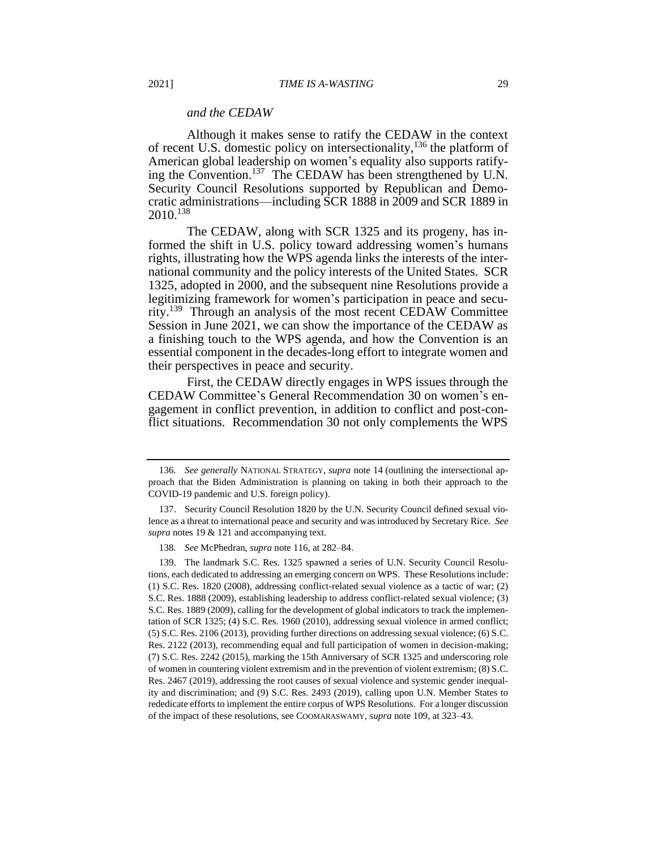#### *and the CEDAW*

Although it makes sense to ratify the CEDAW in the context of recent U.S. domestic policy on intersectionality,  $136$  the platform of American global leadership on women's equality also supports ratifying the Convention.<sup>137</sup> The CEDAW has been strengthened by U.N. Security Council Resolutions supported by Republican and Democratic administrations—including SCR 1888 in 2009 and SCR 1889 in 2010.<sup>138</sup>

The CEDAW, along with SCR 1325 and its progeny, has informed the shift in U.S. policy toward addressing women's humans rights, illustrating how the WPS agenda links the interests of the international community and the policy interests of the United States. SCR 1325, adopted in 2000, and the subsequent nine Resolutions provide a legitimizing framework for women's participation in peace and security.<sup>139</sup> Through an analysis of the most recent CEDAW Committee Session in June 2021, we can show the importance of the CEDAW as a finishing touch to the WPS agenda, and how the Convention is an essential component in the decades-long effort to integrate women and their perspectives in peace and security.

First, the CEDAW directly engages in WPS issues through the CEDAW Committee's General Recommendation 30 on women's engagement in conflict prevention, in addition to conflict and post-conflict situations. Recommendation 30 not only complements the WPS

<sup>136</sup>*. See generally* NATIONAL STRATEGY, *supra* note [14](#page-6-0) (outlining the intersectional approach that the Biden Administration is planning on taking in both their approach to the COVID-19 pandemic and U.S. foreign policy).

<sup>137.</sup> Security Council Resolution 1820 by the U.N. Security Council defined sexual violence as a threat to international peace and security and was introduced by Secretary Rice. *See supra* note[s 19](#page-7-1) [& 121](#page-26-1) and accompanying text.

<sup>138</sup>*. See* McPhedran, *supra* note [116,](#page-25-0) at 282–84.

<sup>139.</sup> The landmark S.C. Res. 1325 spawned a series of U.N. Security Council Resolutions, each dedicated to addressing an emerging concern on WPS. These Resolutions include: (1) S.C. Res. 1820 (2008), addressing conflict-related sexual violence as a tactic of war; (2) S.C. Res. 1888 (2009), establishing leadership to address conflict-related sexual violence; (3) S.C. Res. 1889 (2009), calling for the development of global indicators to track the implementation of SCR 1325; (4) S.C. Res. 1960 (2010), addressing sexual violence in armed conflict; (5) S.C. Res. 2106 (2013), providing further directions on addressing sexual violence; (6) S.C. Res. 2122 (2013), recommending equal and full participation of women in decision-making; (7) S.C. Res. 2242 (2015), marking the 15th Anniversary of SCR 1325 and underscoring role of women in countering violent extremism and in the prevention of violent extremism; (8) S.C. Res. 2467 (2019), addressing the root causes of sexual violence and systemic gender inequality and discrimination; and (9) S.C. Res. 2493 (2019), calling upon U.N. Member States to rededicate efforts to implement the entire corpus of WPS Resolutions. For a longer discussion of the impact of these resolutions, see COOMARASWAMY, *supra* note [109,](#page-24-0) at 323–43.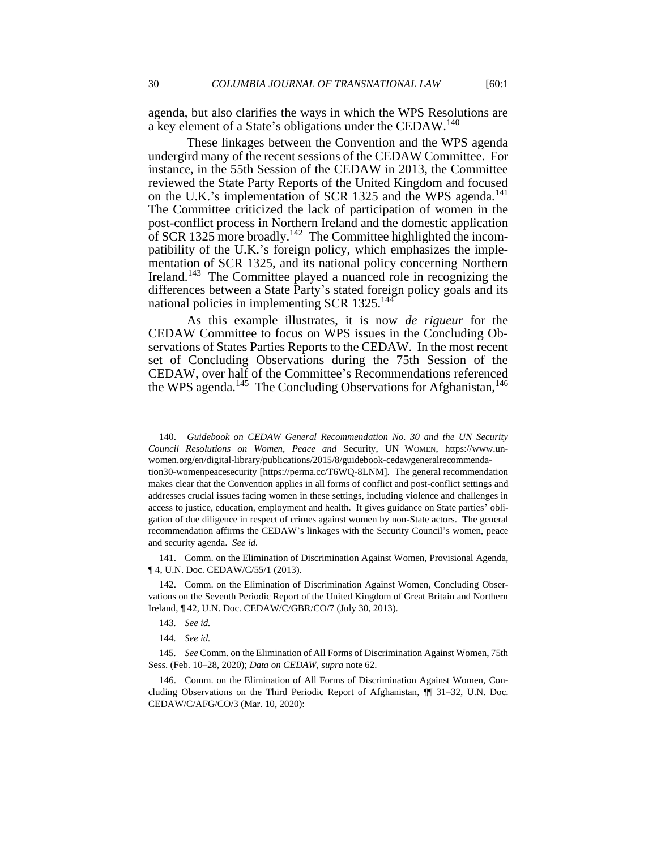<span id="page-30-0"></span>agenda, but also clarifies the ways in which the WPS Resolutions are a key element of a State's obligations under the CEDAW.<sup>140</sup>

These linkages between the Convention and the WPS agenda undergird many of the recent sessions of the CEDAW Committee. For instance, in the 55th Session of the CEDAW in 2013, the Committee reviewed the State Party Reports of the United Kingdom and focused on the U.K.'s implementation of SCR 1325 and the WPS agenda.<sup>141</sup> The Committee criticized the lack of participation of women in the post-conflict process in Northern Ireland and the domestic application of SCR 1325 more broadly.<sup>142</sup> The Committee highlighted the incompatibility of the U.K.'s foreign policy, which emphasizes the implementation of SCR 1325, and its national policy concerning Northern Ireland.<sup>143</sup> The Committee played a nuanced role in recognizing the differences between a State Party's stated foreign policy goals and its national policies in implementing SCR 1325.<sup>144</sup>

As this example illustrates, it is now *de rigueur* for the CEDAW Committee to focus on WPS issues in the Concluding Observations of States Parties Reports to the CEDAW. In the most recent set of Concluding Observations during the 75th Session of the CEDAW, over half of the Committee's Recommendations referenced the WPS agenda.<sup>145</sup> The Concluding Observations for Afghanistan,<sup>146</sup>

<span id="page-30-1"></span>140. *Guidebook on CEDAW General Recommendation No. 30 and the UN Security Council Resolutions on Women, Peace and* Security, UN WOMEN, https://www.unwomen.org/en/digital-library/publications/2015/8/guidebook-cedawgeneralrecommendation30-womenpeacesecurity [https://perma.cc/T6WQ-8LNM]. The general recommendation makes clear that the Convention applies in all forms of conflict and post-conflict settings and addresses crucial issues facing women in these settings, including violence and challenges in access to justice, education, employment and health. It gives guidance on State parties' obligation of due diligence in respect of crimes against women by non-State actors. The general recommendation affirms the CEDAW's linkages with the Security Council's women, peace and security agenda. *See id.*

141. Comm. on the Elimination of Discrimination Against Women, Provisional Agenda, ¶ 4, U.N. Doc. CEDAW/C/55/1 (2013).

142. Comm. on the Elimination of Discrimination Against Women, Concluding Observations on the Seventh Periodic Report of the United Kingdom of Great Britain and Northern Ireland, ¶ 42, U.N. Doc. CEDAW/C/GBR/CO/7 (July 30, 2013).

- 143*. See id.*
- 144*. See id.*

<sup>145</sup>*. See* Comm. on the Elimination of All Forms of Discrimination Against Women, 75th Sess. (Feb. 10–28, 2020); *Data on CEDAW*, *supra* note [62.](#page-15-0)

<sup>146.</sup> Comm. on the Elimination of All Forms of Discrimination Against Women, Concluding Observations on the Third Periodic Report of Afghanistan, ¶¶ 31–32, U.N. Doc. CEDAW/C/AFG/CO/3 (Mar. 10, 2020):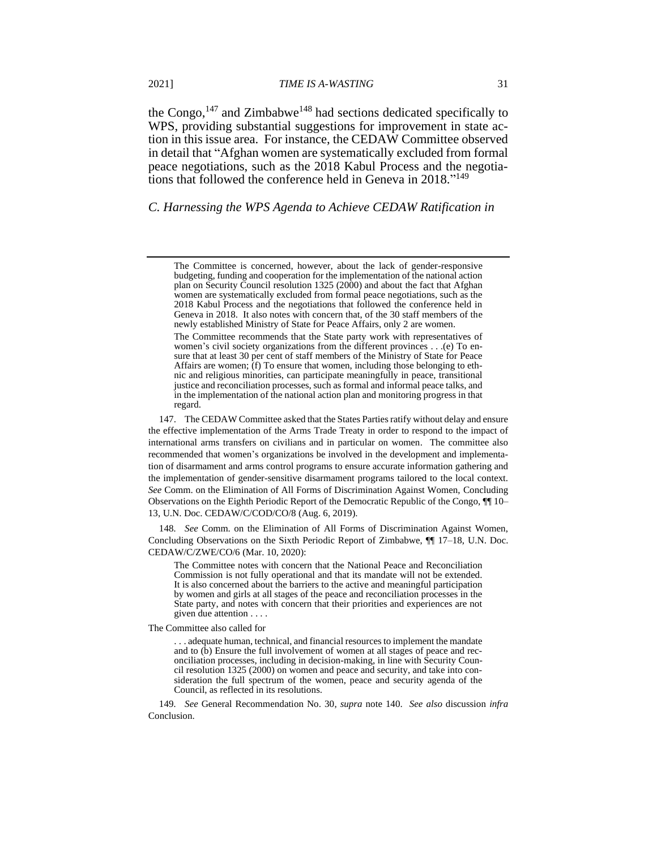the Congo,  $^{147}$  and Zimbabwe<sup>148</sup> had sections dedicated specifically to WPS, providing substantial suggestions for improvement in state action in this issue area. For instance, the CEDAW Committee observed in detail that "Afghan women are systematically excluded from formal peace negotiations, such as the 2018 Kabul Process and the negotiations that followed the conference held in Geneva in 2018."<sup>149</sup>

#### *C. Harnessing the WPS Agenda to Achieve CEDAW Ratification in*

The Committee recommends that the State party work with representatives of women's civil society organizations from the different provinces . . .(e) To ensure that at least 30 per cent of staff members of the Ministry of State for Peace Affairs are women; (f) To ensure that women, including those belonging to ethnic and religious minorities, can participate meaningfully in peace, transitional justice and reconciliation processes, such as formal and informal peace talks, and in the implementation of the national action plan and monitoring progress in that regard.

147. The CEDAW Committee asked that the States Parties ratify without delay and ensure the effective implementation of the Arms Trade Treaty in order to respond to the impact of international arms transfers on civilians and in particular on women. The committee also recommended that women's organizations be involved in the development and implementation of disarmament and arms control programs to ensure accurate information gathering and the implementation of gender-sensitive disarmament programs tailored to the local context. *See* Comm. on the Elimination of All Forms of Discrimination Against Women, Concluding Observations on the Eighth Periodic Report of the Democratic Republic of the Congo, ¶¶ 10– 13, U.N. Doc. CEDAW/C/COD/CO/8 (Aug. 6, 2019).

148*. See* Comm. on the Elimination of All Forms of Discrimination Against Women, Concluding Observations on the Sixth Periodic Report of Zimbabwe, ¶¶ 17–18, U.N. Doc. CEDAW/C/ZWE/CO/6 (Mar. 10, 2020):

The Committee notes with concern that the National Peace and Reconciliation Commission is not fully operational and that its mandate will not be extended. It is also concerned about the barriers to the active and meaningful participation by women and girls at all stages of the peace and reconciliation processes in the State party, and notes with concern that their priorities and experiences are not given due attention . . . .

The Committee also called for

. . . adequate human, technical, and financial resources to implement the mandate and to (b) Ensure the full involvement of women at all stages of peace and reconciliation processes, including in decision-making, in line with Security Council resolution 1325 (2000) on women and peace and security, and take into consideration the full spectrum of the women, peace and security agenda of the Council, as reflected in its resolutions.

149*. See* General Recommendation No. 30, *supra* note [140.](#page-30-0) *See also* discussion *infra*  Conclusion.

The Committee is concerned, however, about the lack of gender-responsive budgeting, funding and cooperation for the implementation of the national action plan on Security Council resolution 1325 (2000) and about the fact that Afghan women are systematically excluded from formal peace negotiations, such as the 2018 Kabul Process and the negotiations that followed the conference held in Geneva in 2018. It also notes with concern that, of the 30 staff members of the newly established Ministry of State for Peace Affairs, only 2 are women.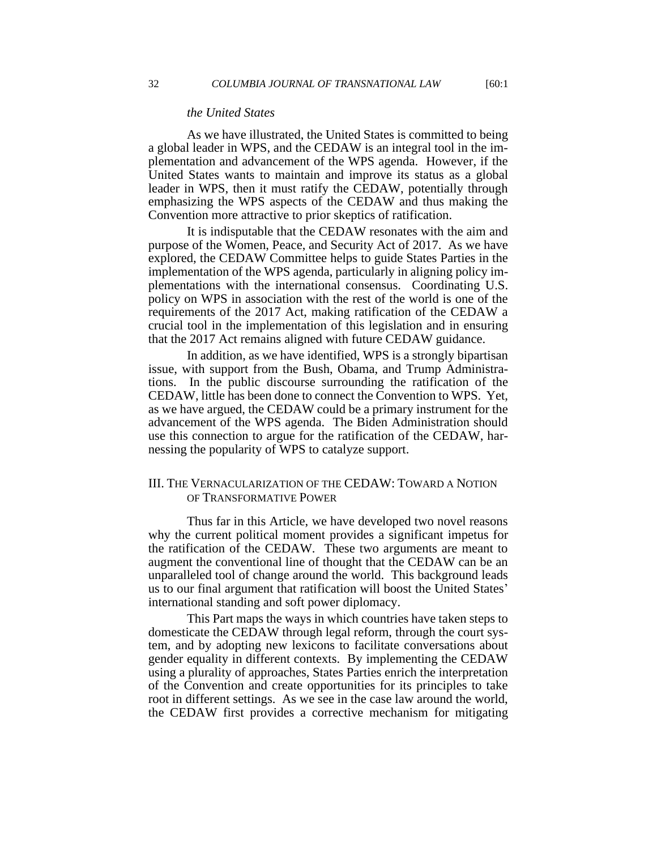#### *the United States*

As we have illustrated, the United States is committed to being a global leader in WPS, and the CEDAW is an integral tool in the implementation and advancement of the WPS agenda. However, if the United States wants to maintain and improve its status as a global leader in WPS, then it must ratify the CEDAW, potentially through emphasizing the WPS aspects of the CEDAW and thus making the Convention more attractive to prior skeptics of ratification.

It is indisputable that the CEDAW resonates with the aim and purpose of the Women, Peace, and Security Act of 2017. As we have explored, the CEDAW Committee helps to guide States Parties in the implementation of the WPS agenda, particularly in aligning policy implementations with the international consensus. Coordinating U.S. policy on WPS in association with the rest of the world is one of the requirements of the 2017 Act, making ratification of the CEDAW a crucial tool in the implementation of this legislation and in ensuring that the 2017 Act remains aligned with future CEDAW guidance.

In addition, as we have identified, WPS is a strongly bipartisan issue, with support from the Bush, Obama, and Trump Administrations. In the public discourse surrounding the ratification of the CEDAW, little has been done to connect the Convention to WPS. Yet, as we have argued, the CEDAW could be a primary instrument for the advancement of the WPS agenda. The Biden Administration should use this connection to argue for the ratification of the CEDAW, harnessing the popularity of WPS to catalyze support.

### III. THE VERNACULARIZATION OF THE CEDAW: TOWARD A NOTION OF TRANSFORMATIVE POWER

Thus far in this Article, we have developed two novel reasons why the current political moment provides a significant impetus for the ratification of the CEDAW. These two arguments are meant to augment the conventional line of thought that the CEDAW can be an unparalleled tool of change around the world. This background leads us to our final argument that ratification will boost the United States' international standing and soft power diplomacy.

This Part maps the ways in which countries have taken steps to domesticate the CEDAW through legal reform, through the court system, and by adopting new lexicons to facilitate conversations about gender equality in different contexts. By implementing the CEDAW using a plurality of approaches, States Parties enrich the interpretation of the Convention and create opportunities for its principles to take root in different settings. As we see in the case law around the world, the CEDAW first provides a corrective mechanism for mitigating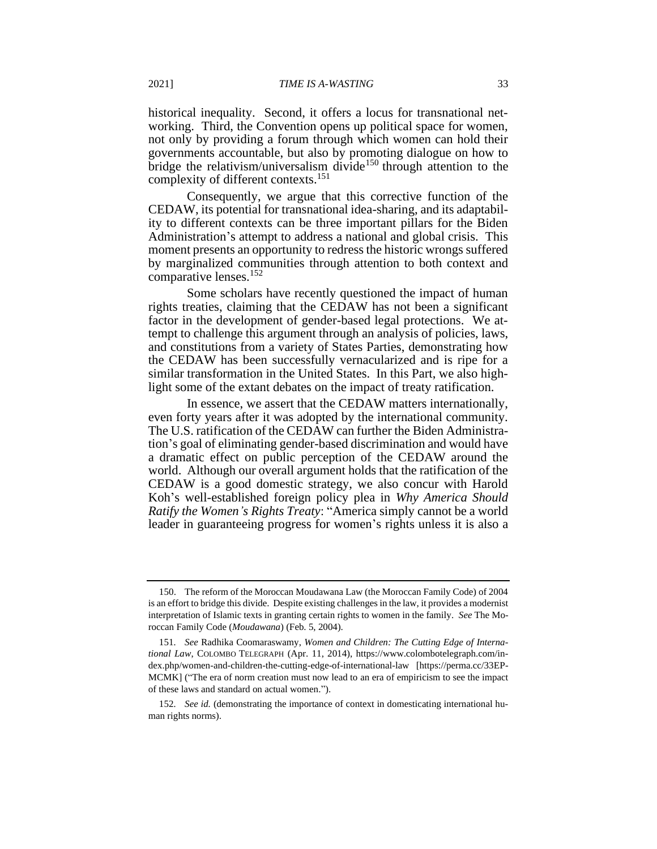historical inequality. Second, it offers a locus for transnational networking. Third, the Convention opens up political space for women, not only by providing a forum through which women can hold their governments accountable, but also by promoting dialogue on how to bridge the relativism/universalism divide<sup>150</sup> through attention to the complexity of different contexts.<sup>151</sup>

Consequently, we argue that this corrective function of the CEDAW, its potential for transnational idea-sharing, and its adaptability to different contexts can be three important pillars for the Biden Administration's attempt to address a national and global crisis. This moment presents an opportunity to redress the historic wrongs suffered by marginalized communities through attention to both context and comparative lenses.<sup>152</sup>

Some scholars have recently questioned the impact of human rights treaties, claiming that the CEDAW has not been a significant factor in the development of gender-based legal protections. We attempt to challenge this argument through an analysis of policies, laws, and constitutions from a variety of States Parties, demonstrating how the CEDAW has been successfully vernacularized and is ripe for a similar transformation in the United States. In this Part, we also highlight some of the extant debates on the impact of treaty ratification.

In essence, we assert that the CEDAW matters internationally, even forty years after it was adopted by the international community. The U.S. ratification of the CEDAW can further the Biden Administration's goal of eliminating gender-based discrimination and would have a dramatic effect on public perception of the CEDAW around the world. Although our overall argument holds that the ratification of the CEDAW is a good domestic strategy, we also concur with Harold Koh's well-established foreign policy plea in *Why America Should Ratify the Women's Rights Treaty*: "America simply cannot be a world leader in guaranteeing progress for women's rights unless it is also a

<sup>150.</sup> The reform of the Moroccan Moudawana Law (the Moroccan Family Code) of 2004 is an effort to bridge this divide. Despite existing challenges in the law, it provides a modernist interpretation of Islamic texts in granting certain rights to women in the family. *See* The Moroccan Family Code (*Moudawana*) (Feb. 5, 2004).

<sup>151</sup>*. See* Radhika Coomaraswamy, *Women and Children: The Cutting Edge of International Law*, COLOMBO TELEGRAPH (Apr. 11, 2014), https://www.colombotelegraph.com/index.php/women-and-children-the-cutting-edge-of-international-law [https://perma.cc/33EP-MCMK] ("The era of norm creation must now lead to an era of empiricism to see the impact of these laws and standard on actual women.").

<sup>152</sup>*. See id.* (demonstrating the importance of context in domesticating international human rights norms).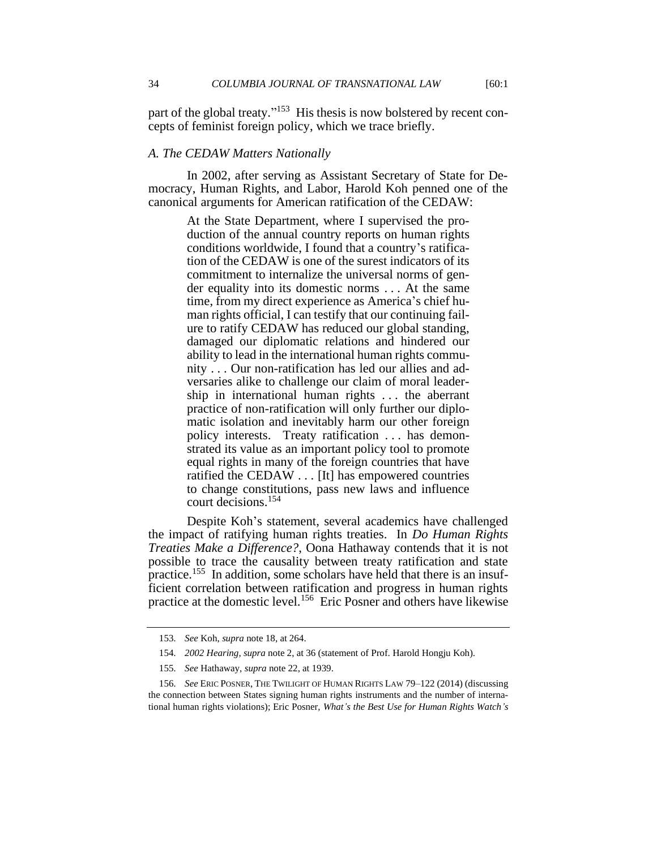part of the global treaty."<sup>153</sup> His thesis is now bolstered by recent concepts of feminist foreign policy, which we trace briefly.

## *A. The CEDAW Matters Nationally*

In 2002, after serving as Assistant Secretary of State for Democracy, Human Rights, and Labor, Harold Koh penned one of the canonical arguments for American ratification of the CEDAW:

> At the State Department, where I supervised the production of the annual country reports on human rights conditions worldwide, I found that a country's ratification of the CEDAW is one of the surest indicators of its commitment to internalize the universal norms of gender equality into its domestic norms . . . At the same time, from my direct experience as America's chief human rights official, I can testify that our continuing failure to ratify CEDAW has reduced our global standing, damaged our diplomatic relations and hindered our ability to lead in the international human rights community . . . Our non-ratification has led our allies and adversaries alike to challenge our claim of moral leadership in international human rights . . . the aberrant practice of non-ratification will only further our diplomatic isolation and inevitably harm our other foreign policy interests. Treaty ratification . . . has demonstrated its value as an important policy tool to promote equal rights in many of the foreign countries that have ratified the CEDAW . . . [It] has empowered countries to change constitutions, pass new laws and influence court decisions.<sup>154</sup>

Despite Koh's statement, several academics have challenged the impact of ratifying human rights treaties. In *Do Human Rights Treaties Make a Difference?*, Oona Hathaway contends that it is not possible to trace the causality between treaty ratification and state practice.<sup>155</sup> In addition, some scholars have held that there is an insufficient correlation between ratification and progress in human rights practice at the domestic level.<sup>156</sup> Eric Posner and others have likewise

<span id="page-34-0"></span><sup>153</sup>*. See* Koh, *supra* note [18,](#page-6-1) at 264.

<sup>154</sup>*. 2002 Hearing*, *supra* note [2,](#page-4-0) at 36 (statement of Prof. Harold Hongju Koh).

<sup>155</sup>*. See* Hathaway, *supra* note [22,](#page-7-0) at 1939.

<sup>156</sup>*. See* ERIC POSNER, THE TWILIGHT OF HUMAN RIGHTS LAW 79–122 (2014) (discussing the connection between States signing human rights instruments and the number of international human rights violations); Eric Posner, *What's the Best Use for Human Rights Watch's*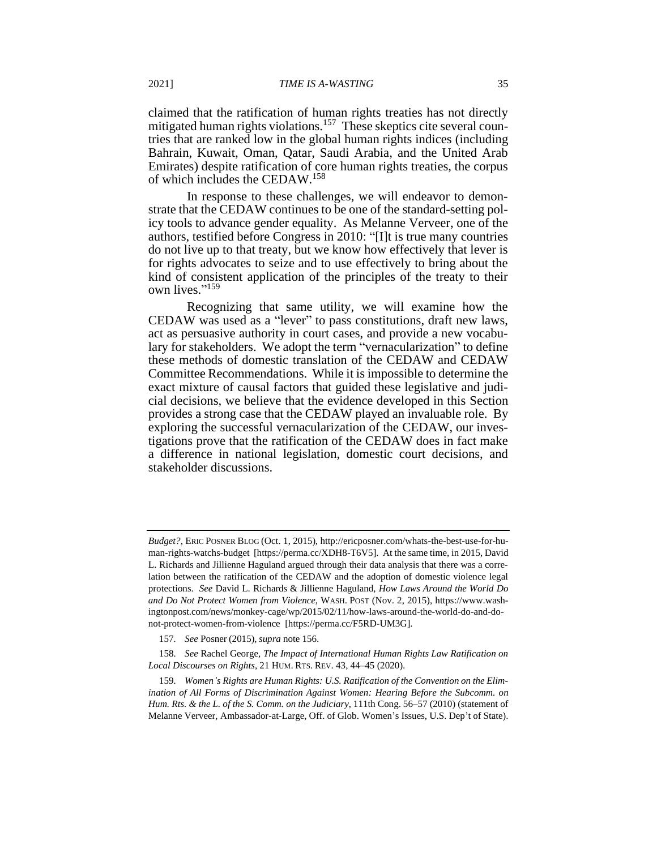claimed that the ratification of human rights treaties has not directly mitigated human rights violations.<sup>157</sup> These skeptics cite several countries that are ranked low in the global human rights indices (including Bahrain, Kuwait, Oman, Qatar, Saudi Arabia, and the United Arab Emirates) despite ratification of core human rights treaties, the corpus of which includes the CEDAW.<sup>158</sup>

In response to these challenges, we will endeavor to demonstrate that the CEDAW continues to be one of the standard-setting policy tools to advance gender equality. As Melanne Verveer, one of the authors, testified before Congress in 2010: "[I]t is true many countries do not live up to that treaty, but we know how effectively that lever is for rights advocates to seize and to use effectively to bring about the kind of consistent application of the principles of the treaty to their own lives."<sup>159</sup>

Recognizing that same utility, we will examine how the CEDAW was used as a "lever" to pass constitutions, draft new laws, act as persuasive authority in court cases, and provide a new vocabulary for stakeholders. We adopt the term "vernacularization" to define these methods of domestic translation of the CEDAW and CEDAW Committee Recommendations. While it is impossible to determine the exact mixture of causal factors that guided these legislative and judicial decisions, we believe that the evidence developed in this Section provides a strong case that the CEDAW played an invaluable role. By exploring the successful vernacularization of the CEDAW, our investigations prove that the ratification of the CEDAW does in fact make a difference in national legislation, domestic court decisions, and stakeholder discussions.

*Budget?*, ERIC POSNER BLOG (Oct. 1, 2015), http://ericposner.com/whats-the-best-use-for-human-rights-watchs-budget [https://perma.cc/XDH8-T6V5]. At the same time, in 2015, David L. Richards and Jillienne Haguland argued through their data analysis that there was a correlation between the ratification of the CEDAW and the adoption of domestic violence legal protections. *See* David L. Richards & Jillienne Haguland, *How Laws Around the World Do and Do Not Protect Women from Violence*, WASH. POST (Nov. 2, 2015), https://www.washingtonpost.com/news/monkey-cage/wp/2015/02/11/how-laws-around-the-world-do-and-donot-protect-women-from-violence [https://perma.cc/F5RD-UM3G].

<sup>157</sup>*. See* Posner (2015), *supra* note [156.](#page-34-0)

<sup>158</sup>*. See* Rachel George, *The Impact of International Human Rights Law Ratification on Local Discourses on Rights*, 21 HUM. RTS. REV. 43, 44–45 (2020).

<sup>159</sup>*. Women's Rights are Human Rights: U.S. Ratification of the Convention on the Elimination of All Forms of Discrimination Against Women: Hearing Before the Subcomm. on Hum. Rts. & the L. of the S. Comm. on the Judiciary*, 111th Cong. 56–57 (2010) (statement of Melanne Verveer, Ambassador-at-Large, Off. of Glob. Women's Issues, U.S. Dep't of State).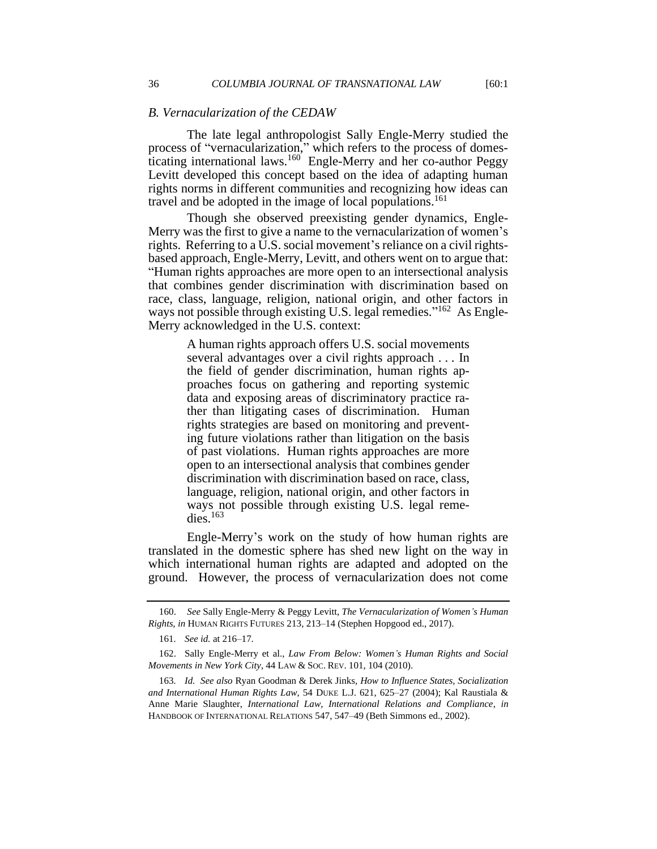#### *B. Vernacularization of the CEDAW*

The late legal anthropologist Sally Engle-Merry studied the process of "vernacularization," which refers to the process of domesticating international laws.<sup>160</sup> Engle-Merry and her co-author Peggy Levitt developed this concept based on the idea of adapting human rights norms in different communities and recognizing how ideas can travel and be adopted in the image of local populations.<sup>161</sup>

Though she observed preexisting gender dynamics, Engle-Merry was the first to give a name to the vernacularization of women's rights. Referring to a U.S. social movement's reliance on a civil rightsbased approach, Engle-Merry, Levitt, and others went on to argue that: "Human rights approaches are more open to an intersectional analysis that combines gender discrimination with discrimination based on race, class, language, religion, national origin, and other factors in ways not possible through existing U.S. legal remedies."<sup>162</sup> As Engle-Merry acknowledged in the U.S. context:

> A human rights approach offers U.S. social movements several advantages over a civil rights approach . . . In the field of gender discrimination, human rights approaches focus on gathering and reporting systemic data and exposing areas of discriminatory practice rather than litigating cases of discrimination. Human rights strategies are based on monitoring and preventing future violations rather than litigation on the basis of past violations. Human rights approaches are more open to an intersectional analysis that combines gender discrimination with discrimination based on race, class, language, religion, national origin, and other factors in ways not possible through existing U.S. legal reme $dies.$ <sup>163</sup>

<span id="page-36-0"></span>Engle-Merry's work on the study of how human rights are translated in the domestic sphere has shed new light on the way in which international human rights are adapted and adopted on the ground. However, the process of vernacularization does not come

<sup>160.</sup> *See* Sally Engle-Merry & Peggy Levitt, *The Vernacularization of Women's Human Rights*, *in* HUMAN RIGHTS FUTURES 213, 213–14 (Stephen Hopgood ed., 2017).

<sup>161</sup>*. See id.* at 216–17.

<sup>162.</sup> Sally Engle-Merry et al., *Law From Below: Women's Human Rights and Social Movements in New York City*, 44 LAW & SOC. REV. 101, 104 (2010).

<sup>163</sup>*. Id. See also* Ryan Goodman & Derek Jinks, *How to Influence States, Socialization and International Human Rights Law*, 54 DUKE L.J. 621, 625–27 (2004); Kal Raustiala & Anne Marie Slaughter, *International Law, International Relations and Compliance*, *in* HANDBOOK OF INTERNATIONAL RELATIONS 547, 547–49 (Beth Simmons ed., 2002).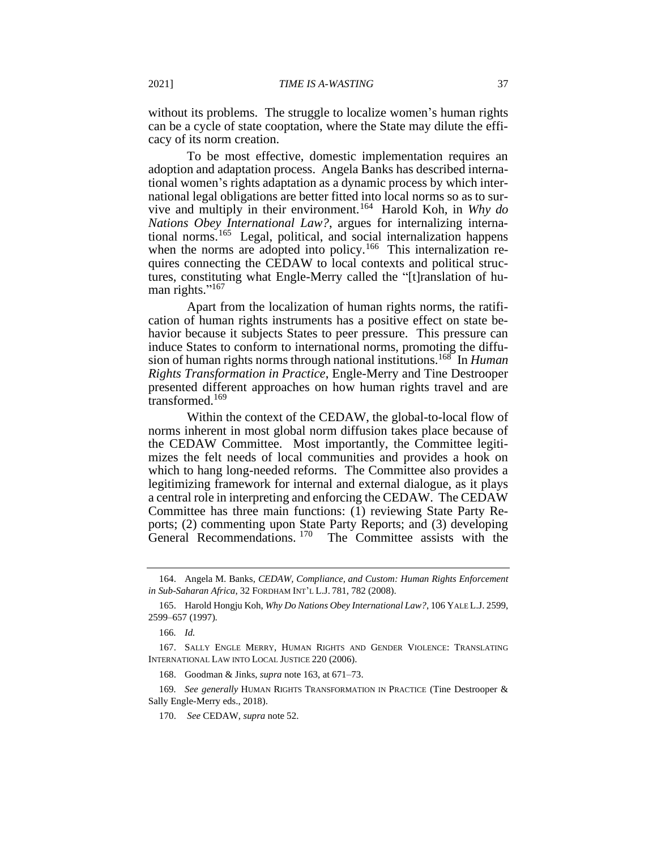without its problems. The struggle to localize women's human rights can be a cycle of state cooptation, where the State may dilute the efficacy of its norm creation.

<span id="page-37-1"></span>To be most effective, domestic implementation requires an adoption and adaptation process. Angela Banks has described international women's rights adaptation as a dynamic process by which international legal obligations are better fitted into local norms so as to survive and multiply in their environment.<sup>164</sup> Harold Koh, in Why do *Nations Obey International Law?*, argues for internalizing international norms.<sup>165</sup> Legal, political, and social internalization happens when the norms are adopted into policy.<sup>166</sup> This internalization requires connecting the CEDAW to local contexts and political structures, constituting what Engle-Merry called the "[t]ranslation of human rights."<sup>167</sup>

<span id="page-37-0"></span>Apart from the localization of human rights norms, the ratification of human rights instruments has a positive effect on state behavior because it subjects States to peer pressure. This pressure can induce States to conform to international norms, promoting the diffusion of human rights norms through national institutions.<sup>168</sup> In *Human Rights Transformation in Practice*, Engle-Merry and Tine Destrooper presented different approaches on how human rights travel and are transformed.<sup>169</sup>

Within the context of the CEDAW, the global-to-local flow of norms inherent in most global norm diffusion takes place because of the CEDAW Committee. Most importantly, the Committee legitimizes the felt needs of local communities and provides a hook on which to hang long-needed reforms. The Committee also provides a legitimizing framework for internal and external dialogue, as it plays a central role in interpreting and enforcing the CEDAW. The CEDAW Committee has three main functions: (1) reviewing State Party Reports; (2) commenting upon State Party Reports; and (3) developing General Recommendations.<sup>170</sup> The Committee assists with the

<sup>164.</sup> Angela M. Banks, *CEDAW, Compliance, and Custom: Human Rights Enforcement in Sub-Saharan Africa*, 32 FORDHAM INT'L L.J. 781, 782 (2008).

<sup>165.</sup> Harold Hongju Koh, *Why Do Nations Obey International Law?*, 106 YALE L.J. 2599, 2599–657 (1997).

<sup>166</sup>*. Id.*

<sup>167.</sup> SALLY ENGLE MERRY, HUMAN RIGHTS AND GENDER VIOLENCE: TRANSLATING INTERNATIONAL LAW INTO LOCAL JUSTICE 220 (2006).

<sup>168.</sup> Goodman & Jinks, *supra* note [163,](#page-36-0) at 671–73.

<sup>169</sup>*. See generally* HUMAN RIGHTS TRANSFORMATION IN PRACTICE (Tine Destrooper & Sally Engle-Merry eds., 2018).

<sup>170.</sup> *See* CEDAW, *supra* not[e 52.](#page-13-1)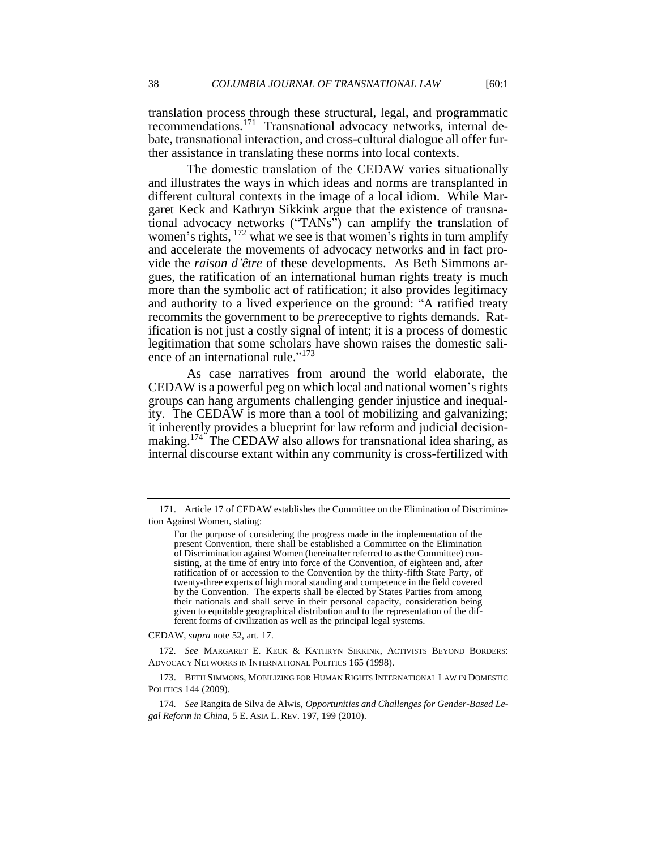translation process through these structural, legal, and programmatic recommendations.<sup>171</sup> Transnational advocacy networks, internal debate, transnational interaction, and cross-cultural dialogue all offer further assistance in translating these norms into local contexts.

The domestic translation of the CEDAW varies situationally and illustrates the ways in which ideas and norms are transplanted in different cultural contexts in the image of a local idiom. While Margaret Keck and Kathryn Sikkink argue that the existence of transnational advocacy networks ("TANs") can amplify the translation of women's rights,  $172$  what we see is that women's rights in turn amplify and accelerate the movements of advocacy networks and in fact provide the *raison d'être* of these developments. As Beth Simmons argues, the ratification of an international human rights treaty is much more than the symbolic act of ratification; it also provides legitimacy and authority to a lived experience on the ground: "A ratified treaty recommits the government to be *pre*receptive to rights demands. Ratification is not just a costly signal of intent; it is a process of domestic legitimation that some scholars have shown raises the domestic salience of an international rule."<sup>173</sup>

As case narratives from around the world elaborate, the CEDAW is a powerful peg on which local and national women's rights groups can hang arguments challenging gender injustice and inequality. The CEDAW is more than a tool of mobilizing and galvanizing; it inherently provides a blueprint for law reform and judicial decisionmaking.<sup>174</sup> The CEDAW also allows for transnational idea sharing, as internal discourse extant within any community is cross-fertilized with

CEDAW, *supra* note [52,](#page-13-1) art. 17.

172*. See* MARGARET E. KECK & KATHRYN SIKKINK, ACTIVISTS BEYOND BORDERS: ADVOCACY NETWORKS IN INTERNATIONAL POLITICS 165 (1998).

173. BETH SIMMONS, MOBILIZING FOR HUMAN RIGHTS INTERNATIONAL LAW IN DOMESTIC POLITICS 144 (2009).

<sup>171.</sup> Article 17 of CEDAW establishes the Committee on the Elimination of Discrimination Against Women, stating:

For the purpose of considering the progress made in the implementation of the present Convention, there shall be established a Committee on the Elimination of Discrimination against Women (hereinafter referred to as the Committee) consisting, at the time of entry into force of the Convention, of eighteen and, after ratification of or accession to the Convention by the thirty-fifth State Party, of twenty-three experts of high moral standing and competence in the field covered by the Convention. The experts shall be elected by States Parties from among their nationals and shall serve in their personal capacity, consideration being given to equitable geographical distribution and to the representation of the different forms of civilization as well as the principal legal systems.

<sup>174</sup>*. See* Rangita de Silva de Alwis, *Opportunities and Challenges for Gender-Based Legal Reform in China*, 5 E. ASIA L. REV. 197, 199 (2010).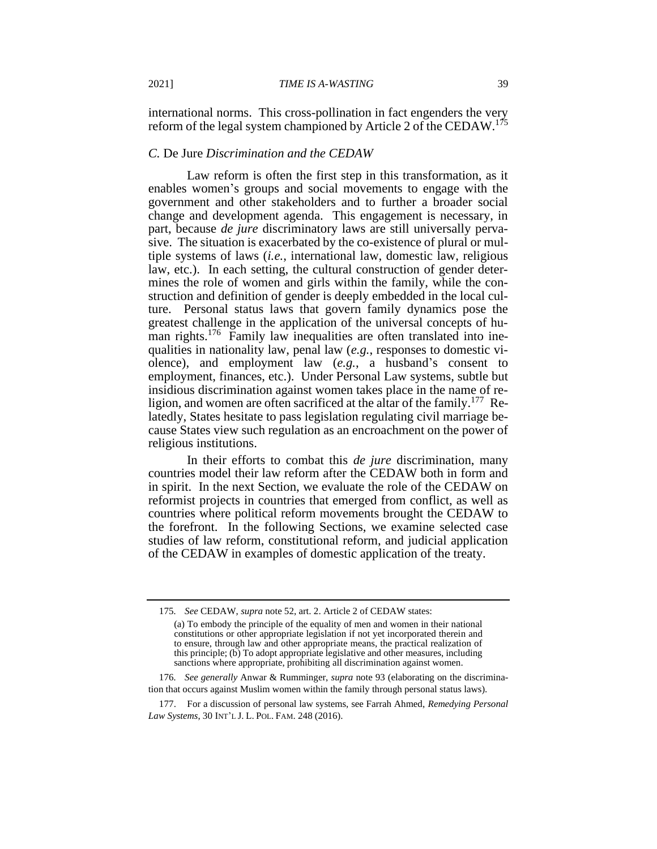international norms. This cross-pollination in fact engenders the very reform of the legal system championed by Article 2 of the CEDAW.<sup>175</sup>

#### *C.* De Jure *Discrimination and the CEDAW*

Law reform is often the first step in this transformation, as it enables women's groups and social movements to engage with the government and other stakeholders and to further a broader social change and development agenda. This engagement is necessary, in part, because *de jure* discriminatory laws are still universally pervasive. The situation is exacerbated by the co-existence of plural or multiple systems of laws (*i.e.*, international law, domestic law, religious law, etc.). In each setting, the cultural construction of gender determines the role of women and girls within the family, while the construction and definition of gender is deeply embedded in the local culture. Personal status laws that govern family dynamics pose the greatest challenge in the application of the universal concepts of human rights.<sup>176</sup> Family law inequalities are often translated into inequalities in nationality law, penal law (*e.g.*, responses to domestic violence), and employment law (*e.g.*, a husband's consent to employment, finances, etc.). Under Personal Law systems, subtle but insidious discrimination against women takes place in the name of religion, and women are often sacrificed at the altar of the family.<sup>177</sup> Relatedly, States hesitate to pass legislation regulating civil marriage because States view such regulation as an encroachment on the power of religious institutions.

In their efforts to combat this *de jure* discrimination, many countries model their law reform after the CEDAW both in form and in spirit. In the next Section, we evaluate the role of the CEDAW on reformist projects in countries that emerged from conflict, as well as countries where political reform movements brought the CEDAW to the forefront. In the following Sections, we examine selected case studies of law reform, constitutional reform, and judicial application of the CEDAW in examples of domestic application of the treaty.

<sup>175</sup>*. See* CEDAW, *supra* note [52,](#page-13-1) art. 2. Article 2 of CEDAW states:

<sup>(</sup>a) To embody the principle of the equality of men and women in their national constitutions or other appropriate legislation if not yet incorporated therein and to ensure, through law and other appropriate means, the practical realization of this principle; (b) To adopt appropriate legislative and other measures, including sanctions where appropriate, prohibiting all discrimination against women.

<sup>176</sup>*. See generally* Anwar & Rumminger, *supra* note [93](#page-20-0) (elaborating on the discrimination that occurs against Muslim women within the family through personal status laws).

<sup>177.</sup> For a discussion of personal law systems, see Farrah Ahmed, *Remedying Personal Law Systems*, 30 INT'L J. L. POL. FAM. 248 (2016).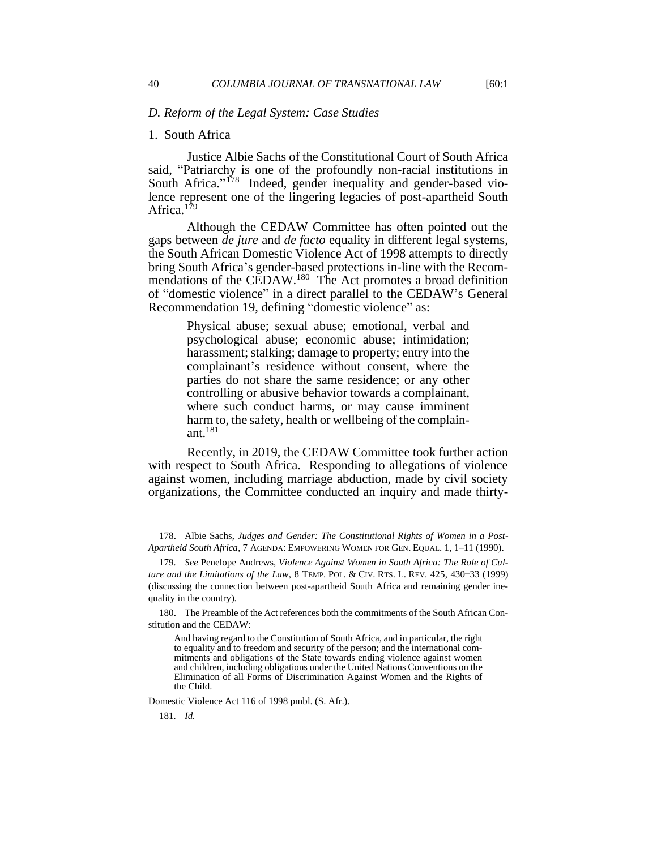#### *D. Reform of the Legal System: Case Studies*

## 1. South Africa

Justice Albie Sachs of the Constitutional Court of South Africa said, "Patriarchy is one of the profoundly non-racial institutions in South Africa."<sup>178</sup> Indeed, gender inequality and gender-based violence represent one of the lingering legacies of post-apartheid South Africa.<sup>179</sup>

Although the CEDAW Committee has often pointed out the gaps between *de jure* and *de facto* equality in different legal systems, the South African Domestic Violence Act of 1998 attempts to directly bring South Africa's gender-based protections in-line with the Recommendations of the CEDAW.<sup>180</sup> The Act promotes a broad definition of "domestic violence" in a direct parallel to the CEDAW's General Recommendation 19, defining "domestic violence" as:

> Physical abuse; sexual abuse; emotional, verbal and psychological abuse; economic abuse; intimidation; harassment; stalking; damage to property; entry into the complainant's residence without consent, where the parties do not share the same residence; or any other controlling or abusive behavior towards a complainant, where such conduct harms, or may cause imminent harm to, the safety, health or wellbeing of the complainant.<sup>181</sup>

Recently, in 2019, the CEDAW Committee took further action with respect to South Africa. Responding to allegations of violence against women, including marriage abduction, made by civil society organizations, the Committee conducted an inquiry and made thirty-

Domestic Violence Act 116 of 1998 pmbl. (S. Afr.).

181*. Id.*

<sup>178.</sup> Albie Sachs, *Judges and Gender: The Constitutional Rights of Women in a Post-Apartheid South Africa*, 7 AGENDA: EMPOWERING WOMEN FOR GEN. EQUAL. 1, 1–11 (1990).

<sup>179</sup>*. See* Penelope Andrews, *Violence Against Women in South Africa: The Role of Culture and the Limitations of the Law*, 8 TEMP. POL. & CIV. RTS. L. REV. 425, 430–33 (1999) (discussing the connection between post-apartheid South Africa and remaining gender inequality in the country).

<sup>180.</sup> The Preamble of the Act references both the commitments of the South African Constitution and the CEDAW:

And having regard to the Constitution of South Africa, and in particular, the right to equality and to freedom and security of the person; and the international commitments and obligations of the State towards ending violence against women and children, including obligations under the United Nations Conventions on the Elimination of all Forms of Discrimination Against Women and the Rights of the Child.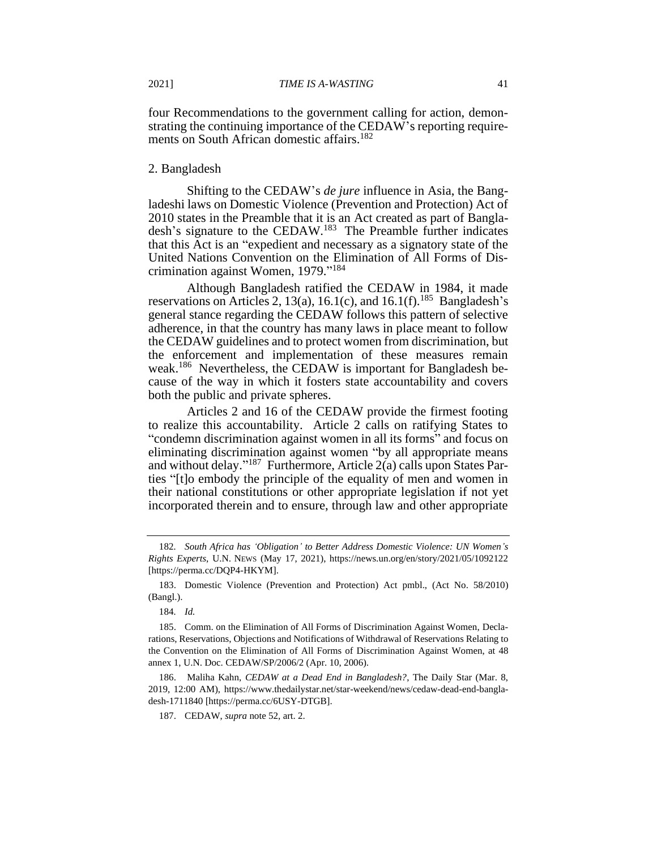four Recommendations to the government calling for action, demonstrating the continuing importance of the CEDAW's reporting requirements on South African domestic affairs.<sup>182</sup>

#### 2. Bangladesh

Shifting to the CEDAW's *de jure* influence in Asia, the Bangladeshi laws on Domestic Violence (Prevention and Protection) Act of 2010 states in the Preamble that it is an Act created as part of Bangladesh's signature to the CEDAW.<sup>183</sup> The Preamble further indicates that this Act is an "expedient and necessary as a signatory state of the United Nations Convention on the Elimination of All Forms of Discrimination against Women, 1979." 184

Although Bangladesh ratified the CEDAW in 1984, it made reservations on Articles 2, 13(a), 16.1(c), and 16.1(f).<sup>185</sup> Bangladesh's general stance regarding the CEDAW follows this pattern of selective adherence, in that the country has many laws in place meant to follow the CEDAW guidelines and to protect women from discrimination, but the enforcement and implementation of these measures remain weak.<sup>186</sup> Nevertheless, the CEDAW is important for Bangladesh because of the way in which it fosters state accountability and covers both the public and private spheres.

Articles 2 and 16 of the CEDAW provide the firmest footing to realize this accountability. Article 2 calls on ratifying States to "condemn discrimination against women in all its forms" and focus on eliminating discrimination against women "by all appropriate means and without delay."<sup>187</sup> Furthermore, Article 2(a) calls upon States Parties "[t]o embody the principle of the equality of men and women in their national constitutions or other appropriate legislation if not yet incorporated therein and to ensure, through law and other appropriate

186. Maliha Kahn, *CEDAW at a Dead End in Bangladesh?*, The Daily Star (Mar. 8, 2019, 12:00 AM), https://www.thedailystar.net/star-weekend/news/cedaw-dead-end-bangladesh-1711840 [https://perma.cc/6USY-DTGB].

<sup>182</sup>*. South Africa has 'Obligation' to Better Address Domestic Violence: UN Women's Rights Experts*, U.N. NEWS (May 17, 2021), https://news.un.org/en/story/2021/05/1092122 [https://perma.cc/DQP4-HKYM].

<sup>183.</sup> Domestic Violence (Prevention and Protection) Act pmbl., (Act No. 58/2010) (Bangl.).

<sup>184</sup>*. Id.*

<sup>185.</sup> Comm. on the Elimination of All Forms of Discrimination Against Women, Declarations, Reservations, Objections and Notifications of Withdrawal of Reservations Relating to the Convention on the Elimination of All Forms of Discrimination Against Women, at 48 annex 1, U.N. Doc. CEDAW/SP/2006/2 (Apr. 10, 2006).

<sup>187.</sup> CEDAW, *supra* note [52,](#page-13-1) art. 2.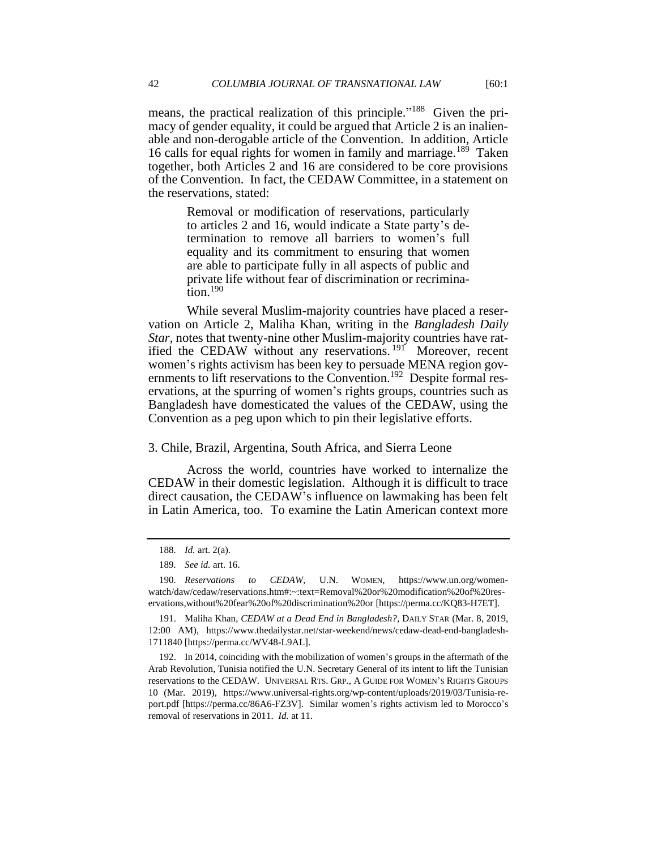means, the practical realization of this principle."<sup>188</sup> Given the primacy of gender equality, it could be argued that Article 2 is an inalienable and non-derogable article of the Convention. In addition, Article 16 calls for equal rights for women in family and marriage.<sup>189</sup> Taken together, both Articles 2 and 16 are considered to be core provisions of the Convention. In fact, the CEDAW Committee, in a statement on the reservations, stated:

> Removal or modification of reservations, particularly to articles 2 and 16, would indicate a State party's determination to remove all barriers to women's full equality and its commitment to ensuring that women are able to participate fully in all aspects of public and private life without fear of discrimination or recrimina- $\bar{\text{tion}}$ .<sup>190</sup>

While several Muslim-majority countries have placed a reservation on Article 2, Maliha Khan, writing in the *Bangladesh Daily Star*, notes that twenty-nine other Muslim-majority countries have ratified the CEDAW without any reservations.<sup>191</sup> Moreover, recent women's rights activism has been key to persuade MENA region governments to lift reservations to the Convention.<sup>192</sup> Despite formal reservations, at the spurring of women's rights groups, countries such as Bangladesh have domesticated the values of the CEDAW, using the Convention as a peg upon which to pin their legislative efforts.

#### 3. Chile, Brazil, Argentina, South Africa, and Sierra Leone

Across the world, countries have worked to internalize the CEDAW in their domestic legislation. Although it is difficult to trace direct causation, the CEDAW's influence on lawmaking has been felt in Latin America, too. To examine the Latin American context more

<sup>188</sup>*. Id.* art. 2(a).

<sup>189</sup>*. See id.* art. 16.

<sup>190</sup>*. Reservations to CEDAW*, U.N. WOMEN, https://www.un.org/womenwatch/daw/cedaw/reservations.htm#:~:text=Removal%20or%20modification%20of%20reservations,without%20fear%20of%20discrimination%20or [https://perma.cc/KQ83-H7ET].

<sup>191.</sup> Maliha Khan, *CEDAW at a Dead End in Bangladesh?*, DAILY STAR (Mar. 8, 2019, 12:00 AM), https://www.thedailystar.net/star-weekend/news/cedaw-dead-end-bangladesh-1711840 [https://perma.cc/WV48-L9AL].

<sup>192.</sup> In 2014, coinciding with the mobilization of women's groups in the aftermath of the Arab Revolution, Tunisia notified the U.N. Secretary General of its intent to lift the Tunisian reservations to the CEDAW. UNIVERSAL RTS. GRP., A GUIDE FOR WOMEN'S RIGHTS GROUPS 10 (Mar. 2019), https://www.universal-rights.org/wp-content/uploads/2019/03/Tunisia-report.pdf [https://perma.cc/86A6-FZ3V]. Similar women's rights activism led to Morocco's removal of reservations in 2011. *Id.* at 11.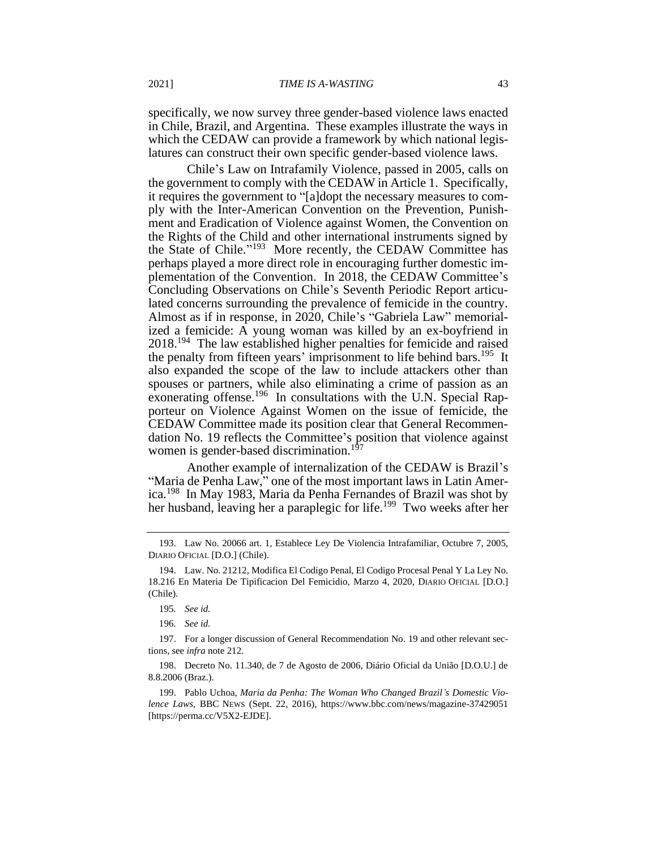specifically, we now survey three gender-based violence laws enacted in Chile, Brazil, and Argentina. These examples illustrate the ways in which the CEDAW can provide a framework by which national legislatures can construct their own specific gender-based violence laws.

Chile's Law on Intrafamily Violence, passed in 2005, calls on the government to comply with the CEDAW in Article 1. Specifically, it requires the government to "[a]dopt the necessary measures to comply with the Inter-American Convention on the Prevention, Punishment and Eradication of Violence against Women, the Convention on the Rights of the Child and other international instruments signed by the State of Chile."<sup>193</sup> More recently, the CEDAW Committee has perhaps played a more direct role in encouraging further domestic implementation of the Convention. In 2018, the CEDAW Committee's Concluding Observations on Chile's Seventh Periodic Report articulated concerns surrounding the prevalence of femicide in the country. Almost as if in response, in 2020, Chile's "Gabriela Law" memorialized a femicide:  $\overline{A}$  young woman was killed by an ex-boyfriend in 2018.<sup>194</sup> The law established higher penalties for femicide and raised the penalty from fifteen years' imprisonment to life behind bars.<sup>195</sup> It also expanded the scope of the law to include attackers other than spouses or partners, while also eliminating a crime of passion as an exonerating offense.<sup>196</sup> In consultations with the U.N. Special Rapporteur on Violence Against Women on the issue of femicide, the CEDAW Committee made its position clear that General Recommendation No. 19 reflects the Committee's position that violence against women is gender-based discrimination.<sup>197</sup>

Another example of internalization of the CEDAW is Brazil's "Maria de Penha Law," one of the most important laws in Latin America.<sup>198</sup> In May 1983, Maria da Penha Fernandes of Brazil was shot by her husband, leaving her a paraplegic for life.<sup>199</sup> Two weeks after her

<sup>193.</sup> Law No. 20066 art. 1, Establece Ley De Violencia Intrafamiliar, Octubre 7, 2005, DIARIO OFICIAL [D.O.] (Chile).

<sup>194.</sup> Law. No. 21212, Modifica El Codigo Penal, El Codigo Procesal Penal Y La Ley No. 18.216 En Materia De Tipificacion Del Femicidio, Marzo 4, 2020, DIARIO OFICIAL [D.O.] (Chile).

<sup>195</sup>*. See id.*

<sup>196</sup>*. See id.*

<sup>197.</sup> For a longer discussion of General Recommendation No. 19 and other relevant sections, see *infra* note [212.](#page-45-0)

<sup>198.</sup> Decreto No. 11.340, de 7 de Agosto de 2006, Diário Oficial da União [D.O.U.] de 8.8.2006 (Braz.).

<sup>199.</sup> Pablo Uchoa, *Maria da Penha: The Woman Who Changed Brazil's Domestic Violence Laws*, BBC NEWS (Sept. 22, 2016), https://www.bbc.com/news/magazine-37429051 [https://perma.cc/V5X2-EJDE].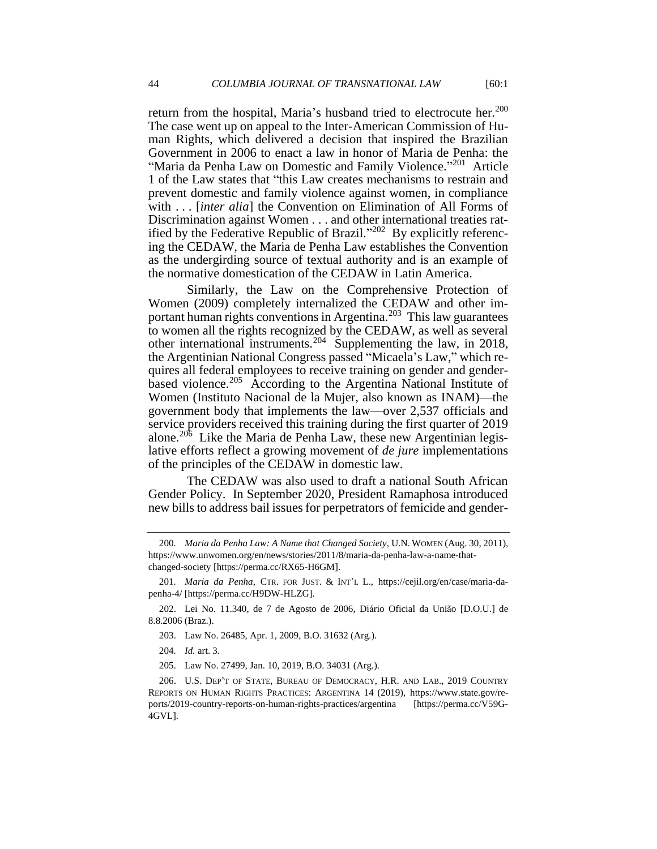return from the hospital, Maria's husband tried to electrocute her.<sup>200</sup> The case went up on appeal to the Inter-American Commission of Human Rights, which delivered a decision that inspired the Brazilian Government in 2006 to enact a law in honor of Maria de Penha: the "Maria da Penha Law on Domestic and Family Violence."<sup>201</sup> Article 1 of the Law states that "this Law creates mechanisms to restrain and prevent domestic and family violence against women, in compliance with . . . [*inter alia*] the Convention on Elimination of All Forms of Discrimination against Women . . . and other international treaties ratified by the Federative Republic of Brazil."<sup>202</sup> By explicitly referencing the CEDAW, the Maria de Penha Law establishes the Convention as the undergirding source of textual authority and is an example of the normative domestication of the CEDAW in Latin America.

Similarly, the Law on the Comprehensive Protection of Women (2009) completely internalized the CEDAW and other important human rights conventions in Argentina.<sup>203</sup> This law guarantees to women all the rights recognized by the CEDAW, as well as several other international instruments.<sup>204</sup> Supplementing the law, in 2018, the Argentinian National Congress passed "Micaela's Law," which requires all federal employees to receive training on gender and genderbased violence.<sup>205</sup> According to the Argentina National Institute of Women (Instituto Nacional de la Mujer, also known as INAM)—the government body that implements the law—over 2,537 officials and service providers received this training during the first quarter of 2019 alone.<sup>206</sup> Like the Maria de Penha Law, these new Argentinian legislative efforts reflect a growing movement of *de jure* implementations of the principles of the CEDAW in domestic law.

The CEDAW was also used to draft a national South African Gender Policy. In September 2020, President Ramaphosa introduced new bills to address bail issues for perpetrators of femicide and gender-

<sup>200</sup>*. Maria da Penha Law: A Name that Changed Society*, U.N. WOMEN (Aug. 30, 2011), https://www.unwomen.org/en/news/stories/2011/8/maria-da-penha-law-a-name-thatchanged-society [https://perma.cc/RX65-H6GM].

<sup>201</sup>*. Maria da Penha*, CTR. FOR JUST. & INT'L L., https://cejil.org/en/case/maria-dapenha-4/ [https://perma.cc/H9DW-HLZG].

<sup>202.</sup> Lei No. 11.340, de 7 de Agosto de 2006, Diário Oficial da União [D.O.U.] de 8.8.2006 (Braz.).

<sup>203.</sup> Law No. 26485, Apr. 1, 2009, B.O. 31632 (Arg.).

<sup>204</sup>*. Id.* art. 3.

<sup>205.</sup> Law No. 27499, Jan. 10, 2019, B.O. 34031 (Arg.).

<sup>206.</sup> U.S. DEP'T OF STATE, BUREAU OF DEMOCRACY, H.R. AND LAB., 2019 COUNTRY REPORTS ON HUMAN RIGHTS PRACTICES: ARGENTINA 14 (2019), https://www.state.gov/reports/2019-country-reports-on-human-rights-practices/argentina [https://perma.cc/V59G-4GVL].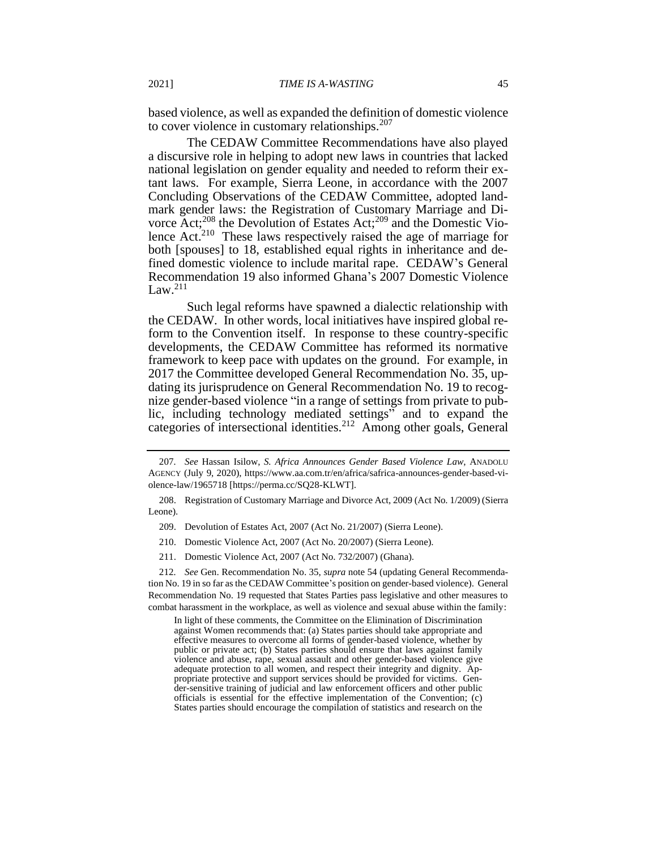based violence, as well as expanded the definition of domestic violence to cover violence in customary relationships. $207$ 

The CEDAW Committee Recommendations have also played a discursive role in helping to adopt new laws in countries that lacked national legislation on gender equality and needed to reform their extant laws. For example, Sierra Leone, in accordance with the 2007 Concluding Observations of the CEDAW Committee, adopted landmark gender laws: the Registration of Customary Marriage and Divorce Act;<sup>208</sup> the Devolution of Estates Act;<sup>209</sup> and the Domestic Violence Act.<sup>210</sup> These laws respectively raised the age of marriage for both [spouses] to 18, established equal rights in inheritance and defined domestic violence to include marital rape. CEDAW's General Recommendation 19 also informed Ghana's 2007 Domestic Violence Law. $^{211}$ 

Such legal reforms have spawned a dialectic relationship with the CEDAW. In other words, local initiatives have inspired global reform to the Convention itself. In response to these country-specific developments, the CEDAW Committee has reformed its normative framework to keep pace with updates on the ground. For example, in 2017 the Committee developed General Recommendation No. 35, updating its jurisprudence on General Recommendation No. 19 to recognize gender-based violence "in a range of settings from private to public, including technology mediated settings" and to expand the categories of intersectional identities.<sup>212</sup> Among other goals, General

- 209. Devolution of Estates Act, 2007 (Act No. 21/2007) (Sierra Leone).
- 210. Domestic Violence Act, 2007 (Act No. 20/2007) (Sierra Leone).
- 211. Domestic Violence Act, 2007 (Act No. 732/2007) (Ghana).

212*. See* Gen. Recommendation No. 35, *supra* not[e 54](#page-14-0) (updating General Recommendation No. 19 in so far as the CEDAW Committee's position on gender-based violence). General Recommendation No. 19 requested that States Parties pass legislative and other measures to combat harassment in the workplace, as well as violence and sexual abuse within the family:

In light of these comments, the Committee on the Elimination of Discrimination against Women recommends that: (a) States parties should take appropriate and effective measures to overcome all forms of gender-based violence, whether by public or private act; (b) States parties should ensure that laws against family violence and abuse, rape, sexual assault and other gender-based violence give adequate protection to all women, and respect their integrity and dignity. Appropriate protective and support services should be provided for victims. Gender-sensitive training of judicial and law enforcement officers and other public officials is essential for the effective implementation of the Convention; (c) States parties should encourage the compilation of statistics and research on the

<span id="page-45-0"></span><sup>207</sup>*. See* Hassan Isilow, *S. Africa Announces Gender Based Violence Law*, ANADOLU AGENCY (July 9, 2020), https://www.aa.com.tr/en/africa/safrica-announces-gender-based-violence-law/1965718 [https://perma.cc/SQ28-KLWT].

<sup>208.</sup> Registration of Customary Marriage and Divorce Act, 2009 (Act No. 1/2009) (Sierra Leone).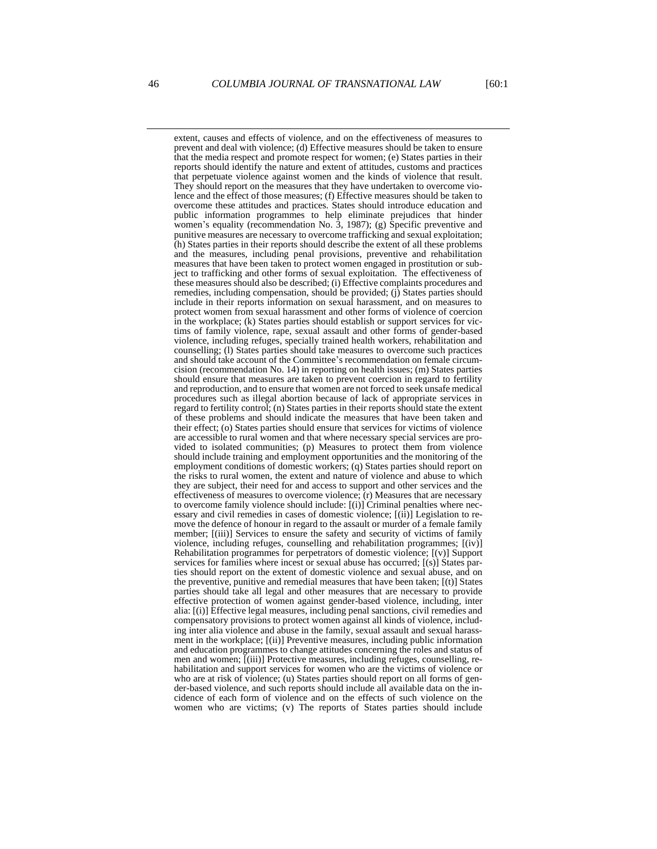extent, causes and effects of violence, and on the effectiveness of measures to prevent and deal with violence; (d) Effective measures should be taken to ensure that the media respect and promote respect for women; (e) States parties in their reports should identify the nature and extent of attitudes, customs and practices that perpetuate violence against women and the kinds of violence that result. They should report on the measures that they have undertaken to overcome violence and the effect of those measures; (f) Effective measures should be taken to overcome these attitudes and practices. States should introduce education and public information programmes to help eliminate prejudices that hinder women's equality (recommendation No. 3, 1987); (g) Specific preventive and punitive measures are necessary to overcome trafficking and sexual exploitation; (h) States parties in their reports should describe the extent of all these problems and the measures, including penal provisions, preventive and rehabilitation measures that have been taken to protect women engaged in prostitution or subject to trafficking and other forms of sexual exploitation. The effectiveness of these measures should also be described; (i) Effective complaints procedures and remedies, including compensation, should be provided; (j) States parties should include in their reports information on sexual harassment, and on measures to protect women from sexual harassment and other forms of violence of coercion in the workplace; (k) States parties should establish or support services for victims of family violence, rape, sexual assault and other forms of gender-based violence, including refuges, specially trained health workers, rehabilitation and counselling; (l) States parties should take measures to overcome such practices and should take account of the Committee's recommendation on female circumcision (recommendation No. 14) in reporting on health issues; (m) States parties should ensure that measures are taken to prevent coercion in regard to fertility and reproduction, and to ensure that women are not forced to seek unsafe medical procedures such as illegal abortion because of lack of appropriate services in regard to fertility control; (n) States parties in their reports should state the extent of these problems and should indicate the measures that have been taken and their effect; (o) States parties should ensure that services for victims of violence are accessible to rural women and that where necessary special services are provided to isolated communities; (p) Measures to protect them from violence should include training and employment opportunities and the monitoring of the employment conditions of domestic workers; (q) States parties should report on the risks to rural women, the extent and nature of violence and abuse to which they are subject, their need for and access to support and other services and the effectiveness of measures to overcome violence; (r) Measures that are necessary to overcome family violence should include: [(i)] Criminal penalties where necessary and civil remedies in cases of domestic violence; [(ii)] Legislation to remove the defence of honour in regard to the assault or murder of a female family member; [(iii)] Services to ensure the safety and security of victims of family violence, including refuges, counselling and rehabilitation programmes; [(iv)] Rehabilitation programmes for perpetrators of domestic violence; [(v)] Support services for families where incest or sexual abuse has occurred; [(s)] States parties should report on the extent of domestic violence and sexual abuse, and on the preventive, punitive and remedial measures that have been taken; [(t)] States parties should take all legal and other measures that are necessary to provide effective protection of women against gender-based violence, including, inter alia: [(i)] Effective legal measures, including penal sanctions, civil remedies and compensatory provisions to protect women against all kinds of violence, including inter alia violence and abuse in the family, sexual assault and sexual harassment in the workplace; [(ii)] Preventive measures, including public information and education programmes to change attitudes concerning the roles and status of men and women; [(iii)] Protective measures, including refuges, counselling, rehabilitation and support services for women who are the victims of violence or who are at risk of violence; (u) States parties should report on all forms of gender-based violence, and such reports should include all available data on the incidence of each form of violence and on the effects of such violence on the women who are victims; (v) The reports of States parties should include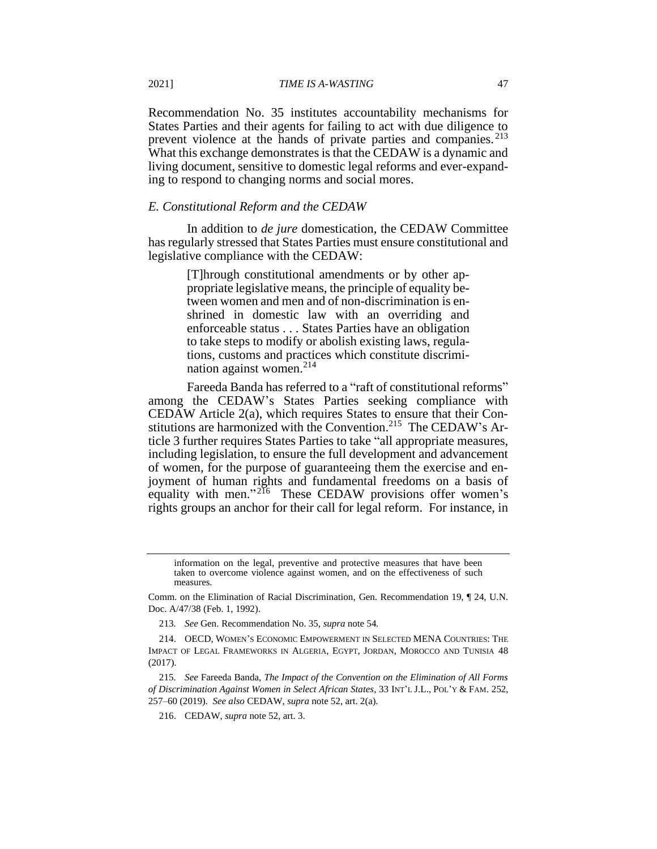Recommendation No. 35 institutes accountability mechanisms for States Parties and their agents for failing to act with due diligence to prevent violence at the hands of private parties and companies.<sup>213</sup> What this exchange demonstrates is that the CEDAW is a dynamic and living document, sensitive to domestic legal reforms and ever-expanding to respond to changing norms and social mores.

## *E. Constitutional Reform and the CEDAW*

In addition to *de jure* domestication, the CEDAW Committee has regularly stressed that States Parties must ensure constitutional and legislative compliance with the CEDAW:

> [T]hrough constitutional amendments or by other appropriate legislative means, the principle of equality between women and men and of non-discrimination is enshrined in domestic law with an overriding and enforceable status . . . States Parties have an obligation to take steps to modify or abolish existing laws, regulations, customs and practices which constitute discrimination against women.<sup>214</sup>

Fareeda Banda has referred to a "raft of constitutional reforms" among the CEDAW's States Parties seeking compliance with CEDAW Article 2(a), which requires States to ensure that their Constitutions are harmonized with the Convention.<sup>215</sup> The CEDAW's Article 3 further requires States Parties to take "all appropriate measures, including legislation, to ensure the full development and advancement of women, for the purpose of guaranteeing them the exercise and enjoyment of human rights and fundamental freedoms on a basis of equality with men."<sup>216</sup> These CEDAW provisions offer women's rights groups an anchor for their call for legal reform. For instance, in

information on the legal, preventive and protective measures that have been taken to overcome violence against women, and on the effectiveness of such measures.

Comm. on the Elimination of Racial Discrimination, Gen. Recommendation 19, ¶ 24, U.N. Doc. A/47/38 (Feb. 1, 1992).

<sup>213</sup>*. See* Gen. Recommendation No. 35, *supra* note [54](#page-14-0)*.*

<sup>214.</sup> OECD, WOMEN'S ECONOMIC EMPOWERMENT IN SELECTED MENA COUNTRIES: THE IMPACT OF LEGAL FRAMEWORKS IN ALGERIA, EGYPT, JORDAN, MOROCCO AND TUNISIA 48 (2017).

<sup>215</sup>*. See* Fareeda Banda, *The Impact of the Convention on the Elimination of All Forms of Discrimination Against Women in Select African States*, 33 INT'L J.L., POL'Y & FAM. 252, 257–60 (2019). *See also* CEDAW, *supra* note [52,](#page-13-1) art. 2(a).

<sup>216.</sup> CEDAW, *supra* note [52,](#page-13-1) art. 3.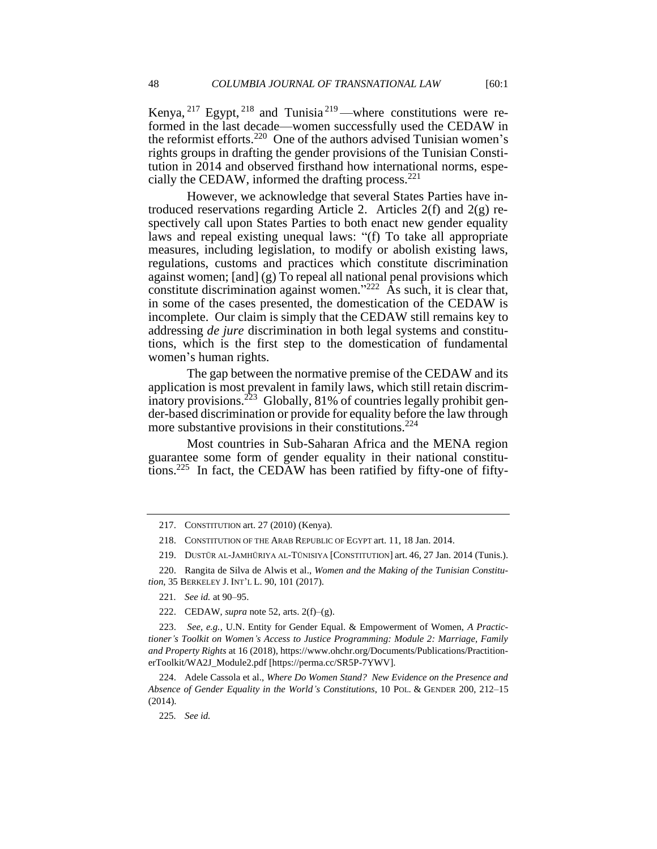Kenya,  $2^{17}$  Egypt,  $2^{18}$  and Tunisia  $2^{19}$  —where constitutions were reformed in the last decade—women successfully used the CEDAW in the reformist efforts. 220 One of the authors advised Tunisian women's rights groups in drafting the gender provisions of the Tunisian Constitution in 2014 and observed firsthand how international norms, especially the CEDAW, informed the drafting process. $^{221}$ 

<span id="page-48-0"></span>However, we acknowledge that several States Parties have introduced reservations regarding Article 2. Articles  $2(f)$  and  $2(g)$  respectively call upon States Parties to both enact new gender equality laws and repeal existing unequal laws: "(f) To take all appropriate measures, including legislation, to modify or abolish existing laws, regulations, customs and practices which constitute discrimination against women; [and] (g) To repeal all national penal provisions which constitute discrimination against women."<sup>222</sup> As such, it is clear that, in some of the cases presented, the domestication of the CEDAW is incomplete. Our claim is simply that the CEDAW still remains key to addressing *de jure* discrimination in both legal systems and constitutions, which is the first step to the domestication of fundamental women's human rights.

The gap between the normative premise of the CEDAW and its application is most prevalent in family laws, which still retain discriminatory provisions.<sup>223</sup> Globally, 81% of countries legally prohibit gender-based discrimination or provide for equality before the law through more substantive provisions in their constitutions.<sup>224</sup>

Most countries in Sub-Saharan Africa and the MENA region guarantee some form of gender equality in their national constitu $t$ tions.<sup>225</sup> In fact, the CEDAW has been ratified by fifty-one of fifty-

- 221*. See id.* at 90–95.
- 222. CEDAW, *supra* note [52,](#page-13-1) arts. 2(f)–(g).

223. *See, e.g.*, U.N. Entity for Gender Equal. & Empowerment of Women, *A Practictioner's Toolkit on Women's Access to Justice Programming: Module 2: Marriage, Family and Property Rights* at 16 (2018), https://www.ohchr.org/Documents/Publications/PractitionerToolkit/WA2J\_Module2.pdf [https://perma.cc/SR5P-7YWV].

224. Adele Cassola et al., *Where Do Women Stand? New Evidence on the Presence and Absence of Gender Equality in the World's Constitutions*, 10 POL. & GENDER 200, 212–15 (2014).

225*. See id.*

<sup>217.</sup> CONSTITUTION art. 27 (2010) (Kenya).

<sup>218.</sup> CONSTITUTION OF THE ARAB REPUBLIC OF EGYPT art. 11, 18 Jan. 2014.

<sup>219.</sup> DUSTŪR AL-JAMHŪRIYA AL-TŪNISIYA [CONSTITUTION] art. 46, 27 Jan. 2014 (Tunis.).

<sup>220.</sup> Rangita de Silva de Alwis et al., *Women and the Making of the Tunisian Constitution*, 35 BERKELEY J. INT'L L. 90, 101 (2017).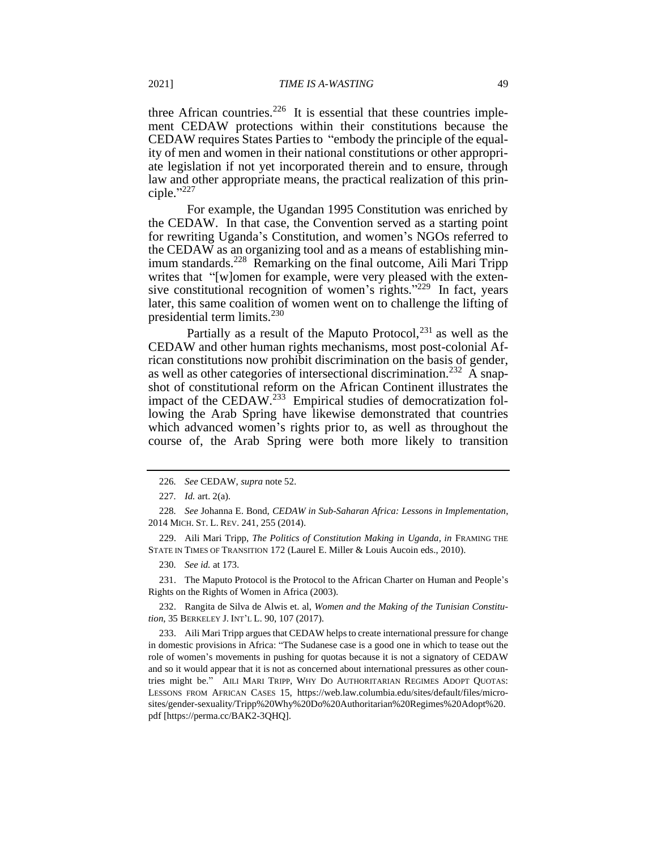three African countries.<sup>226</sup> It is essential that these countries implement CEDAW protections within their constitutions because the CEDAW requires States Parties to "embody the principle of the equality of men and women in their national constitutions or other appropriate legislation if not yet incorporated therein and to ensure, through law and other appropriate means, the practical realization of this principle." 227

<span id="page-49-0"></span>For example, the Ugandan 1995 Constitution was enriched by the CEDAW. In that case, the Convention served as a starting point for rewriting Uganda's Constitution, and women's NGOs referred to the CEDAW as an organizing tool and as a means of establishing minimum standards.<sup>228</sup> Remarking on the final outcome, Aili Mari Tripp writes that "[w]omen for example, were very pleased with the extensive constitutional recognition of women's rights."<sup>229</sup> In fact, years later, this same coalition of women went on to challenge the lifting of presidential term limits.<sup>230</sup>

Partially as a result of the Maputo Protocol,  $231$  as well as the CEDAW and other human rights mechanisms, most post-colonial African constitutions now prohibit discrimination on the basis of gender, as well as other categories of intersectional discrimination.<sup>232</sup> A snapshot of constitutional reform on the African Continent illustrates the impact of the CEDAW.<sup>233</sup> Empirical studies of democratization following the Arab Spring have likewise demonstrated that countries which advanced women's rights prior to, as well as throughout the course of, the Arab Spring were both more likely to transition

230*. See id.* at 173.

231. The Maputo Protocol is the Protocol to the African Charter on Human and People's Rights on the Rights of Women in Africa (2003).

232. Rangita de Silva de Alwis et. al, *Women and the Making of the Tunisian Constitution*, 35 BERKELEY J. INT'L L. 90, 107 (2017).

233. Aili Mari Tripp argues that CEDAW helps to create international pressure for change in domestic provisions in Africa: "The Sudanese case is a good one in which to tease out the role of women's movements in pushing for quotas because it is not a signatory of CEDAW and so it would appear that it is not as concerned about international pressures as other countries might be." AILI MARI TRIPP, WHY DO AUTHORITARIAN REGIMES ADOPT QUOTAS: LESSONS FROM AFRICAN CASES 15, https://web.law.columbia.edu/sites/default/files/microsites/gender-sexuality/Tripp%20Why%20Do%20Authoritarian%20Regimes%20Adopt%20. pdf [https://perma.cc/BAK2-3QHQ].

<sup>226</sup>*. See* CEDAW, *supra* note [52.](#page-13-1)

<sup>227</sup>*. Id.* art. 2(a).

<sup>228</sup>*. See* Johanna E. Bond, *CEDAW in Sub-Saharan Africa: Lessons in Implementation*, 2014 MICH. ST. L. REV. 241, 255 (2014).

<sup>229.</sup> Aili Mari Tripp, *The Politics of Constitution Making in Uganda, in* FRAMING THE STATE IN TIMES OF TRANSITION 172 (Laurel E. Miller & Louis Aucoin eds., 2010).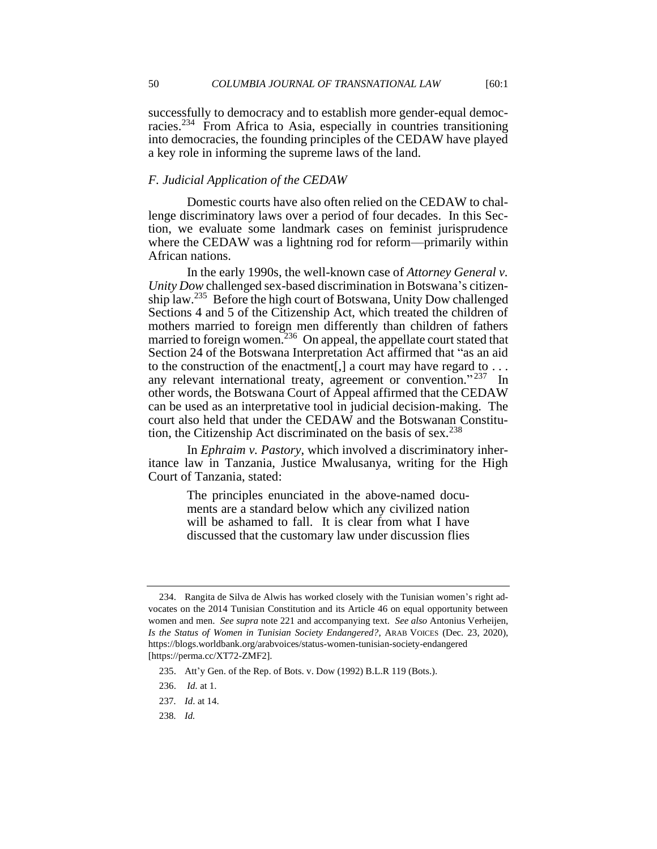successfully to democracy and to establish more gender-equal democracies.<sup>234</sup> From Africa to Asia, especially in countries transitioning into democracies, the founding principles of the CEDAW have played a key role in informing the supreme laws of the land.

## *F. Judicial Application of the CEDAW*

Domestic courts have also often relied on the CEDAW to challenge discriminatory laws over a period of four decades. In this Section, we evaluate some landmark cases on feminist jurisprudence where the CEDAW was a lightning rod for reform—primarily within African nations.

<span id="page-50-0"></span>In the early 1990s, the well-known case of *Attorney General v. Unity Dow* challenged sex-based discrimination in Botswana's citizenship law.<sup>235</sup> Before the high court of Botswana, Unity Dow challenged Sections 4 and 5 of the Citizenship Act, which treated the children of mothers married to foreign men differently than children of fathers married to foreign women.<sup>236</sup> On appeal, the appellate court stated that Section 24 of the Botswana Interpretation Act affirmed that "as an aid to the construction of the enactment[,] a court may have regard to  $\dots$ any relevant international treaty, agreement or convention."<sup>237</sup> In other words, the Botswana Court of Appeal affirmed that the CEDAW can be used as an interpretative tool in judicial decision-making. The court also held that under the CEDAW and the Botswanan Constitution, the Citizenship Act discriminated on the basis of sex.<sup>238</sup>

In *Ephraim v. Pastory*, which involved a discriminatory inheritance law in Tanzania, Justice Mwalusanya, writing for the High Court of Tanzania, stated:

> The principles enunciated in the above-named documents are a standard below which any civilized nation will be ashamed to fall. It is clear from what I have discussed that the customary law under discussion flies

<sup>234.</sup> Rangita de Silva de Alwis has worked closely with the Tunisian women's right advocates on the 2014 Tunisian Constitution and its Article 46 on equal opportunity between women and men. *See supra* note [221](#page-48-0) and accompanying text. *See also* Antonius Verheijen, *Is the Status of Women in Tunisian Society Endangered?*, ARAB VOICES (Dec. 23, 2020), https://blogs.worldbank.org/arabvoices/status-women-tunisian-society-endangered [https://perma.cc/XT72-ZMF2].

<sup>235.</sup> Att'y Gen. of the Rep. of Bots. v. Dow (1992) B.L.R 119 (Bots.).

<sup>236.</sup> *Id.* at 1.

<sup>237</sup>*. Id*. at 14.

<sup>238</sup>*. Id.*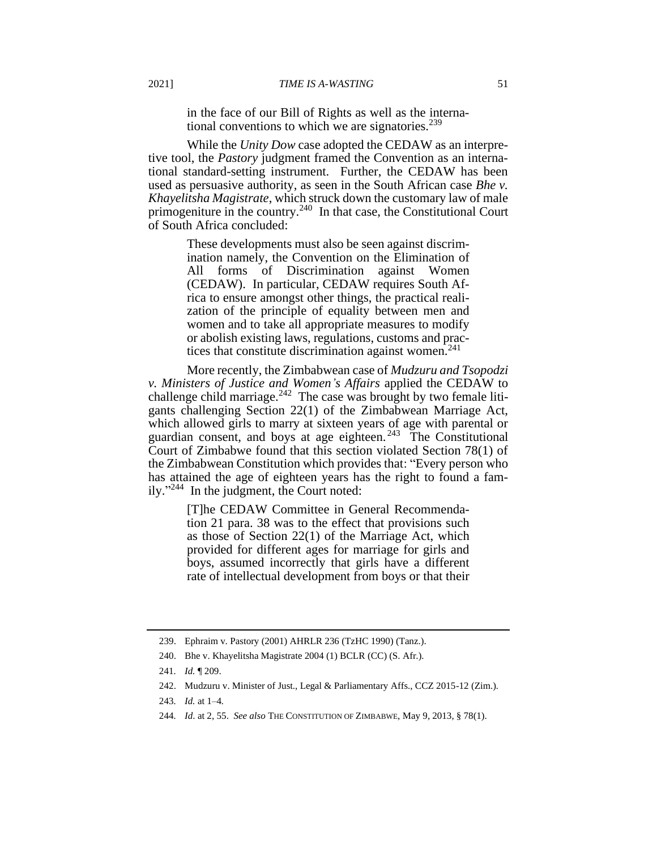in the face of our Bill of Rights as well as the international conventions to which we are signatories. $239$ 

While the *Unity Dow* case adopted the CEDAW as an interpretive tool, the *Pastory* judgment framed the Convention as an international standard-setting instrument. Further, the CEDAW has been used as persuasive authority, as seen in the South African case *Bhe v. Khayelitsha Magistrate*, which struck down the customary law of male primogeniture in the country.<sup>240</sup> In that case, the Constitutional Court of South Africa concluded:

> These developments must also be seen against discrimination namely, the Convention on the Elimination of All forms of Discrimination against Women (CEDAW). In particular, CEDAW requires South Africa to ensure amongst other things, the practical realization of the principle of equality between men and women and to take all appropriate measures to modify or abolish existing laws, regulations, customs and practices that constitute discrimination against women.<sup>241</sup>

<span id="page-51-0"></span>More recently, the Zimbabwean case of *Mudzuru and Tsopodzi v. Ministers of Justice and Women's Affairs* applied the CEDAW to challenge child marriage. $242$  The case was brought by two female litigants challenging Section 22(1) of the Zimbabwean Marriage Act, which allowed girls to marry at sixteen years of age with parental or guardian consent, and boys at age eighteen. <sup>243</sup> The Constitutional Court of Zimbabwe found that this section violated Section 78(1) of the Zimbabwean Constitution which provides that: "Every person who has attained the age of eighteen years has the right to found a family." 244 In the judgment, the Court noted:

> [T]he CEDAW Committee in General Recommendation 21 para. 38 was to the effect that provisions such as those of Section 22(1) of the Marriage Act, which provided for different ages for marriage for girls and boys, assumed incorrectly that girls have a different rate of intellectual development from boys or that their

<sup>239.</sup> Ephraim v. Pastory (2001) AHRLR 236 (TzHC 1990) (Tanz.).

<sup>240.</sup> Bhe v. Khayelitsha Magistrate 2004 (1) BCLR (CC) (S. Afr.).

<sup>241</sup>*. Id.* ¶ 209.

<sup>242.</sup> Mudzuru v. Minister of Just., Legal & Parliamentary Affs., CCZ 2015-12 (Zim.)*.*

<sup>243</sup>*. Id.* at 1–4*.*

<sup>244</sup>*. Id*. at 2, 55. *See also* THE CONSTITUTION OF ZIMBABWE, May 9, 2013, § 78(1).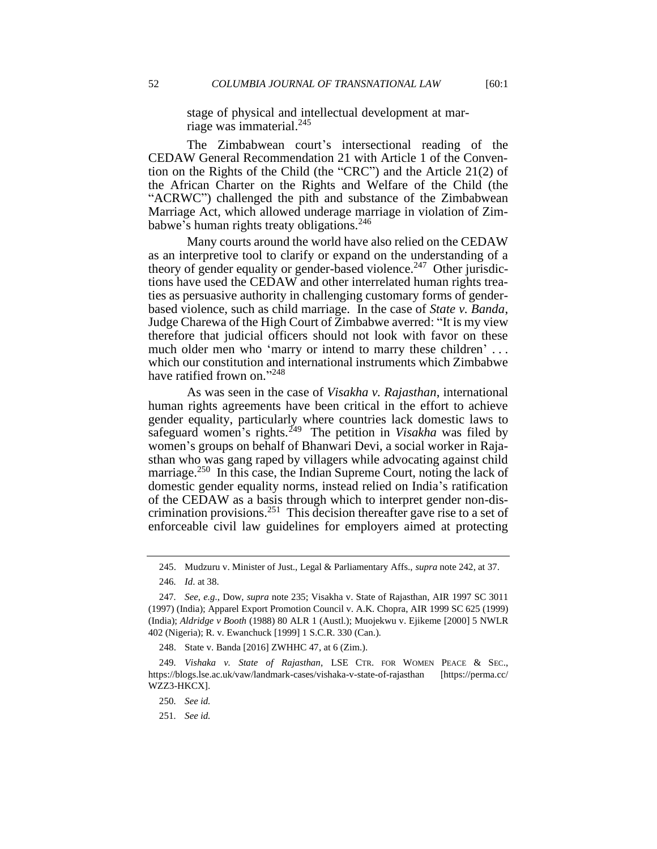stage of physical and intellectual development at marriage was immaterial.<sup>245</sup>

The Zimbabwean court's intersectional reading of the CEDAW General Recommendation 21 with Article 1 of the Convention on the Rights of the Child (the "CRC") and the Article 21(2) of the African Charter on the Rights and Welfare of the Child (the "ACRWC") challenged the pith and substance of the Zimbabwean Marriage Act, which allowed underage marriage in violation of Zimbabwe's human rights treaty obligations.<sup>246</sup>

Many courts around the world have also relied on the CEDAW as an interpretive tool to clarify or expand on the understanding of a theory of gender equality or gender-based violence.<sup>247</sup> Other jurisdictions have used the CEDAW and other interrelated human rights treaties as persuasive authority in challenging customary forms of genderbased violence, such as child marriage. In the case of *State v. Banda*, Judge Charewa of the High Court of Zimbabwe averred: "It is my view therefore that judicial officers should not look with favor on these much older men who 'marry or intend to marry these children' ... which our constitution and international instruments which Zimbabwe have ratified frown on."248

As was seen in the case of *Visakha v. Rajasthan*, international human rights agreements have been critical in the effort to achieve gender equality, particularly where countries lack domestic laws to safeguard women's rights.<sup>249</sup> The petition in *Visakha* was filed by women's groups on behalf of Bhanwari Devi, a social worker in Rajasthan who was gang raped by villagers while advocating against child marriage.<sup>250</sup> In this case, the Indian Supreme Court, noting the lack of domestic gender equality norms, instead relied on India's ratification of the CEDAW as a basis through which to interpret gender non-discrimination provisions.<sup>251</sup> This decision thereafter gave rise to a set of enforceable civil law guidelines for employers aimed at protecting

<sup>245.</sup> Mudzuru v. Minister of Just., Legal & Parliamentary Affs., *supra* note [242,](#page-51-0) at 37.

<sup>246</sup>*. Id*. at 38.

<sup>247</sup>*. See*, *e.g.*, Dow, *supra* note [235;](#page-50-0) Visakha v. State of Rajasthan, AIR 1997 SC 3011 (1997) (India); Apparel Export Promotion Council v. A.K. Chopra, AIR 1999 SC 625 (1999) (India); *Aldridge v Booth* (1988) 80 ALR 1 (Austl.); Muojekwu v. Ejikeme [2000] 5 NWLR 402 (Nigeria); R. v. Ewanchuck [1999] 1 S.C.R. 330 (Can.).

<sup>248.</sup> State v. Banda [2016] ZWHHC 47, at 6 (Zim.).

<sup>249</sup>*. Vishaka v. State of Rajasthan*, LSE CTR. FOR WOMEN PEACE & SEC., https://blogs.lse.ac.uk/vaw/landmark-cases/vishaka-v-state-of-rajasthan [https://perma.cc/ WZZ3-HKCX].

<sup>250</sup>*. See id.*

<sup>251</sup>*. See id.*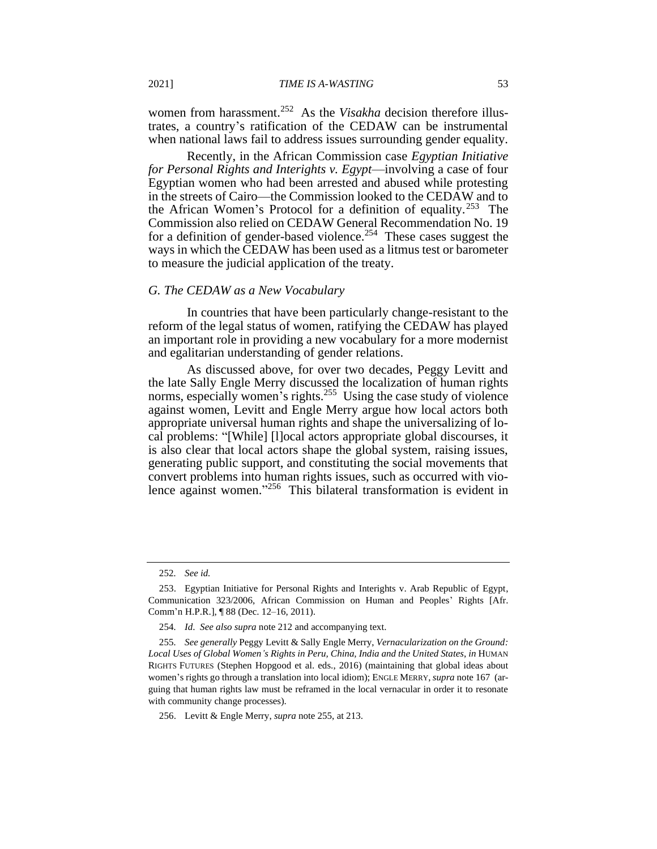women from harassment.<sup>252</sup> As the *Visakha* decision therefore illustrates, a country's ratification of the CEDAW can be instrumental when national laws fail to address issues surrounding gender equality.

Recently, in the African Commission case *Egyptian Initiative for Personal Rights and Interights v. Egypt*—involving a case of four Egyptian women who had been arrested and abused while protesting in the streets of Cairo—the Commission looked to the CEDAW and to the African Women's Protocol for a definition of equality.<sup>253</sup> The Commission also relied on CEDAW General Recommendation No. 19 for a definition of gender-based violence.<sup>254</sup> These cases suggest the ways in which the CEDAW has been used as a litmus test or barometer to measure the judicial application of the treaty.

#### *G. The CEDAW as a New Vocabulary*

In countries that have been particularly change-resistant to the reform of the legal status of women, ratifying the CEDAW has played an important role in providing a new vocabulary for a more modernist and egalitarian understanding of gender relations.

<span id="page-53-0"></span>As discussed above, for over two decades, Peggy Levitt and the late Sally Engle Merry discussed the localization of human rights norms, especially women's rights.<sup>255</sup> Using the case study of violence against women, Levitt and Engle Merry argue how local actors both appropriate universal human rights and shape the universalizing of local problems: "[While] [l]ocal actors appropriate global discourses, it is also clear that local actors shape the global system, raising issues, generating public support, and constituting the social movements that convert problems into human rights issues, such as occurred with violence against women." 256 This bilateral transformation is evident in

256. Levitt & Engle Merry, *supra* note [255,](#page-53-0) at 213.

<sup>252</sup>*. See id.*

<sup>253.</sup> Egyptian Initiative for Personal Rights and Interights v. Arab Republic of Egypt, Communication 323/2006, African Commission on Human and Peoples' Rights [Afr. Comm'n H.P.R.], ¶ 88 (Dec. 12–16, 2011).

<sup>254</sup>*. Id*. *See also supra* note [212](#page-45-0) and accompanying text.

<sup>255</sup>*. See generally* Peggy Levitt & Sally Engle Merry, *Vernacularization on the Ground: Local Uses of Global Women's Rights in Peru, China, India and the United States*, *in* HUMAN RIGHTS FUTURES (Stephen Hopgood et al. eds., 2016) (maintaining that global ideas about women's rights go through a translation into local idiom); ENGLE MERRY,*supra* not[e 167](#page-37-0) (arguing that human rights law must be reframed in the local vernacular in order it to resonate with community change processes).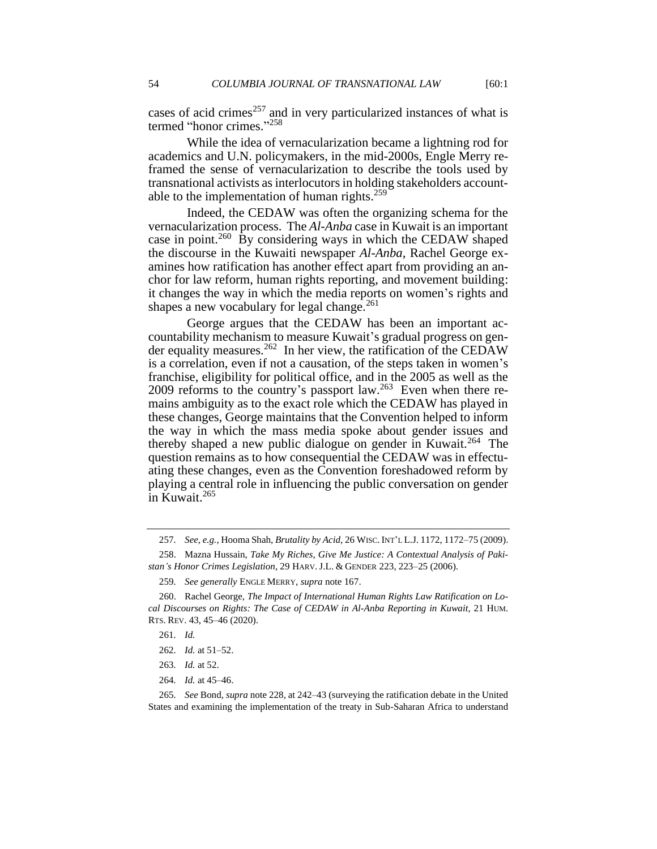cases of acid crimes<sup> $257$ </sup> and in very particularized instances of what is termed "honor crimes." 258

While the idea of vernacularization became a lightning rod for academics and U.N. policymakers, in the mid-2000s, Engle Merry reframed the sense of vernacularization to describe the tools used by transnational activists as interlocutors in holding stakeholders accountable to the implementation of human rights.<sup>259</sup>

<span id="page-54-0"></span>Indeed, the CEDAW was often the organizing schema for the vernacularization process. The *Al-Anba* case in Kuwait is an important case in point.<sup>260</sup> By considering ways in which the CEDAW shaped the discourse in the Kuwaiti newspaper *Al-Anba*, Rachel George examines how ratification has another effect apart from providing an anchor for law reform, human rights reporting, and movement building: it changes the way in which the media reports on women's rights and shapes a new vocabulary for legal change.<sup>261</sup>

George argues that the CEDAW has been an important accountability mechanism to measure Kuwait's gradual progress on gender equality measures.<sup>262</sup> In her view, the ratification of the CEDAW is a correlation, even if not a causation, of the steps taken in women's franchise, eligibility for political office, and in the 2005 as well as the 2009 reforms to the country's passport law.<sup>263</sup> Even when there remains ambiguity as to the exact role which the CEDAW has played in these changes, George maintains that the Convention helped to inform the way in which the mass media spoke about gender issues and thereby shaped a new public dialogue on gender in Kuwait.<sup>264</sup> The question remains as to how consequential the CEDAW was in effectuating these changes, even as the Convention foreshadowed reform by playing a central role in influencing the public conversation on gender  $\overline{\text{in}}$  Kuwait.<sup>265</sup>

<sup>257</sup>*. See, e.g.*, Hooma Shah, *Brutality by Acid*, 26 WISC.INT'L L.J. 1172, 1172–75 (2009).

<sup>258.</sup> Mazna Hussain, *Take My Riches, Give Me Justice: A Contextual Analysis of Pakistan's Honor Crimes Legislation*, 29 HARV.J.L. & GENDER 223, 223–25 (2006).

<sup>259</sup>*. See generally* ENGLE MERRY, *supra* note [167.](#page-37-0)

<sup>260.</sup> Rachel George, *The Impact of International Human Rights Law Ratification on Local Discourses on Rights: The Case of CEDAW in Al-Anba Reporting in Kuwait*, 21 HUM. RTS. REV. 43, 45–46 (2020).

<sup>261</sup>*. Id.*

<sup>262</sup>*. Id.* at 51–52.

<sup>263</sup>*. Id.* at 52.

<sup>264</sup>*. Id.* at 45–46.

<sup>265</sup>*. See* Bond, *supra* note [228,](#page-49-0) at 242–43 (surveying the ratification debate in the United States and examining the implementation of the treaty in Sub-Saharan Africa to understand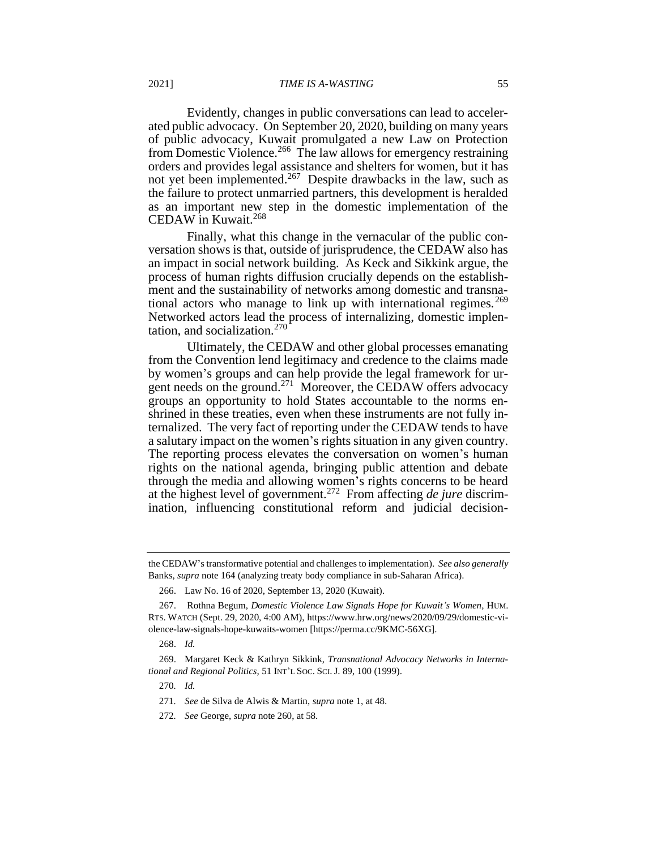Evidently, changes in public conversations can lead to accelerated public advocacy. On September 20, 2020, building on many years of public advocacy, Kuwait promulgated a new Law on Protection from Domestic Violence.<sup>266</sup> The law allows for emergency restraining orders and provides legal assistance and shelters for women, but it has not yet been implemented.<sup>267</sup> Despite drawbacks in the law, such as the failure to protect unmarried partners, this development is heralded as an important new step in the domestic implementation of the CEDAW in Kuwait.<sup>268</sup>

Finally, what this change in the vernacular of the public conversation shows is that, outside of jurisprudence, the CEDAW also has an impact in social network building. As Keck and Sikkink argue, the process of human rights diffusion crucially depends on the establishment and the sustainability of networks among domestic and transnational actors who manage to link up with international regimes.<sup>269</sup> Networked actors lead the process of internalizing, domestic implentation, and socialization. $270$ 

Ultimately, the CEDAW and other global processes emanating from the Convention lend legitimacy and credence to the claims made by women's groups and can help provide the legal framework for urgent needs on the ground.<sup>271</sup> Moreover, the CEDAW offers advocacy groups an opportunity to hold States accountable to the norms enshrined in these treaties, even when these instruments are not fully internalized. The very fact of reporting under the CEDAW tends to have a salutary impact on the women's rights situation in any given country. The reporting process elevates the conversation on women's human rights on the national agenda, bringing public attention and debate through the media and allowing women's rights concerns to be heard at the highest level of government.<sup>272</sup> From affecting *de jure* discrimination, influencing constitutional reform and judicial decision-

270*. Id.*

271*. See* de Silva de Alwis & Martin, *supra* note [1,](#page-4-1) at 48.

the CEDAW's transformative potential and challenges to implementation). *See also generally* Banks, *supra* note [164](#page-37-1) (analyzing treaty body compliance in sub-Saharan Africa).

<sup>266.</sup> Law No. 16 of 2020, September 13, 2020 (Kuwait).

<sup>267.</sup> Rothna Begum, *Domestic Violence Law Signals Hope for Kuwait's Women,* HUM. RTS. WATCH (Sept. 29, 2020, 4:00 AM), https://www.hrw.org/news/2020/09/29/domestic-violence-law-signals-hope-kuwaits-women [https://perma.cc/9KMC-56XG].

<sup>268.</sup> *Id.*

<sup>269.</sup> Margaret Keck & Kathryn Sikkink, *Transnational Advocacy Networks in International and Regional Politics,* 51 INT'L SOC. SCI.J. 89, 100 (1999).

<sup>272</sup>*. See* George, *supra* not[e 260,](#page-54-0) at 58.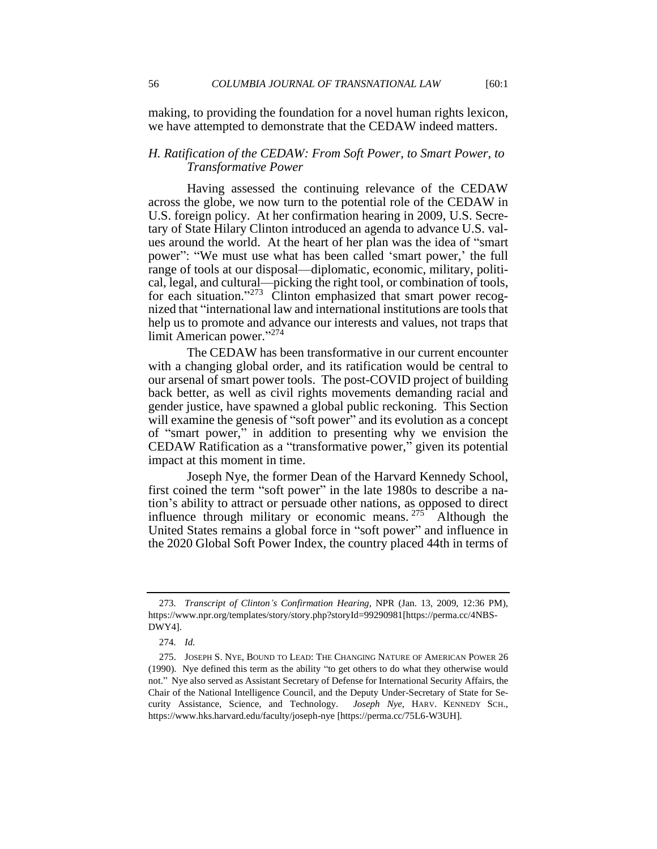making, to providing the foundation for a novel human rights lexicon, we have attempted to demonstrate that the CEDAW indeed matters.

### *H. Ratification of the CEDAW: From Soft Power, to Smart Power, to Transformative Power*

Having assessed the continuing relevance of the CEDAW across the globe, we now turn to the potential role of the CEDAW in U.S. foreign policy. At her confirmation hearing in 2009, U.S. Secretary of State Hilary Clinton introduced an agenda to advance U.S. values around the world. At the heart of her plan was the idea of "smart power": "We must use what has been called 'smart power,' the full range of tools at our disposal—diplomatic, economic, military, political, legal, and cultural—picking the right tool, or combination of tools, for each situation."<sup>273</sup> Clinton emphasized that smart power recognized that "international law and international institutions are tools that help us to promote and advance our interests and values, not traps that limit American power." 274

The CEDAW has been transformative in our current encounter with a changing global order, and its ratification would be central to our arsenal of smart power tools. The post-COVID project of building back better, as well as civil rights movements demanding racial and gender justice, have spawned a global public reckoning. This Section will examine the genesis of "soft power" and its evolution as a concept of "smart power," in addition to presenting why we envision the CEDAW Ratification as a "transformative power," given its potential impact at this moment in time.

Joseph Nye, the former Dean of the Harvard Kennedy School, first coined the term "soft power" in the late 1980s to describe a nation's ability to attract or persuade other nations, as opposed to direct influence through military or economic means.  $275$  Although the United States remains a global force in "soft power" and influence in the 2020 Global Soft Power Index, the country placed 44th in terms of

<sup>273</sup>*. Transcript of Clinton's Confirmation Hearing,* NPR (Jan. 13, 2009, 12:36 PM), https://www.npr.org/templates/story/story.php?storyId=99290981[https://perma.cc/4NBS-DWY4].

<sup>274</sup>*. Id.*

<sup>275.</sup> JOSEPH S. NYE, BOUND TO LEAD: THE CHANGING NATURE OF AMERICAN POWER 26 (1990). Nye defined this term as the ability "to get others to do what they otherwise would not." Nye also served as Assistant Secretary of Defense for International Security Affairs, the Chair of the National Intelligence Council, and the Deputy Under-Secretary of State for Security Assistance, Science, and Technology. *Joseph Nye*, HARV. KENNEDY SCH., https://www.hks.harvard.edu/faculty/joseph-nye [https://perma.cc/75L6-W3UH].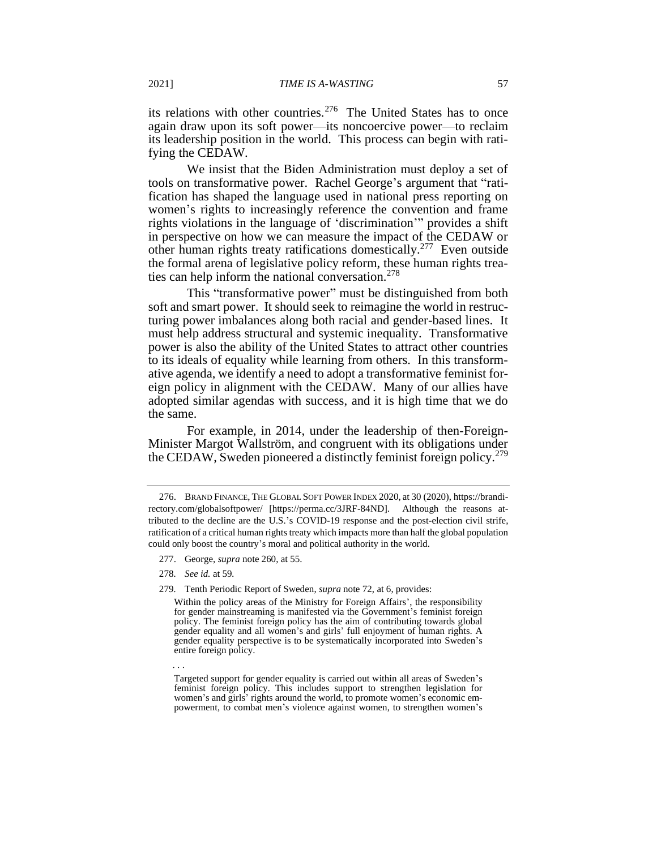its relations with other countries.<sup>276</sup> The United States has to once again draw upon its soft power—its noncoercive power—to reclaim its leadership position in the world. This process can begin with ratifying the CEDAW.

We insist that the Biden Administration must deploy a set of tools on transformative power. Rachel George's argument that "ratification has shaped the language used in national press reporting on women's rights to increasingly reference the convention and frame rights violations in the language of 'discrimination'" provides a shift in perspective on how we can measure the impact of the CEDAW or other human rights treaty ratifications domestically.<sup>277</sup> Even outside the formal arena of legislative policy reform, these human rights treaties can help inform the national conversation.<sup>278</sup>

This "transformative power" must be distinguished from both soft and smart power. It should seek to reimagine the world in restructuring power imbalances along both racial and gender-based lines. It must help address structural and systemic inequality. Transformative power is also the ability of the United States to attract other countries to its ideals of equality while learning from others. In this transformative agenda, we identify a need to adopt a transformative feminist foreign policy in alignment with the CEDAW. Many of our allies have adopted similar agendas with success, and it is high time that we do the same.

For example, in 2014, under the leadership of then-Foreign-Minister Margot Wallström, and congruent with its obligations under the CEDAW, Sweden pioneered a distinctly feminist foreign policy.<sup>279</sup>

. . .

279*.* Tenth Periodic Report of Sweden, *supra* note [72,](#page-17-1) at 6, provides:

<sup>276.</sup> BRAND FINANCE, THE GLOBAL SOFT POWER INDEX 2020, at 30 (2020), https://brandirectory.com/globalsoftpower/ [https://perma.cc/3JRF-84ND]. Although the reasons attributed to the decline are the U.S.'s COVID-19 response and the post-election civil strife, ratification of a critical human rights treaty which impacts more than half the global population could only boost the country's moral and political authority in the world.

<sup>277.</sup> George, *supra* not[e 260,](#page-54-0) at 55.

<sup>278</sup>*. See id.* at 59*.*

Within the policy areas of the Ministry for Foreign Affairs', the responsibility for gender mainstreaming is manifested via the Government's feminist foreign policy. The feminist foreign policy has the aim of contributing towards global gender equality and all women's and girls' full enjoyment of human rights. A gender equality perspective is to be systematically incorporated into Sweden's entire foreign policy.

Targeted support for gender equality is carried out within all areas of Sweden's feminist foreign policy. This includes support to strengthen legislation for women's and girls' rights around the world, to promote women's economic empowerment, to combat men's violence against women, to strengthen women's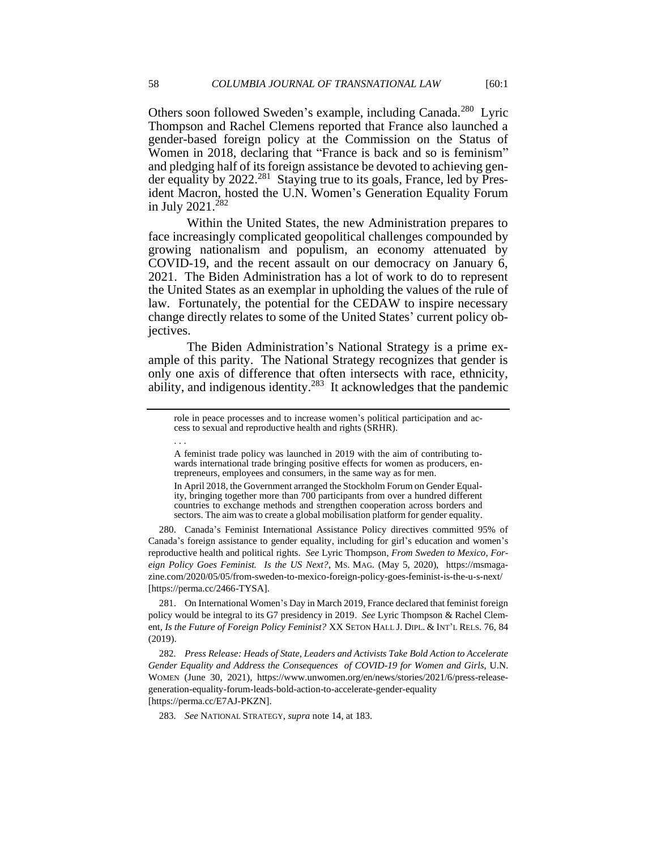Others soon followed Sweden's example, including Canada.<sup>280</sup> Lyric Thompson and Rachel Clemens reported that France also launched a gender-based foreign policy at the Commission on the Status of Women in 2018, declaring that "France is back and so is feminism" and pledging half of its foreign assistance be devoted to achieving gender equality by 2022.<sup>281</sup> Staying true to its goals, France, led by President Macron, hosted the U.N. Women's Generation Equality Forum in July 2021.<sup>282</sup>

Within the United States, the new Administration prepares to face increasingly complicated geopolitical challenges compounded by growing nationalism and populism, an economy attenuated by COVID-19, and the recent assault on our democracy on January 6, 2021. The Biden Administration has a lot of work to do to represent the United States as an exemplar in upholding the values of the rule of law. Fortunately, the potential for the CEDAW to inspire necessary change directly relates to some of the United States' current policy objectives.

The Biden Administration's National Strategy is a prime example of this parity. The National Strategy recognizes that gender is only one axis of difference that often intersects with race, ethnicity, ability, and indigenous identity.<sup>283</sup> It acknowledges that the pandemic

280. Canada's Feminist International Assistance Policy directives committed 95% of Canada's foreign assistance to gender equality, including for girl's education and women's reproductive health and political rights. *See* Lyric Thompson, *From Sweden to Mexico, Foreign Policy Goes Feminist. Is the US Next?*, MS. MAG. (May 5, 2020), https://msmagazine.com/2020/05/05/from-sweden-to-mexico-foreign-policy-goes-feminist-is-the-u-s-next/ [https://perma.cc/2466-TYSA].

281. On International Women's Day in March 2019, France declared that feminist foreign policy would be integral to its G7 presidency in 2019. *See* Lyric Thompson & Rachel Clement*, Is the Future of Foreign Policy Feminist?* XX SETON HALL J. DIPL. & INT'L RELS. 76, 84 (2019).

282*. Press Release: Heads of State, Leaders and Activists Take Bold Action to Accelerate Gender Equality and Address the Consequences of COVID-19 for Women and Girls*, U.N. WOMEN (June 30, 2021), https://www.unwomen.org/en/news/stories/2021/6/press-releasegeneration-equality-forum-leads-bold-action-to-accelerate-gender-equality [https://perma.cc/E7AJ-PKZN].

283*. See* NATIONAL STRATEGY, *supra* note [14,](#page-6-0) at 183.

. . .

role in peace processes and to increase women's political participation and access to sexual and reproductive health and rights (SRHR).

A feminist trade policy was launched in 2019 with the aim of contributing towards international trade bringing positive effects for women as producers, entrepreneurs, employees and consumers, in the same way as for men.

In April 2018, the Government arranged the Stockholm Forum on Gender Equality, bringing together more than 700 participants from over a hundred different countries to exchange methods and strengthen cooperation across borders and sectors. The aim was to create a global mobilisation platform for gender equality.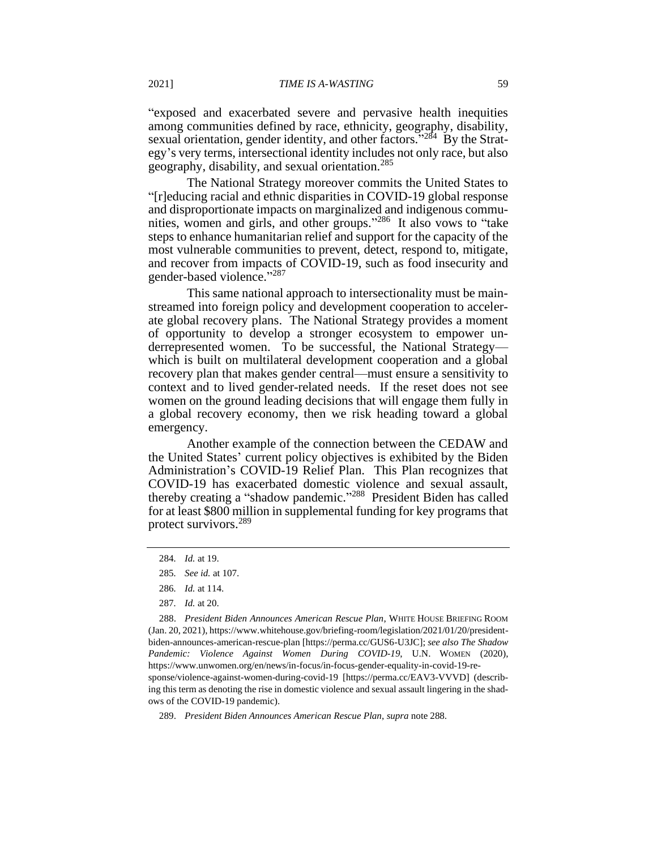"exposed and exacerbated severe and pervasive health inequities among communities defined by race, ethnicity, geography, disability, sexual orientation, gender identity, and other factors."<sup>284</sup> By the Strategy's very terms, intersectional identity includes not only race, but also geography, disability, and sexual orientation.<sup>285</sup>

The National Strategy moreover commits the United States to "[r]educing racial and ethnic disparities in COVID-19 global response and disproportionate impacts on marginalized and indigenous communities, women and girls, and other groups."<sup>286</sup> It also vows to "take steps to enhance humanitarian relief and support for the capacity of the most vulnerable communities to prevent, detect, respond to, mitigate, and recover from impacts of COVID-19, such as food insecurity and gender-based violence." 287

This same national approach to intersectionality must be mainstreamed into foreign policy and development cooperation to accelerate global recovery plans. The National Strategy provides a moment of opportunity to develop a stronger ecosystem to empower underrepresented women. To be successful, the National Strategy which is built on multilateral development cooperation and a global recovery plan that makes gender central—must ensure a sensitivity to context and to lived gender-related needs. If the reset does not see women on the ground leading decisions that will engage them fully in a global recovery economy, then we risk heading toward a global emergency.

Another example of the connection between the CEDAW and the United States' current policy objectives is exhibited by the Biden Administration's COVID-19 Relief Plan. This Plan recognizes that COVID-19 has exacerbated domestic violence and sexual assault, thereby creating a "shadow pandemic."<sup>288</sup> President Biden has called for at least \$800 million in supplemental funding for key programs that protect survivors.<sup>289</sup>

289. *President Biden Announces American Rescue Plan*, *supra* note [288.](#page-59-0)

<span id="page-59-0"></span><sup>284</sup>*. Id.* at 19.

<sup>285</sup>*. See id.* at 107.

<sup>286</sup>*. Id.* at 114.

<sup>287</sup>*. Id.* at 20.

<sup>288.</sup> *President Biden Announces American Rescue Plan*, WHITE HOUSE BRIEFING ROOM (Jan. 20, 2021), https://www.whitehouse.gov/briefing-room/legislation/2021/01/20/presidentbiden-announces-american-rescue-plan [https://perma.cc/GUS6-U3JC]; *see also The Shadow Pandemic: Violence Against Women During COVID-19*, U.N. WOMEN (2020), https://www.unwomen.org/en/news/in-focus/in-focus-gender-equality-in-covid-19-response/violence-against-women-during-covid-19 [https://perma.cc/EAV3-VVVD] (describing this term as denoting the rise in domestic violence and sexual assault lingering in the shadows of the COVID-19 pandemic).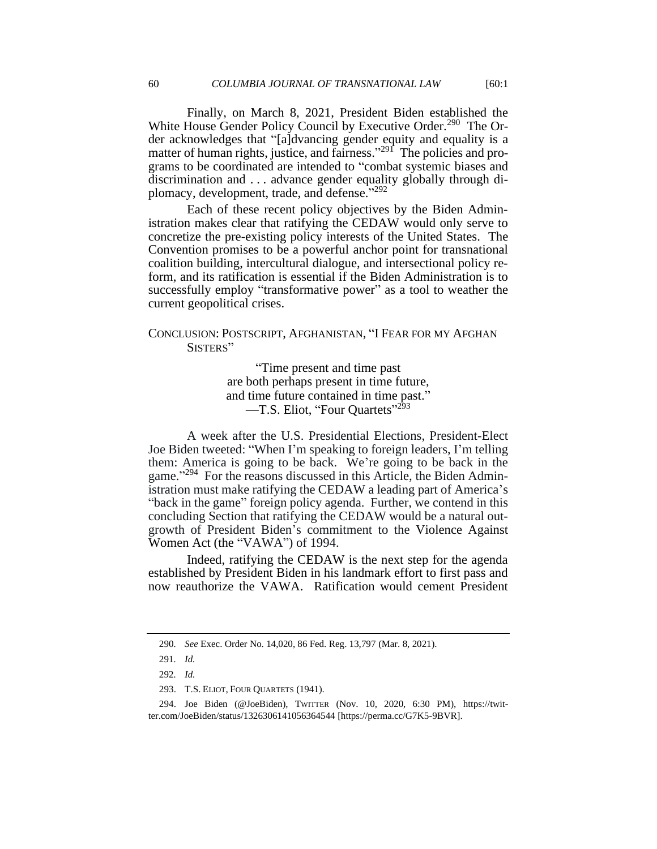Finally, on March 8, 2021, President Biden established the White House Gender Policy Council by Executive Order.<sup>290</sup> The Order acknowledges that "[a]dvancing gender equity and equality is a matter of human rights, justice, and fairness."<sup>291</sup> The policies and programs to be coordinated are intended to "combat systemic biases and discrimination and . . . advance gender equality globally through diplomacy, development, trade, and defense."<sup>292</sup>

Each of these recent policy objectives by the Biden Administration makes clear that ratifying the CEDAW would only serve to concretize the pre-existing policy interests of the United States. The Convention promises to be a powerful anchor point for transnational coalition building, intercultural dialogue, and intersectional policy reform, and its ratification is essential if the Biden Administration is to successfully employ "transformative power" as a tool to weather the current geopolitical crises.

### CONCLUSION: POSTSCRIPT, AFGHANISTAN, "I FEAR FOR MY AFGHAN SISTERS"

<span id="page-60-0"></span>"Time present and time past are both perhaps present in time future, and time future contained in time past." —T.S. Eliot, "Four Quartets"<sup>293</sup>

A week after the U.S. Presidential Elections, President-Elect Joe Biden tweeted: "When I'm speaking to foreign leaders, I'm telling them: America is going to be back. We're going to be back in the game."<sup>294</sup> For the reasons discussed in this Article, the Biden Administration must make ratifying the CEDAW a leading part of America's "back in the game" foreign policy agenda. Further, we contend in this concluding Section that ratifying the CEDAW would be a natural outgrowth of President Biden's commitment to the Violence Against Women Act (the "VAWA") of 1994.

Indeed, ratifying the CEDAW is the next step for the agenda established by President Biden in his landmark effort to first pass and now reauthorize the VAWA. Ratification would cement President

<sup>290</sup>*. See* Exec. Order No. 14,020, 86 Fed. Reg. 13,797 (Mar. 8, 2021).

<sup>291</sup>*. Id.*

<sup>292</sup>*. Id.*

<sup>293.</sup> T.S. ELIOT, FOUR QUARTETS (1941).

<sup>294.</sup> Joe Biden (@JoeBiden), TWITTER (Nov. 10, 2020, 6:30 PM), https://twitter.com/JoeBiden/status/1326306141056364544 [https://perma.cc/G7K5-9BVR].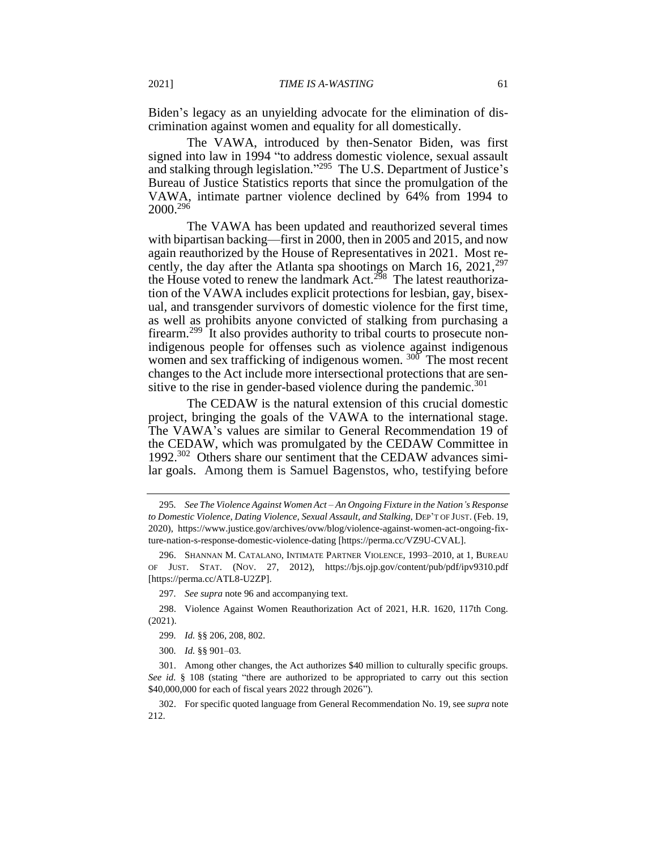Biden's legacy as an unyielding advocate for the elimination of discrimination against women and equality for all domestically.

The VAWA, introduced by then-Senator Biden, was first signed into law in 1994 "to address domestic violence, sexual assault and stalking through legislation."<sup>295</sup> The U.S. Department of Justice's Bureau of Justice Statistics reports that since the promulgation of the VAWA, intimate partner violence declined by 64% from 1994 to  $2000.<sup>296</sup>$ 

The VAWA has been updated and reauthorized several times with bipartisan backing—first in 2000, then in 2005 and 2015, and now again reauthorized by the House of Representatives in 2021. Most recently, the day after the Atlanta spa shootings on March 16,  $2021$ ,  $297$ the House voted to renew the landmark Act.<sup>298</sup> The latest reauthorization of the VAWA includes explicit protections for lesbian, gay, bisexual, and transgender survivors of domestic violence for the first time, as well as prohibits anyone convicted of stalking from purchasing a firearm.<sup>299</sup> It also provides authority to tribal courts to prosecute nonindigenous people for offenses such as violence against indigenous women and sex trafficking of indigenous women.  $300$  The most recent changes to the Act include more intersectional protections that are sensitive to the rise in gender-based violence during the pandemic.<sup>301</sup>

The CEDAW is the natural extension of this crucial domestic project, bringing the goals of the VAWA to the international stage. The VAWA's values are similar to General Recommendation 19 of the CEDAW, which was promulgated by the CEDAW Committee in 1992.<sup>302</sup> Others share our sentiment that the CEDAW advances similar goals. Among them is Samuel Bagenstos, who, testifying before

<sup>295</sup>*. See The Violence Against Women Act – An Ongoing Fixture in the Nation's Response*  to Domestic Violence, Dating Violence, Sexual Assault, and Stalking, DEP'T OF JUST. (Feb. 19, 2020), https://www.justice.gov/archives/ovw/blog/violence-against-women-act-ongoing-fixture-nation-s-response-domestic-violence-dating [https://perma.cc/VZ9U-CVAL].

<sup>296.</sup> SHANNAN M. CATALANO, INTIMATE PARTNER VIOLENCE, 1993–2010, at 1, BUREAU OF JUST. STAT. (NOV. 27, 2012), https://bjs.ojp.gov/content/pub/pdf/ipv9310.pdf [https://perma.cc/ATL8-U2ZP].

<sup>297</sup>*. See supra* not[e 96](#page-21-1) and accompanying text.

<sup>298.</sup> Violence Against Women Reauthorization Act of 2021, H.R. 1620, 117th Cong. (2021).

<sup>299</sup>*. Id.* §§ 206, 208, 802.

<sup>300</sup>*. Id.* §§ 901–03.

<sup>301.</sup> Among other changes, the Act authorizes \$40 million to culturally specific groups. *See id.* § 108 (stating "there are authorized to be appropriated to carry out this section \$40,000,000 for each of fiscal years 2022 through 2026").

<sup>302.</sup> For specific quoted language from General Recommendation No. 19, see *supra* note [212.](#page-45-0)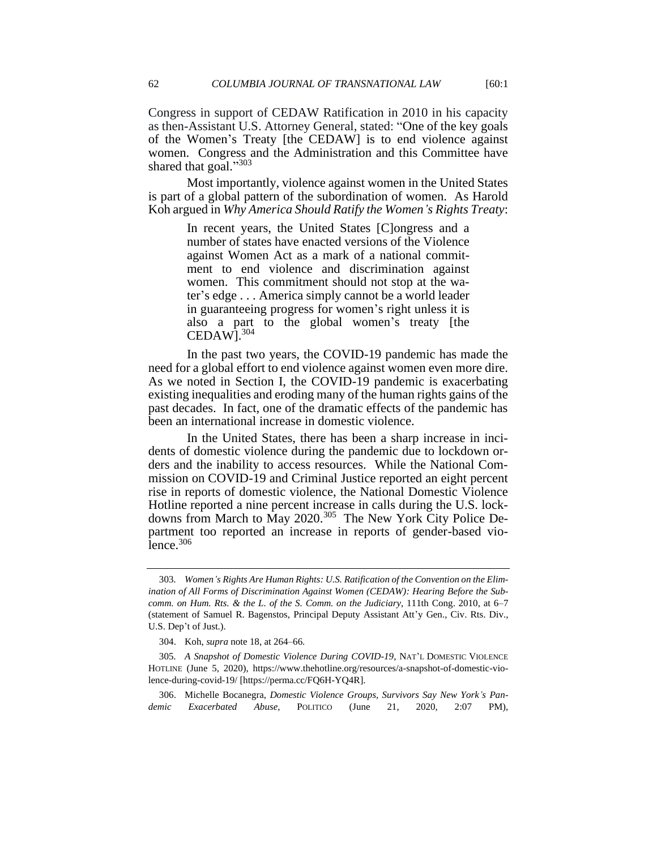Congress in support of CEDAW Ratification in 2010 in his capacity as then-Assistant U.S. Attorney General, stated: "One of the key goals of the Women's Treaty [the CEDAW] is to end violence against women. Congress and the Administration and this Committee have shared that goal."303

Most importantly, violence against women in the United States is part of a global pattern of the subordination of women. As Harold Koh argued in *Why America Should Ratify the Women's Rights Treaty*:

> In recent years, the United States [C]ongress and a number of states have enacted versions of the Violence against Women Act as a mark of a national commitment to end violence and discrimination against women. This commitment should not stop at the water's edge . . . America simply cannot be a world leader in guaranteeing progress for women's right unless it is also a part to the global women's treaty [the  $CEDAW$ ].  $304$

In the past two years, the COVID-19 pandemic has made the need for a global effort to end violence against women even more dire. As we noted in Section I, the COVID-19 pandemic is exacerbating existing inequalities and eroding many of the human rights gains of the past decades. In fact, one of the dramatic effects of the pandemic has been an international increase in domestic violence.

In the United States, there has been a sharp increase in incidents of domestic violence during the pandemic due to lockdown orders and the inability to access resources. While the National Commission on COVID-19 and Criminal Justice reported an eight percent rise in reports of domestic violence, the National Domestic Violence Hotline reported a nine percent increase in calls during the U.S. lockdowns from March to May 2020.<sup>305</sup> The New York City Police Department too reported an increase in reports of gender-based violence. $306$ 

<sup>303</sup>*. Women's Rights Are Human Rights: U.S. Ratification of the Convention on the Elimination of All Forms of Discrimination Against Women (CEDAW): Hearing Before the Subcomm. on Hum. Rts. & the L. of the S. Comm. on the Judiciary*, 111th Cong. 2010, at 6–7 (statement of Samuel R. Bagenstos, Principal Deputy Assistant Att'y Gen., Civ. Rts. Div., U.S. Dep't of Just.).

<sup>304.</sup> Koh, *supra* not[e 18,](#page-6-1) at 264–66.

<sup>305</sup>*. A Snapshot of Domestic Violence During COVID-19*, NAT'L DOMESTIC VIOLENCE HOTLINE (June 5, 2020), https://www.thehotline.org/resources/a-snapshot-of-domestic-violence-during-covid-19/ [https://perma.cc/FQ6H-YQ4R].

<sup>306.</sup> Michelle Bocanegra, *Domestic Violence Groups, Survivors Say New York's Pandemic Exacerbated Abuse*, POLITICO (June 21, 2020, 2:07 PM),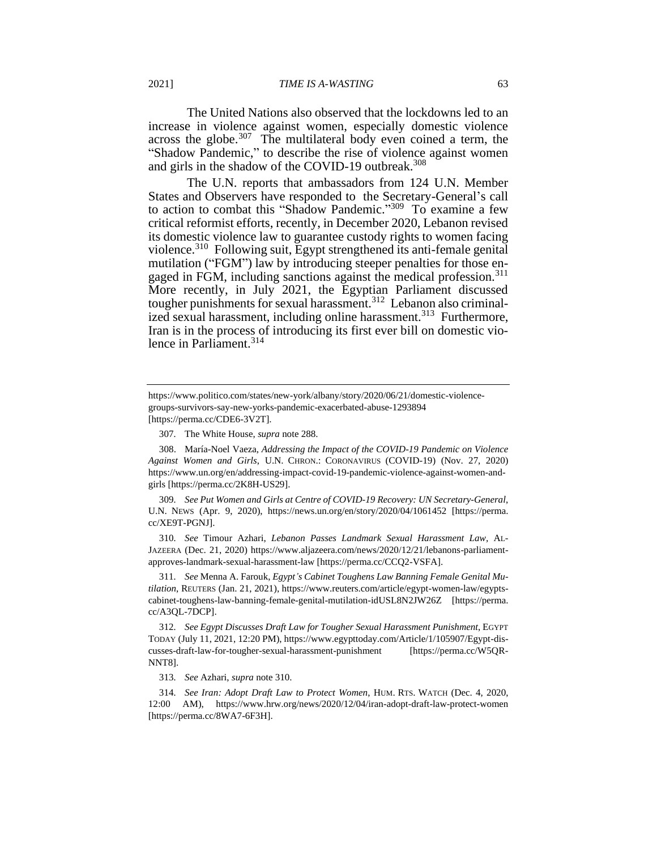The United Nations also observed that the lockdowns led to an increase in violence against women, especially domestic violence across the globe.<sup>307</sup> The multilateral body even coined a term, the "Shadow Pandemic," to describe the rise of violence against women and girls in the shadow of the COVID-19 outbreak.<sup>308</sup>

<span id="page-63-0"></span>The U.N. reports that ambassadors from 124 U.N. Member States and Observers have responded to the Secretary-General's call to action to combat this "Shadow Pandemic." 309 To examine a few critical reformist efforts, recently, in December 2020, Lebanon revised its domestic violence law to guarantee custody rights to women facing violence.<sup>310</sup> Following suit, Egypt strengthened its anti-female genital mutilation ("FGM") law by introducing steeper penalties for those engaged in FGM, including sanctions against the medical profession.<sup>311</sup> More recently, in July 2021, the Egyptian Parliament discussed tougher punishments for sexual harassment.<sup>312</sup> Lebanon also criminalized sexual harassment, including online harassment.<sup>313</sup> Furthermore, Iran is in the process of introducing its first ever bill on domestic violence in Parliament.<sup>314</sup>

309*. See Put Women and Girls at Centre of COVID-19 Recovery: UN Secretary-General*, U.N. NEWS (Apr. 9, 2020), https://news.un.org/en/story/2020/04/1061452 [https://perma. cc/XE9T-PGNJ].

310*. See* Timour Azhari, *Lebanon Passes Landmark Sexual Harassment Law,* AL-JAZEERA (Dec. 21, 2020) https://www.aljazeera.com/news/2020/12/21/lebanons-parliamentapproves-landmark-sexual-harassment-law [https://perma.cc/CCQ2-VSFA].

311*. See* Menna A. Farouk, *Egypt's Cabinet Toughens Law Banning Female Genital Mutilation*, REUTERS (Jan. 21, 2021), https://www.reuters.com/article/egypt-women-law/egyptscabinet-toughens-law-banning-female-genital-mutilation-idUSL8N2JW26Z [https://perma. cc/A3QL-7DCP].

312*. See Egypt Discusses Draft Law for Tougher Sexual Harassment Punishment*, EGYPT TODAY (July 11, 2021, 12:20 PM), https://www.egypttoday.com/Article/1/105907/Egypt-discusses-draft-law-for-tougher-sexual-harassment-punishment [https://perma.cc/W5QR-NNT8].

313*. See* Azhari, *supra* not[e 310.](#page-63-0)

314*. See Iran: Adopt Draft Law to Protect Women*, HUM. RTS. WATCH (Dec. 4, 2020, 12:00 AM), https://www.hrw.org/news/2020/12/04/iran-adopt-draft-law-protect-women [https://perma.cc/8WA7-6F3H].

https://www.politico.com/states/new-york/albany/story/2020/06/21/domestic-violencegroups-survivors-say-new-yorks-pandemic-exacerbated-abuse-1293894 [https://perma.cc/CDE6-3V2T].

<sup>307</sup>*.* The White House, *supra* not[e 288.](#page-59-0)

<sup>308.</sup> María-Noel Vaeza, *Addressing the Impact of the COVID-19 Pandemic on Violence Against Women and Girls*, U.N. CHRON.: CORONAVIRUS (COVID-19) (Nov. 27, 2020) https://www.un.org/en/addressing-impact-covid-19-pandemic-violence-against-women-andgirls [https://perma.cc/2K8H-US29].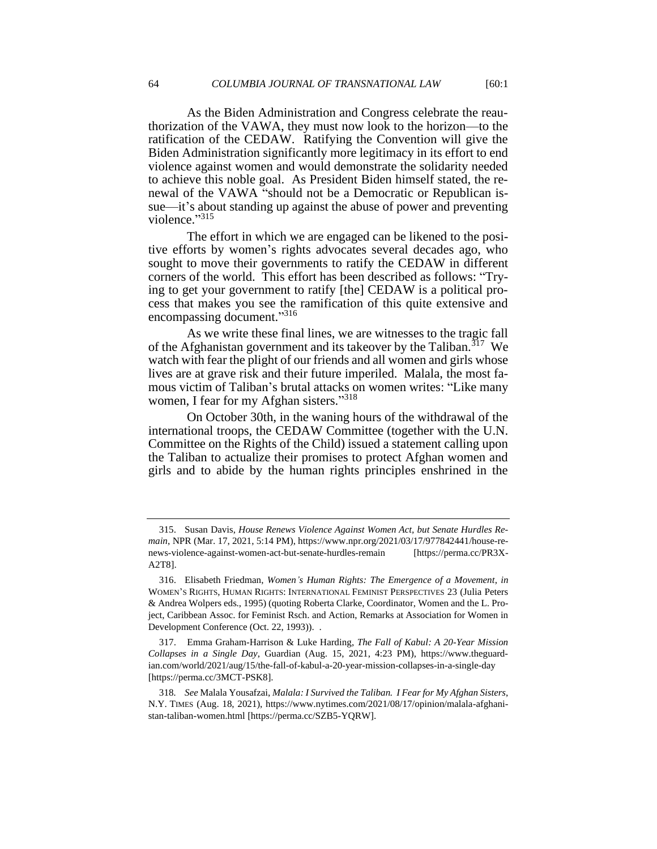As the Biden Administration and Congress celebrate the reauthorization of the VAWA, they must now look to the horizon—to the ratification of the CEDAW. Ratifying the Convention will give the Biden Administration significantly more legitimacy in its effort to end violence against women and would demonstrate the solidarity needed to achieve this noble goal. As President Biden himself stated, the renewal of the VAWA "should not be a Democratic or Republican issue—it's about standing up against the abuse of power and preventing violence."315

The effort in which we are engaged can be likened to the positive efforts by women's rights advocates several decades ago, who sought to move their governments to ratify the CEDAW in different corners of the world. This effort has been described as follows: "Trying to get your government to ratify [the] CEDAW is a political process that makes you see the ramification of this quite extensive and encompassing document." 316

As we write these final lines, we are witnesses to the tragic fall of the Afghanistan government and its takeover by the Taliban.<sup>317</sup> We watch with fear the plight of our friends and all women and girls whose lives are at grave risk and their future imperiled. Malala, the most famous victim of Taliban's brutal attacks on women writes: "Like many women, I fear for my Afghan sisters."<sup>318</sup>

On October 30th, in the waning hours of the withdrawal of the international troops, the CEDAW Committee (together with the U.N. Committee on the Rights of the Child) issued a statement calling upon the Taliban to actualize their promises to protect Afghan women and girls and to abide by the human rights principles enshrined in the

<sup>315.</sup> Susan Davis, *House Renews Violence Against Women Act, but Senate Hurdles Remain*, NPR (Mar. 17, 2021, 5:14 PM), https://www.npr.org/2021/03/17/977842441/house-renews-violence-against-women-act-but-senate-hurdles-remain [https://perma.cc/PR3X-A2T8].

<sup>316.</sup> Elisabeth Friedman, *Women's Human Rights: The Emergence of a Movement*, *in* WOMEN'S RIGHTS, HUMAN RIGHTS: INTERNATIONAL FEMINIST PERSPECTIVES 23 (Julia Peters & Andrea Wolpers eds., 1995) (quoting Roberta Clarke, Coordinator, Women and the L. Project, Caribbean Assoc. for Feminist Rsch. and Action, Remarks at Association for Women in Development Conference (Oct. 22, 1993)). .

<sup>317.</sup> Emma Graham-Harrison & Luke Harding, *The Fall of Kabul: A 20-Year Mission Collapses in a Single Day*, Guardian (Aug. 15, 2021, 4:23 PM), https://www.theguardian.com/world/2021/aug/15/the-fall-of-kabul-a-20-year-mission-collapses-in-a-single-day [https://perma.cc/3MCT-PSK8].

<sup>318</sup>*. See* Malala Yousafzai, *Malala: I Survived the Taliban. I Fear for My Afghan Sisters*, N.Y. TIMES (Aug. 18, 2021), https://www.nytimes.com/2021/08/17/opinion/malala-afghanistan-taliban-women.html [https://perma.cc/SZB5-YQRW].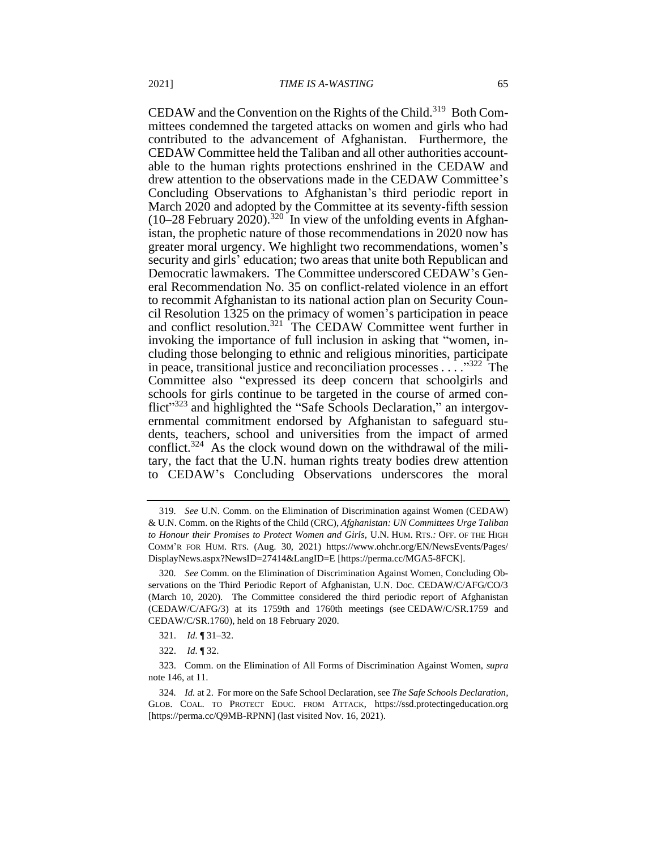CEDAW and the Convention on the Rights of the Child.<sup>319</sup> Both Committees condemned the targeted attacks on women and girls who had contributed to the advancement of Afghanistan. Furthermore, the CEDAW Committee held the Taliban and all other authorities accountable to the human rights protections enshrined in the CEDAW and drew attention to the observations made in the CEDAW Committee's Concluding Observations to Afghanistan's third periodic report in March 2020 and adopted by the Committee at its seventy-fifth session  $(10-28$  February 2020).<sup>320</sup> In view of the unfolding events in Afghanistan, the prophetic nature of those recommendations in 2020 now has greater moral urgency. We highlight two recommendations, women's security and girls' education; two areas that unite both Republican and Democratic lawmakers. The Committee underscored CEDAW's General Recommendation No. 35 on conflict-related violence in an effort to recommit Afghanistan to its national action plan on Security Council Resolution 1325 on the primacy of women's participation in peace and conflict resolution.<sup>321</sup> The CEDAW Committee went further in invoking the importance of full inclusion in asking that "women, including those belonging to ethnic and religious minorities, participate in peace, transitional justice and reconciliation processes . . . ."<sup>322</sup> The Committee also "expressed its deep concern that schoolgirls and schools for girls continue to be targeted in the course of armed conflict"<sup>323</sup> and highlighted the "Safe Schools Declaration," an intergovernmental commitment endorsed by Afghanistan to safeguard students, teachers, school and universities from the impact of armed conflict.<sup>324</sup> As the clock wound down on the withdrawal of the military, the fact that the U.N. human rights treaty bodies drew attention to CEDAW's Concluding Observations underscores the moral

<sup>319</sup>*. See* U.N. Comm. on the Elimination of Discrimination against Women (CEDAW) & U.N. Comm. on the Rights of the Child (CRC), *Afghanistan: UN Committees Urge Taliban to Honour their Promises to Protect Women and Girls*, U.N. HUM. RTS.*:* OFF. OF THE HIGH COMM'R FOR HUM. RTS. (Aug. 30, 2021) https://www.ohchr.org/EN/NewsEvents/Pages/ DisplayNews.aspx?NewsID=27414&LangID=E [https://perma.cc/MGA5-8FCK].

<sup>320</sup>*. See* Comm. on the Elimination of Discrimination Against Women, Concluding Observations on the Third Periodic Report of Afghanistan, U.N. Doc. CEDAW/C/AFG/CO/3 (March 10, 2020). The Committee considered the third periodic report of Afghanistan (CEDAW/C/AFG/3) at its 1759th and 1760th meetings (see CEDAW/C/SR.1759 and CEDAW/C/SR.1760), held on 18 February 2020.

<sup>321.</sup> *Id.* ¶ 31–32.

<sup>322.</sup> *Id.* ¶ 32.

<sup>323.</sup> Comm. on the Elimination of All Forms of Discrimination Against Women, *supra* note [146,](#page-30-1) at 11.

<sup>324</sup>*. Id.* at 2. For more on the Safe School Declaration, see *The Safe Schools Declaration,* GLOB. COAL. TO PROTECT EDUC. FROM ATTACK, https://ssd.protectingeducation.org [https://perma.cc/Q9MB-RPNN] (last visited Nov. 16, 2021).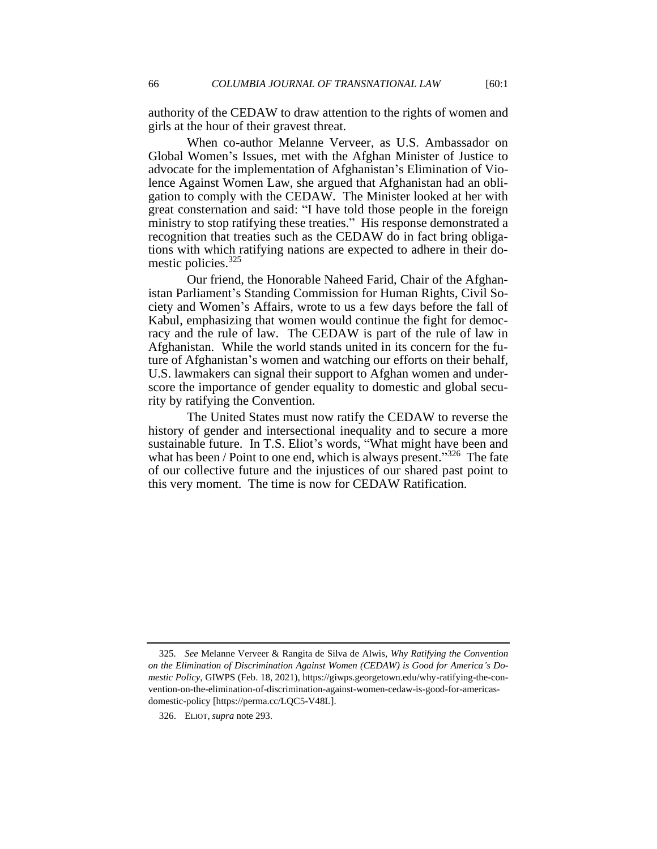authority of the CEDAW to draw attention to the rights of women and girls at the hour of their gravest threat.

When co-author Melanne Verveer, as U.S. Ambassador on Global Women's Issues, met with the Afghan Minister of Justice to advocate for the implementation of Afghanistan's Elimination of Violence Against Women Law, she argued that Afghanistan had an obligation to comply with the CEDAW. The Minister looked at her with great consternation and said: "I have told those people in the foreign ministry to stop ratifying these treaties." His response demonstrated a recognition that treaties such as the CEDAW do in fact bring obligations with which ratifying nations are expected to adhere in their domestic policies.<sup>325</sup>

Our friend, the Honorable Naheed Farid, Chair of the Afghanistan Parliament's Standing Commission for Human Rights, Civil Society and Women's Affairs, wrote to us a few days before the fall of Kabul, emphasizing that women would continue the fight for democracy and the rule of law. The CEDAW is part of the rule of law in Afghanistan. While the world stands united in its concern for the future of Afghanistan's women and watching our efforts on their behalf, U.S. lawmakers can signal their support to Afghan women and underscore the importance of gender equality to domestic and global security by ratifying the Convention.

The United States must now ratify the CEDAW to reverse the history of gender and intersectional inequality and to secure a more sustainable future. In T.S. Eliot's words, "What might have been and what has been / Point to one end, which is always present."<sup>326</sup> The fate of our collective future and the injustices of our shared past point to this very moment. The time is now for CEDAW Ratification.

<sup>325</sup>*. See* Melanne Verveer & Rangita de Silva de Alwis, *Why Ratifying the Convention on the Elimination of Discrimination Against Women (CEDAW) is Good for America's Domestic Policy*, GIWPS (Feb. 18, 2021), https://giwps.georgetown.edu/why-ratifying-the-convention-on-the-elimination-of-discrimination-against-women-cedaw-is-good-for-americasdomestic-policy [https://perma.cc/LQC5-V48L].

<sup>326.</sup> ELIOT, *supra* note [293.](#page-60-0)